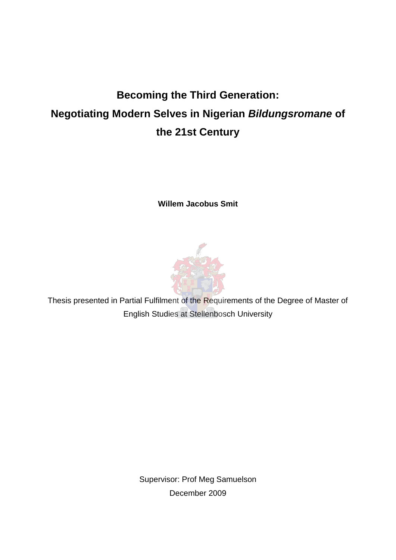# **Becoming the Third Generation: Negotiating Modern Selves in Nigerian** *Bildungsromane* **of the 21st Century**

**Willem Jacobus Smit** 



Thesis presented in Partial Fulfilment of the Requirements of the Degree of Master of English Studies at Stellenbosch University

> Supervisor: Prof Meg Samuelson December 2009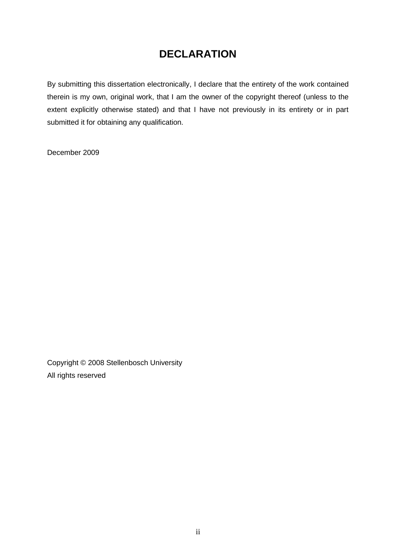## **DECLARATION**

By submitting this dissertation electronically, I declare that the entirety of the work contained therein is my own, original work, that I am the owner of the copyright thereof (unless to the extent explicitly otherwise stated) and that I have not previously in its entirety or in part submitted it for obtaining any qualification.

December 2009

Copyright © 2008 Stellenbosch University All rights reserved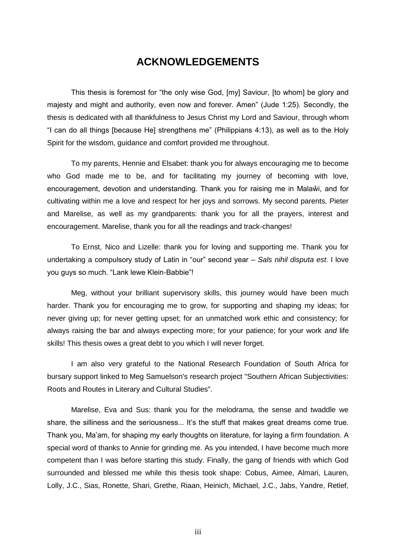### **ACKNOWLEDGEMENTS**

This thesis is foremost for "the only wise God, [my] Saviour, [to whom] be glory and majesty and might and authority, even now and forever. Amen" (Jude 1:25). Secondly, the thesis is dedicated with all thankfulness to Jesus Christ my Lord and Saviour, through whom "I can do all things [because He] strengthens me" (Philippians 4:13), as well as to the Holy Spirit for the wisdom, guidance and comfort provided me throughout.

To my parents, Hennie and Elsabet: thank you for always encouraging me to become who God made me to be, and for facilitating my journey of becoming with love, encouragement, devotion and understanding. Thank you for raising me in Malaŵi, and for cultivating within me a love and respect for her joys and sorrows. My second parents, Pieter and Marelise, as well as my grandparents: thank you for all the prayers, interest and encouragement. Marelise, thank you for all the readings and track-changes!

To Ernst, Nico and Lizelle: thank you for loving and supporting me. Thank you for undertaking a compulsory study of Latin in "our" second year – *Sals nihil disputa est*. I love you guys so much. "Lank lewe Klein-Babbie"!

Meg, without your brilliant supervisory skills, this journey would have been much harder. Thank you for encouraging me to grow, for supporting and shaping my ideas; for never giving up; for never getting upset; for an unmatched work ethic and consistency; for always raising the bar and always expecting more; for your patience; for your work *and* life skills! This thesis owes a great debt to you which I will never forget.

I am also very grateful to the National Research Foundation of South Africa for bursary support linked to Meg Samuelson's research project "Southern African Subjectivities: Roots and Routes in Literary and Cultural Studies".

Marelise, Eva and Sus: thank you for the melodrama, the sense and twaddle we share, the silliness and the seriousness... It's the stuff that makes great dreams come true. Thank you, Ma'am, for shaping my early thoughts on literature, for laying a firm foundation. A special word of thanks to Annie for grinding me. As you intended, I have become much more competent than I was before starting this study. Finally, the gang of friends with which God surrounded and blessed me while this thesis took shape: Cobus, Aimee, Almari, Lauren, Lolly, J.C., Sias, Ronette, Shari, Grethe, Riaan, Heinich, Michael, J.C., Jabs, Yandre, Retief,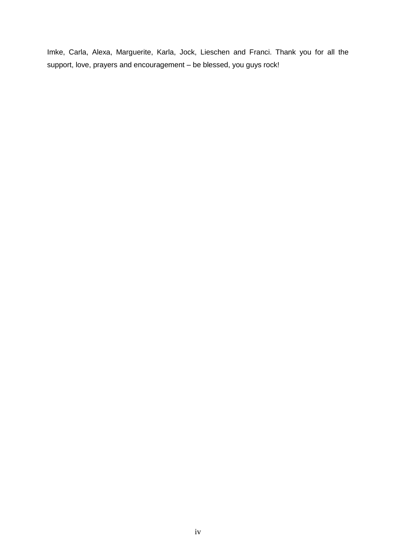Imke, Carla, Alexa, Marguerite, Karla, Jock, Lieschen and Franci. Thank you for all the support, love, prayers and encouragement – be blessed, you guys rock!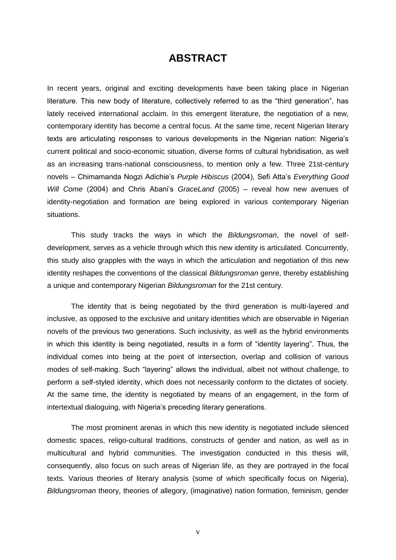### **ABSTRACT**

In recent years, original and exciting developments have been taking place in Nigerian literature. This new body of literature, collectively referred to as the "third generation", has lately received international acclaim. In this emergent literature, the negotiation of a new, contemporary identity has become a central focus. At the same time, recent Nigerian literary texts are articulating responses to various developments in the Nigerian nation: Nigeria's current political and socio-economic situation, diverse forms of cultural hybridisation, as well as an increasing trans-national consciousness, to mention only a few. Three 21st-century novels – Chimamanda Nogzi Adichie's *Purple Hibiscus* (2004), Sefi Atta's *Everything Good Will Come* (2004) and Chris Abani's *GraceLand* (2005) – reveal how new avenues of identity-negotiation and formation are being explored in various contemporary Nigerian situations.

This study tracks the ways in which the *Bildungsroman*, the novel of selfdevelopment, serves as a vehicle through which this new identity is articulated. Concurrently, this study also grapples with the ways in which the articulation and negotiation of this new identity reshapes the conventions of the classical *Bildungsroman* genre, thereby establishing a unique and contemporary Nigerian *Bildungsroman* for the 21st century.

The identity that is being negotiated by the third generation is multi-layered and inclusive, as opposed to the exclusive and unitary identities which are observable in Nigerian novels of the previous two generations. Such inclusivity, as well as the hybrid environments in which this identity is being negotiated, results in a form of "identity layering". Thus, the individual comes into being at the point of intersection, overlap and collision of various modes of self-making. Such "layering" allows the individual, albeit not without challenge, to perform a self-styled identity, which does not necessarily conform to the dictates of society. At the same time, the identity is negotiated by means of an engagement, in the form of intertextual dialoguing, with Nigeria's preceding literary generations.

The most prominent arenas in which this new identity is negotiated include silenced domestic spaces, religo-cultural traditions, constructs of gender and nation, as well as in multicultural and hybrid communities. The investigation conducted in this thesis will, consequently, also focus on such areas of Nigerian life, as they are portrayed in the focal texts. Various theories of literary analysis (some of which specifically focus on Nigeria), *Bildungsroman* theory, theories of allegory, (imaginative) nation formation, feminism, gender

v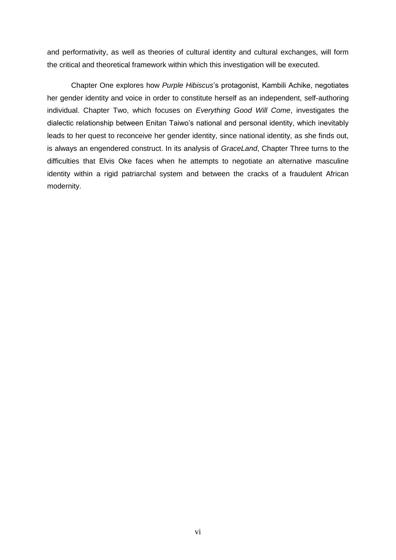and performativity, as well as theories of cultural identity and cultural exchanges, will form the critical and theoretical framework within which this investigation will be executed.

Chapter One explores how *Purple Hibiscus*'s protagonist, Kambili Achike, negotiates her gender identity and voice in order to constitute herself as an independent, self-authoring individual. Chapter Two, which focuses on *Everything Good Will Come*, investigates the dialectic relationship between Enitan Taiwo's national and personal identity, which inevitably leads to her quest to reconceive her gender identity, since national identity, as she finds out, is always an engendered construct. In its analysis of *GraceLand*, Chapter Three turns to the difficulties that Elvis Oke faces when he attempts to negotiate an alternative masculine identity within a rigid patriarchal system and between the cracks of a fraudulent African modernity.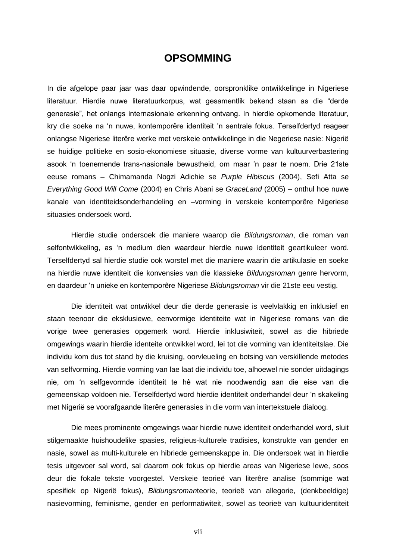#### **OPSOMMING**

In die afgelope paar jaar was daar opwindende, oorspronklike ontwikkelinge in Nigeriese literatuur. Hierdie nuwe literatuurkorpus, wat gesamentlik bekend staan as die "derde generasie‖, het onlangs internasionale erkenning ontvang. In hierdie opkomende literatuur, kry die soeke na ‗n nuwe, kontemporêre identiteit 'n sentrale fokus. Terselfdertyd reageer onlangse Nigeriese literêre werke met verskeie ontwikkelinge in die Negeriese nasie: Nigerië se huidige politieke en sosio-ekonomiese situasie, diverse vorme van kultuurverbastering asook ‗n toenemende trans-nasionale bewustheid, om maar 'n paar te noem. Drie 21ste eeuse romans – Chimamanda Nogzi Adichie se *Purple Hibiscus* (2004), Sefi Atta se *Everything Good Will Come* (2004) en Chris Abani se *GraceLand* (2005) – onthul hoe nuwe kanale van identiteidsonderhandeling en –vorming in verskeie kontemporêre Nigeriese situasies ondersoek word.

Hierdie studie ondersoek die maniere waarop die *Bildungsroman*, die roman van selfontwikkeling, as ‗n medium dien waardeur hierdie nuwe identiteit geartikuleer word. Terselfdertyd sal hierdie studie ook worstel met die maniere waarin die artikulasie en soeke na hierdie nuwe identiteit die konvensies van die klassieke *Bildungsroman* genre hervorm, en daardeur ‗n unieke en kontemporêre Nigeriese *Bildungsroman* vir die 21ste eeu vestig.

Die identiteit wat ontwikkel deur die derde generasie is veelvlakkig en inklusief en staan teenoor die eksklusiewe, eenvormige identiteite wat in Nigeriese romans van die vorige twee generasies opgemerk word. Hierdie inklusiwiteit, sowel as die hibriede omgewings waarin hierdie identeite ontwikkel word, lei tot die vorming van identiteitslae. Die individu kom dus tot stand by die kruising, oorvleueling en botsing van verskillende metodes van selfvorming. Hierdie vorming van lae laat die individu toe, alhoewel nie sonder uitdagings nie, om ‗n selfgevormde identiteit te hê wat nie noodwendig aan die eise van die gemeenskap voldoen nie. Terselfdertyd word hierdie identiteit onderhandel deur 'n skakeling met Nigerië se voorafgaande literêre generasies in die vorm van intertekstuele dialoog.

Die mees prominente omgewings waar hierdie nuwe identiteit onderhandel word, sluit stilgemaakte huishoudelike spasies, religieus-kulturele tradisies, konstrukte van gender en nasie, sowel as multi-kulturele en hibriede gemeenskappe in. Die ondersoek wat in hierdie tesis uitgevoer sal word, sal daarom ook fokus op hierdie areas van Nigeriese lewe, soos deur die fokale tekste voorgestel. Verskeie teorieë van literêre analise (sommige wat spesifiek op Nigerië fokus), *Bildungsroman*teorie, teorieë van allegorie, (denkbeeldige) nasievorming, feminisme, gender en performatiwiteit, sowel as teorieë van kultuuridentiteit

vii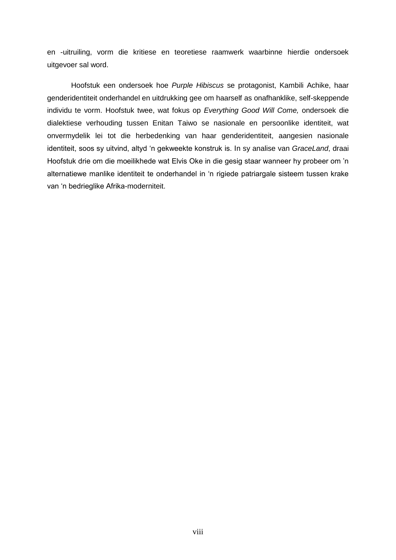en -uitruiling, vorm die kritiese en teoretiese raamwerk waarbinne hierdie ondersoek uitgevoer sal word.

Hoofstuk een ondersoek hoe *Purple Hibiscus* se protagonist, Kambili Achike, haar genderidentiteit onderhandel en uitdrukking gee om haarself as onafhanklike, self-skeppende individu te vorm. Hoofstuk twee, wat fokus op *Everything Good Will Come,* ondersoek die dialektiese verhouding tussen Enitan Taiwo se nasionale en persoonlike identiteit, wat onvermydelik lei tot die herbedenking van haar genderidentiteit, aangesien nasionale identiteit, soos sy uitvind, altyd 'n gekweekte konstruk is. In sy analise van *GraceLand*, draai Hoofstuk drie om die moeilikhede wat Elvis Oke in die gesig staar wanneer hy probeer om 'n alternatiewe manlike identiteit te onderhandel in 'n rigiede patriargale sisteem tussen krake van 'n bedrieglike Afrika-moderniteit.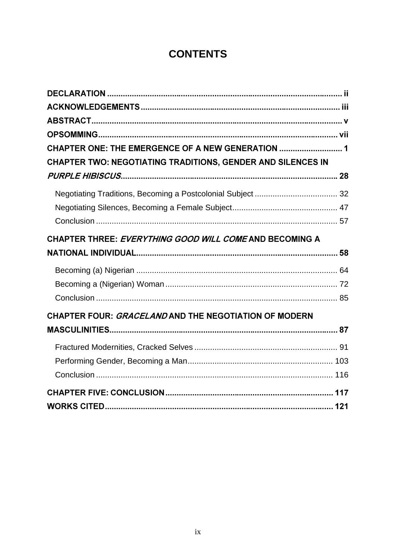## **CONTENTS**

| CHAPTER ONE: THE EMERGENCE OF A NEW GENERATION  1                  |  |
|--------------------------------------------------------------------|--|
| <b>CHAPTER TWO: NEGOTIATING TRADITIONS, GENDER AND SILENCES IN</b> |  |
|                                                                    |  |
|                                                                    |  |
|                                                                    |  |
|                                                                    |  |
| CHAPTER THREE: EVERYTHING GOOD WILL COME AND BECOMING A            |  |
|                                                                    |  |
|                                                                    |  |
|                                                                    |  |
|                                                                    |  |
| CHAPTER FOUR: GRACELAND AND THE NEGOTIATION OF MODERN              |  |
|                                                                    |  |
|                                                                    |  |
|                                                                    |  |
|                                                                    |  |
|                                                                    |  |
|                                                                    |  |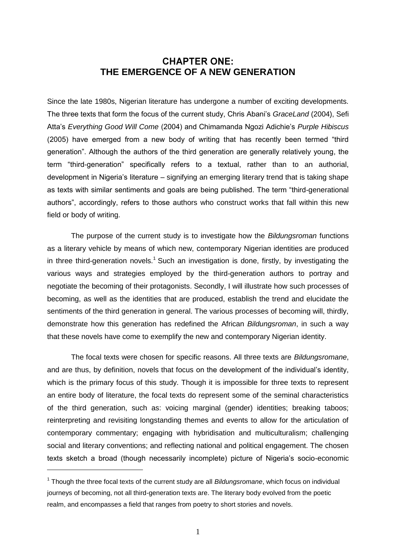#### **CHAPTER ONE: THE EMERGENCE OF A NEW GENERATION**

Since the late 1980s, Nigerian literature has undergone a number of exciting developments. The three texts that form the focus of the current study, Chris Abani's *GraceLand* (2004), Sefi Atta's *Everything Good Will Come* (2004) and Chimamanda Ngozi Adichie's *Purple Hibiscus* (2005) have emerged from a new body of writing that has recently been termed "third generation". Although the authors of the third generation are generally relatively young, the term "third-generation" specifically refers to a textual, rather than to an authorial, development in Nigeria's literature – signifying an emerging literary trend that is taking shape as texts with similar sentiments and goals are being published. The term "third-generational authors", accordingly, refers to those authors who construct works that fall within this new field or body of writing.

The purpose of the current study is to investigate how the *Bildungsroman* functions as a literary vehicle by means of which new, contemporary Nigerian identities are produced in three third-generation novels.<sup>1</sup> Such an investigation is done, firstly, by investigating the various ways and strategies employed by the third-generation authors to portray and negotiate the becoming of their protagonists. Secondly, I will illustrate how such processes of becoming, as well as the identities that are produced, establish the trend and elucidate the sentiments of the third generation in general. The various processes of becoming will, thirdly, demonstrate how this generation has redefined the African *Bildungsroman*, in such a way that these novels have come to exemplify the new and contemporary Nigerian identity.

The focal texts were chosen for specific reasons. All three texts are *Bildungsromane*, and are thus, by definition, novels that focus on the development of the individual's identity, which is the primary focus of this study. Though it is impossible for three texts to represent an entire body of literature, the focal texts do represent some of the seminal characteristics of the third generation, such as: voicing marginal (gender) identities; breaking taboos; reinterpreting and revisiting longstanding themes and events to allow for the articulation of contemporary commentary; engaging with hybridisation and multiculturalism; challenging social and literary conventions; and reflecting national and political engagement. The chosen texts sketch a broad (though necessarily incomplete) picture of Nigeria's socio-economic

<sup>&</sup>lt;sup>1</sup> Though the three focal texts of the current study are all *Bildungsromane*, which focus on individual journeys of becoming, not all third-generation texts are. The literary body evolved from the poetic realm, and encompasses a field that ranges from poetry to short stories and novels.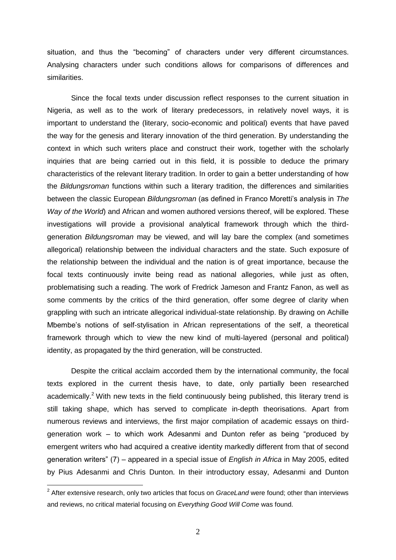situation, and thus the "becoming" of characters under very different circumstances. Analysing characters under such conditions allows for comparisons of differences and similarities.

Since the focal texts under discussion reflect responses to the current situation in Nigeria, as well as to the work of literary predecessors, in relatively novel ways, it is important to understand the (literary, socio-economic and political) events that have paved the way for the genesis and literary innovation of the third generation. By understanding the context in which such writers place and construct their work, together with the scholarly inquiries that are being carried out in this field, it is possible to deduce the primary characteristics of the relevant literary tradition. In order to gain a better understanding of how the *Bildungsroman* functions within such a literary tradition, the differences and similarities between the classic European *Bildungsroman* (as defined in Franco Moretti's analysis in *The Way of the World*) and African and women authored versions thereof, will be explored. These investigations will provide a provisional analytical framework through which the thirdgeneration *Bildungsroman* may be viewed, and will lay bare the complex (and sometimes allegorical) relationship between the individual characters and the state. Such exposure of the relationship between the individual and the nation is of great importance, because the focal texts continuously invite being read as national allegories, while just as often, problematising such a reading. The work of Fredrick Jameson and Frantz Fanon, as well as some comments by the critics of the third generation, offer some degree of clarity when grappling with such an intricate allegorical individual-state relationship. By drawing on Achille Mbembe's notions of self-stylisation in African representations of the self, a theoretical framework through which to view the new kind of multi-layered (personal and political) identity, as propagated by the third generation, will be constructed.

Despite the critical acclaim accorded them by the international community, the focal texts explored in the current thesis have, to date, only partially been researched academically.<sup>2</sup> With new texts in the field continuously being published, this literary trend is still taking shape, which has served to complicate in-depth theorisations. Apart from numerous reviews and interviews, the first major compilation of academic essays on thirdgeneration work – to which work Adesanmi and Dunton refer as being "produced by emergent writers who had acquired a creative identity markedly different from that of second generation writers‖ (7) – appeared in a special issue of *English in Africa* in May 2005, edited by Pius Adesanmi and Chris Dunton. In their introductory essay, Adesanmi and Dunton

<sup>2</sup> After extensive research, only two articles that focus on *GraceLand* were found; other than interviews and reviews, no critical material focusing on *Everything Good Will Come* was found.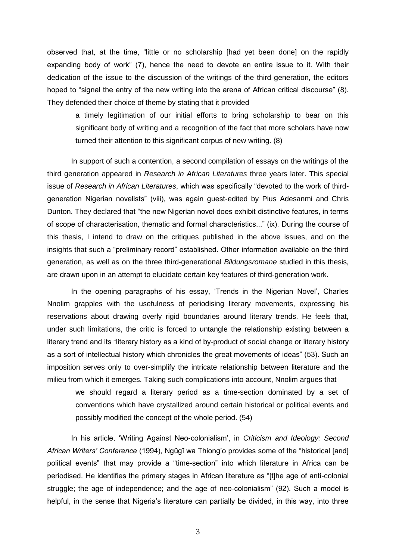observed that, at the time, "little or no scholarship [had yet been done] on the rapidly expanding body of work" (7), hence the need to devote an entire issue to it. With their dedication of the issue to the discussion of the writings of the third generation, the editors hoped to "signal the entry of the new writing into the arena of African critical discourse" (8). They defended their choice of theme by stating that it provided

a timely legitimation of our initial efforts to bring scholarship to bear on this significant body of writing and a recognition of the fact that more scholars have now turned their attention to this significant corpus of new writing. (8)

In support of such a contention, a second compilation of essays on the writings of the third generation appeared in *Research in African Literatures* three years later. This special issue of *Research in African Literatures*, which was specifically "devoted to the work of thirdgeneration Nigerian novelists" (viii), was again guest-edited by Pius Adesanmi and Chris Dunton. They declared that "the new Nigerian novel does exhibit distinctive features, in terms of scope of characterisation, thematic and formal characteristics...‖ (ix). During the course of this thesis, I intend to draw on the critiques published in the above issues, and on the insights that such a "preliminary record" established. Other information available on the third generation, as well as on the three third-generational *Bildungsromane* studied in this thesis, are drawn upon in an attempt to elucidate certain key features of third-generation work.

In the opening paragraphs of his essay, 'Trends in the Nigerian Novel', Charles Nnolim grapples with the usefulness of periodising literary movements, expressing his reservations about drawing overly rigid boundaries around literary trends. He feels that, under such limitations, the critic is forced to untangle the relationship existing between a literary trend and its "literary history as a kind of by-product of social change or literary history as a sort of intellectual history which chronicles the great movements of ideas" (53). Such an imposition serves only to over-simplify the intricate relationship between literature and the milieu from which it emerges. Taking such complications into account, Nnolim argues that

we should regard a literary period as a time-section dominated by a set of conventions which have crystallized around certain historical or political events and possibly modified the concept of the whole period. (54)

In his article, ‗Writing Against Neo-colonialism', in *Criticism and Ideology: Second African Writers' Conference* (1994), Ngũgĩ wa Thiong'o provides some of the "historical [and] political events" that may provide a "time-section" into which literature in Africa can be periodised. He identifies the primary stages in African literature as "[t]he age of anti-colonial struggle; the age of independence; and the age of neo-colonialism" (92). Such a model is helpful, in the sense that Nigeria's literature can partially be divided, in this way, into three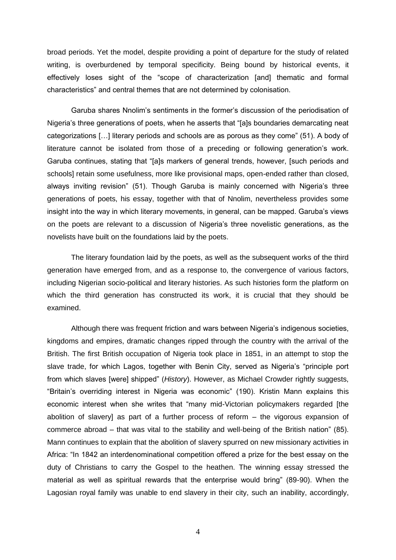broad periods. Yet the model, despite providing a point of departure for the study of related writing, is overburdened by temporal specificity. Being bound by historical events, it effectively loses sight of the "scope of characterization [and] thematic and formal characteristics‖ and central themes that are not determined by colonisation.

Garuba shares Nnolim's sentiments in the former's discussion of the periodisation of Nigeria's three generations of poets, when he asserts that "[a]s boundaries demarcating neat categorizations  $[...]$  literary periods and schools are as porous as they come" (51). A body of literature cannot be isolated from those of a preceding or following generation's work. Garuba continues, stating that "[a]s markers of general trends, however, [such periods and schools] retain some usefulness, more like provisional maps, open-ended rather than closed, always inviting revision" (51). Though Garuba is mainly concerned with Nigeria's three generations of poets, his essay, together with that of Nnolim, nevertheless provides some insight into the way in which literary movements, in general, can be mapped. Garuba's views on the poets are relevant to a discussion of Nigeria's three novelistic generations, as the novelists have built on the foundations laid by the poets.

The literary foundation laid by the poets, as well as the subsequent works of the third generation have emerged from, and as a response to, the convergence of various factors, including Nigerian socio-political and literary histories. As such histories form the platform on which the third generation has constructed its work, it is crucial that they should be examined.

Although there was frequent friction and wars between Nigeria's indigenous societies, kingdoms and empires, dramatic changes ripped through the country with the arrival of the British. The first British occupation of Nigeria took place in 1851, in an attempt to stop the slave trade, for which Lagos, together with Benin City, served as Nigeria's "principle port from which slaves [were] shipped" (*History*). However, as Michael Crowder rightly suggests, ―Britain's overriding interest in Nigeria was economic‖ (190). Kristin Mann explains this economic interest when she writes that "many mid-Victorian policymakers regarded [the abolition of slavery] as part of a further process of reform – the vigorous expansion of commerce abroad – that was vital to the stability and well-being of the British nation" (85). Mann continues to explain that the abolition of slavery spurred on new missionary activities in Africa: "In 1842 an interdenominational competition offered a prize for the best essay on the duty of Christians to carry the Gospel to the heathen. The winning essay stressed the material as well as spiritual rewards that the enterprise would bring" (89-90). When the Lagosian royal family was unable to end slavery in their city, such an inability, accordingly,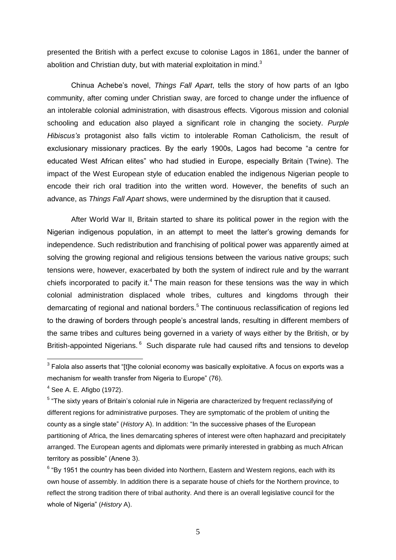presented the British with a perfect excuse to colonise Lagos in 1861, under the banner of abolition and Christian duty, but with material exploitation in mind. $3$ 

Chinua Achebe's novel, *Things Fall Apart*, tells the story of how parts of an Igbo community, after coming under Christian sway, are forced to change under the influence of an intolerable colonial administration, with disastrous effects. Vigorous mission and colonial schooling and education also played a significant role in changing the society. *Purple Hibiscus's* protagonist also falls victim to intolerable Roman Catholicism, the result of exclusionary missionary practices. By the early 1900s, Lagos had become "a centre for educated West African elites" who had studied in Europe, especially Britain (Twine). The impact of the West European style of education enabled the indigenous Nigerian people to encode their rich oral tradition into the written word. However, the benefits of such an advance, as *Things Fall Apart* shows, were undermined by the disruption that it caused.

After World War II, Britain started to share its political power in the region with the Nigerian indigenous population, in an attempt to meet the latter's growing demands for independence. Such redistribution and franchising of political power was apparently aimed at solving the growing regional and religious tensions between the various native groups; such tensions were, however, exacerbated by both the system of indirect rule and by the warrant chiefs incorporated to pacify it.<sup>4</sup> The main reason for these tensions was the way in which colonial administration displaced whole tribes, cultures and kingdoms through their demarcating of regional and national borders.<sup>5</sup> The continuous reclassification of regions led to the drawing of borders through people's ancestral lands, resulting in different members of the same tribes and cultures being governed in a variety of ways either by the British, or by British-appointed Nigerians. <sup>6</sup> Such disparate rule had caused rifts and tensions to develop

 $^3$  Falola also asserts that "[t]he colonial economy was basically exploitative. A focus on exports was a mechanism for wealth transfer from Nigeria to Europe" (76).

 $4$  See A. E. Afigbo (1972).

<sup>&</sup>lt;sup>5</sup> "The sixty years of Britain's colonial rule in Nigeria are characterized by frequent reclassifying of different regions for administrative purposes. They are symptomatic of the problem of uniting the county as a single state" (*History* A). In addition: "In the successive phases of the European partitioning of Africa, the lines demarcating spheres of interest were often haphazard and precipitately arranged. The European agents and diplomats were primarily interested in grabbing as much African territory as possible" (Anene 3).

 $<sup>6</sup>$  "By 1951 the country has been divided into Northern, Eastern and Western regions, each with its</sup> own house of assembly. In addition there is a separate house of chiefs for the Northern province, to reflect the strong tradition there of tribal authority. And there is an overall legislative council for the whole of Nigeria" (*History* A).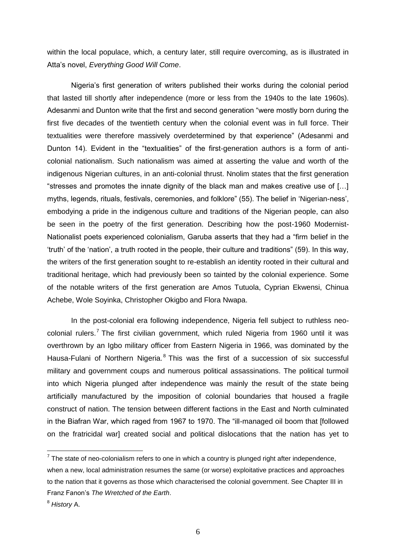within the local populace, which, a century later, still require overcoming, as is illustrated in Atta's novel, *Everything Good Will Come*.

Nigeria's first generation of writers published their works during the colonial period that lasted till shortly after independence (more or less from the 1940s to the late 1960s). Adesanmi and Dunton write that the first and second generation "were mostly born during the first five decades of the twentieth century when the colonial event was in full force. Their textualities were therefore massively overdetermined by that experience‖ (Adesanmi and Dunton 14). Evident in the "textualities" of the first-generation authors is a form of anticolonial nationalism. Such nationalism was aimed at asserting the value and worth of the indigenous Nigerian cultures, in an anti-colonial thrust. Nnolim states that the first generation "stresses and promotes the innate dignity of the black man and makes creative use of  $[...]$ myths, legends, rituals, festivals, ceremonies, and folklore" (55). The belief in 'Nigerian-ness', embodying a pride in the indigenous culture and traditions of the Nigerian people, can also be seen in the poetry of the first generation. Describing how the post-1960 Modernist-Nationalist poets experienced colonialism, Garuba asserts that they had a "firm belief in the ‗truth' of the ‗nation', a truth rooted in the people, their culture and traditions‖ (59). In this way, the writers of the first generation sought to re-establish an identity rooted in their cultural and traditional heritage, which had previously been so tainted by the colonial experience. Some of the notable writers of the first generation are Amos Tutuola, Cyprian Ekwensi, Chinua Achebe, Wole Soyinka, Christopher Okigbo and Flora Nwapa.

In the post-colonial era following independence, Nigeria fell subject to ruthless neocolonial rulers.<sup>7</sup> The first civilian government, which ruled Nigeria from 1960 until it was overthrown by an Igbo military officer from Eastern Nigeria in 1966, was dominated by the Hausa-Fulani of Northern Nigeria.<sup>8</sup> This was the first of a succession of six successful military and government coups and numerous political assassinations. The political turmoil into which Nigeria plunged after independence was mainly the result of the state being artificially manufactured by the imposition of colonial boundaries that housed a fragile construct of nation. The tension between different factions in the East and North culminated in the Biafran War, which raged from 1967 to 1970. The "ill-managed oil boom that [followed on the fratricidal war] created social and political dislocations that the nation has yet to

 $7$  The state of neo-colonialism refers to one in which a country is plunged right after independence,

when a new, local administration resumes the same (or worse) exploitative practices and approaches to the nation that it governs as those which characterised the colonial government. See Chapter III in Franz Fanon's *The Wretched of the Earth*.

<sup>8</sup> *History* A.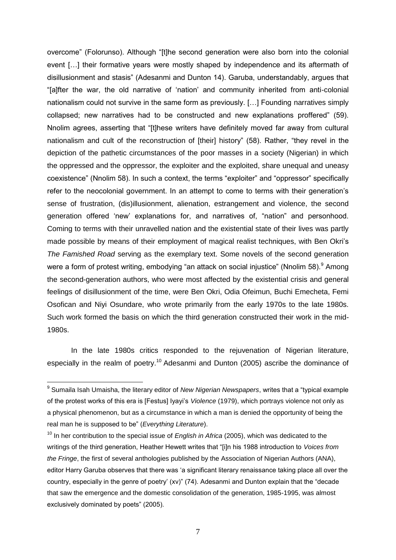overcome" (Folorunso). Although "[t]he second generation were also born into the colonial event […] their formative years were mostly shaped by independence and its aftermath of disillusionment and stasis" (Adesanmi and Dunton 14). Garuba, understandably, argues that "[a]fter the war, the old narrative of 'nation' and community inherited from anti-colonial nationalism could not survive in the same form as previously. […] Founding narratives simply collapsed; new narratives had to be constructed and new explanations proffered" (59). Nnolim agrees, asserting that "[t]hese writers have definitely moved far away from cultural nationalism and cult of the reconstruction of [their] history" (58). Rather, "they revel in the depiction of the pathetic circumstances of the poor masses in a society (Nigerian) in which the oppressed and the oppressor, the exploiter and the exploited, share unequal and uneasy coexistence" (Nnolim 58). In such a context, the terms "exploiter" and "oppressor" specifically refer to the neocolonial government. In an attempt to come to terms with their generation's sense of frustration, (dis)illusionment, alienation, estrangement and violence, the second generation offered 'new' explanations for, and narratives of, "nation" and personhood. Coming to terms with their unravelled nation and the existential state of their lives was partly made possible by means of their employment of magical realist techniques, with Ben Okri's *The Famished Road* serving as the exemplary text. Some novels of the second generation were a form of protest writing, embodying "an attack on social injustice" (Nnolim 58). Among the second-generation authors, who were most affected by the existential crisis and general feelings of disillusionment of the time, were Ben Okri, Odia Ofeimun, Buchi Emecheta, Femi Osofican and Niyi Osundare, who wrote primarily from the early 1970s to the late 1980s. Such work formed the basis on which the third generation constructed their work in the mid-1980s.

In the late 1980s critics responded to the rejuvenation of Nigerian literature, especially in the realm of poetry.<sup>10</sup> Adesanmi and Dunton (2005) ascribe the dominance of

 9 Sumaila Isah Umaisha, the literary editor of *New Nigerian Newspapers*, writes that a ―typical example of the protest works of this era is [Festus] Iyayi's *Violence* (1979), which portrays violence not only as a physical phenomenon, but as a circumstance in which a man is denied the opportunity of being the real man he is supposed to be‖ (*Everything Literature*).

<sup>&</sup>lt;sup>10</sup> In her contribution to the special issue of *English in Africa* (2005), which was dedicated to the writings of the third generation, Heather Hewett writes that "[i]n his 1988 introduction to *Voices from the Fringe*, the first of several anthologies published by the Association of Nigerian Authors (ANA), editor Harry Garuba observes that there was 'a significant literary renaissance taking place all over the country, especially in the genre of poetry' (xv)" (74). Adesanmi and Dunton explain that the "decade that saw the emergence and the domestic consolidation of the generation, 1985-1995, was almost exclusively dominated by poets" (2005).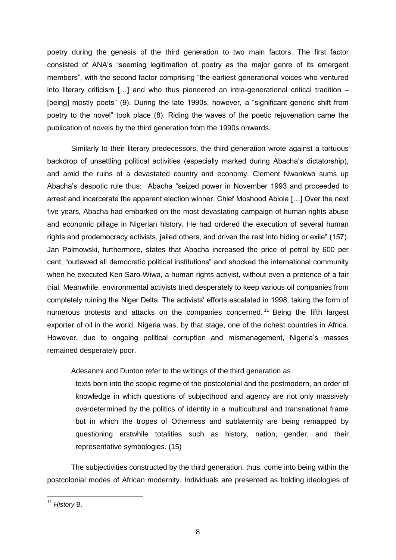poetry during the genesis of the third generation to two main factors. The first factor consisted of ANA's "seeming legitimation of poetry as the major genre of its emergent members", with the second factor comprising "the earliest generational voices who ventured into literary criticism […] and who thus pioneered an intra-generational critical tradition – [being] mostly poets" (9). During the late 1990s, however, a "significant generic shift from poetry to the novel" took place (8). Riding the waves of the poetic rejuvenation came the publication of novels by the third generation from the 1990s onwards.

Similarly to their literary predecessors, the third generation wrote against a tortuous backdrop of unsettling political activities (especially marked during Abacha's dictatorship), and amid the ruins of a devastated country and economy. Clement Nwankwo sums up Abacha's despotic rule thus: Abacha "seized power in November 1993 and proceeded to arrest and incarcerate the apparent election winner, Chief Moshood Abiola […] Over the next five years, Abacha had embarked on the most devastating campaign of human rights abuse and economic pillage in Nigerian history. He had ordered the execution of several human rights and prodemocracy activists, jailed others, and driven the rest into hiding or exile" (157). Jan Palmowski, furthermore, states that Abacha increased the price of petrol by 600 per cent, "outlawed all democratic political institutions" and shocked the international community when he executed Ken Saro-Wiwa, a human rights activist, without even a pretence of a fair trial. Meanwhile, environmental activists tried desperately to keep various oil companies from completely ruining the Niger Delta. The activists' efforts escalated in 1998, taking the form of numerous protests and attacks on the companies concerned.<sup>11</sup> Being the fifth largest exporter of oil in the world, Nigeria was, by that stage, one of the richest countries in Africa. However, due to ongoing political corruption and mismanagement, Nigeria's masses remained desperately poor.

Adesanmi and Dunton refer to the writings of the third generation as

texts born into the scopic regime of the postcolonial and the postmodern, an order of knowledge in which questions of subjecthood and agency are not only massively overdetermined by the politics of identity in a multicultural and transnational frame but in which the tropes of Otherness and sublaternity are being remapped by questioning erstwhile totalities such as history, nation, gender, and their representative symbologies. (15)

The subjectivities constructed by the third generation, thus, come into being within the postcolonial modes of African modernity. Individuals are presented as holding ideologies of

<sup>11</sup> *History* B.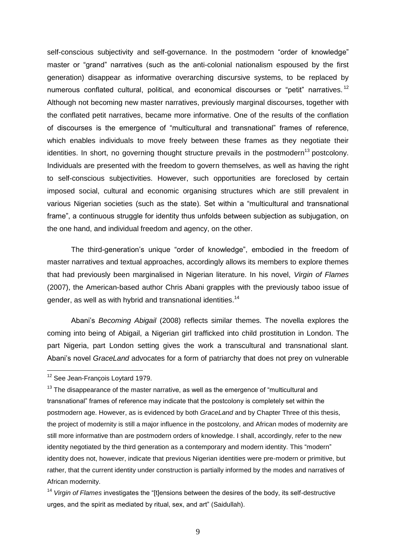self-conscious subjectivity and self-governance. In the postmodern "order of knowledge" master or "grand" narratives (such as the anti-colonial nationalism espoused by the first generation) disappear as informative overarching discursive systems, to be replaced by numerous conflated cultural, political, and economical discourses or "petit" narratives.<sup>12</sup> Although not becoming new master narratives, previously marginal discourses, together with the conflated petit narratives, became more informative. One of the results of the conflation of discourses is the emergence of "multicultural and transnational" frames of reference, which enables individuals to move freely between these frames as they negotiate their identities. In short, no governing thought structure prevails in the postmodern<sup>13</sup> postcolony. Individuals are presented with the freedom to govern themselves, as well as having the right to self-conscious subjectivities. However, such opportunities are foreclosed by certain imposed social, cultural and economic organising structures which are still prevalent in various Nigerian societies (such as the state). Set within a "multicultural and transnational frame", a continuous struggle for identity thus unfolds between subjection as subjugation, on the one hand, and individual freedom and agency, on the other.

The third-generation's unique "order of knowledge", embodied in the freedom of master narratives and textual approaches, accordingly allows its members to explore themes that had previously been marginalised in Nigerian literature. In his novel, *Virgin of Flames* (2007), the American-based author Chris Abani grapples with the previously taboo issue of gender, as well as with hybrid and transnational identities.<sup>14</sup>

Abani's *Becoming Abigail* (2008) reflects similar themes. The novella explores the coming into being of Abigail, a Nigerian girl trafficked into child prostitution in London. The part Nigeria, part London setting gives the work a transcultural and transnational slant. Abani's novel *GraceLand* advocates for a form of patriarchy that does not prey on vulnerable

<sup>&</sup>lt;sup>12</sup> See Jean-Francois Lovtard 1979.

 $13$  The disappearance of the master narrative, as well as the emergence of "multicultural and transnational‖ frames of reference may indicate that the postcolony is completely set within the postmodern age. However, as is evidenced by both *GraceLand* and by Chapter Three of this thesis, the project of modernity is still a major influence in the postcolony, and African modes of modernity are still more informative than are postmodern orders of knowledge. I shall, accordingly, refer to the new identity negotiated by the third generation as a contemporary and modern identity. This "modern" identity does not, however, indicate that previous Nigerian identities were pre-modern or primitive, but rather, that the current identity under construction is partially informed by the modes and narratives of African modernity.

<sup>&</sup>lt;sup>14</sup> Virgin of Flames investigates the "[t]ensions between the desires of the body, its self-destructive urges, and the spirit as mediated by ritual, sex, and art" (Saidullah).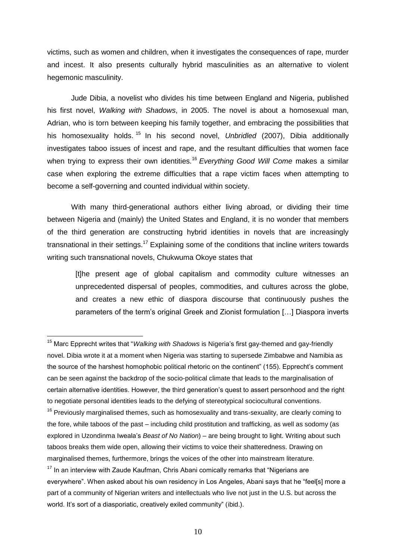victims, such as women and children, when it investigates the consequences of rape, murder and incest. It also presents culturally hybrid masculinities as an alternative to violent hegemonic masculinity.

Jude Dibia, a novelist who divides his time between England and Nigeria, published his first novel, *Walking with Shadows*, in 2005. The novel is about a homosexual man, Adrian, who is torn between keeping his family together, and embracing the possibilities that his homosexuality holds. <sup>15</sup> In his second novel, *Unbridled* (2007), Dibia additionally investigates taboo issues of incest and rape, and the resultant difficulties that women face when trying to express their own identities.<sup>16</sup> *Everything Good Will Come* makes a similar case when exploring the extreme difficulties that a rape victim faces when attempting to become a self-governing and counted individual within society.

With many third-generational authors either living abroad, or dividing their time between Nigeria and (mainly) the United States and England, it is no wonder that members of the third generation are constructing hybrid identities in novels that are increasingly transnational in their settings.<sup>17</sup> Explaining some of the conditions that incline writers towards writing such transnational novels, Chukwuma Okoye states that

[t]he present age of global capitalism and commodity culture witnesses an unprecedented dispersal of peoples, commodities, and cultures across the globe, and creates a new ethic of diaspora discourse that continuously pushes the parameters of the term's original Greek and Zionist formulation […] Diaspora inverts

<sup>&</sup>lt;sup>15</sup> Marc Epprecht writes that "*Walking with Shadows* is Nigeria's first gay-themed and gay-friendly novel. Dibia wrote it at a moment when Nigeria was starting to supersede Zimbabwe and Namibia as the source of the harshest homophobic political rhetoric on the continent" (155). Epprecht's comment can be seen against the backdrop of the socio-political climate that leads to the marginalisation of certain alternative identities. However, the third generation's quest to assert personhood and the right to negotiate personal identities leads to the defying of stereotypical sociocultural conventions.

 $16$  Previously marginalised themes, such as homosexuality and trans-sexuality, are clearly coming to the fore, while taboos of the past – including child prostitution and trafficking, as well as sodomy (as explored in Uzondinma Iweala's *Beast of No Nation*) – are being brought to light. Writing about such taboos breaks them wide open, allowing their victims to voice their shatteredness. Drawing on marginalised themes, furthermore, brings the voices of the other into mainstream literature.

 $17$  In an interview with Zaude Kaufman, Chris Abani comically remarks that "Nigerians are everywhere". When asked about his own residency in Los Angeles, Abani says that he "feel[s] more a part of a community of Nigerian writers and intellectuals who live not just in the U.S. but across the world. It's sort of a diasporiatic, creatively exiled community" (ibid.).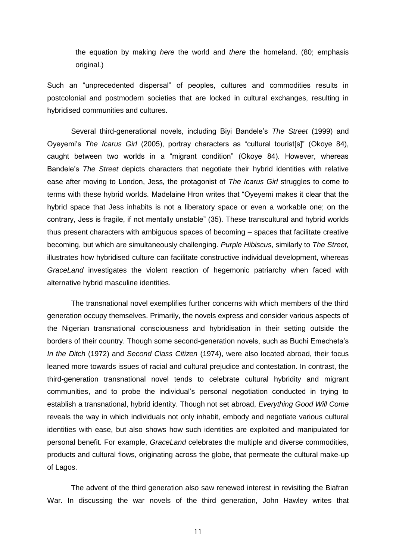the equation by making *here* the world and *there* the homeland. (80; emphasis original.)

Such an "unprecedented dispersal" of peoples, cultures and commodities results in postcolonial and postmodern societies that are locked in cultural exchanges, resulting in hybridised communities and cultures.

Several third-generational novels, including Biyi Bandele's *The Street* (1999) and Oyeyemi's *The Icarus Girl* (2005), portray characters as "cultural tourist[s]" (Okoye 84), caught between two worlds in a "migrant condition" (Okoye 84). However, whereas Bandele's *The Street* depicts characters that negotiate their hybrid identities with relative ease after moving to London, Jess, the protagonist of *The Icarus Girl* struggles to come to terms with these hybrid worlds. Madelaine Hron writes that "Oyeyemi makes it clear that the hybrid space that Jess inhabits is not a liberatory space or even a workable one; on the contrary, Jess is fragile, if not mentally unstable" (35). These transcultural and hybrid worlds thus present characters with ambiguous spaces of becoming – spaces that facilitate creative becoming, but which are simultaneously challenging. *Purple Hibiscus*, similarly to *The Street,*  illustrates how hybridised culture can facilitate constructive individual development, whereas *GraceLand* investigates the violent reaction of hegemonic patriarchy when faced with alternative hybrid masculine identities.

The transnational novel exemplifies further concerns with which members of the third generation occupy themselves. Primarily, the novels express and consider various aspects of the Nigerian transnational consciousness and hybridisation in their setting outside the borders of their country. Though some second-generation novels, such as Buchi Emecheta's *In the Ditch* (1972) and *Second Class Citizen* (1974), were also located abroad, their focus leaned more towards issues of racial and cultural prejudice and contestation. In contrast, the third-generation transnational novel tends to celebrate cultural hybridity and migrant communities, and to probe the individual's personal negotiation conducted in trying to establish a transnational, hybrid identity. Though not set abroad, *Everything Good Will Come* reveals the way in which individuals not only inhabit, embody and negotiate various cultural identities with ease, but also shows how such identities are exploited and manipulated for personal benefit. For example, *GraceLand* celebrates the multiple and diverse commodities, products and cultural flows, originating across the globe, that permeate the cultural make-up of Lagos.

The advent of the third generation also saw renewed interest in revisiting the Biafran War. In discussing the war novels of the third generation, John Hawley writes that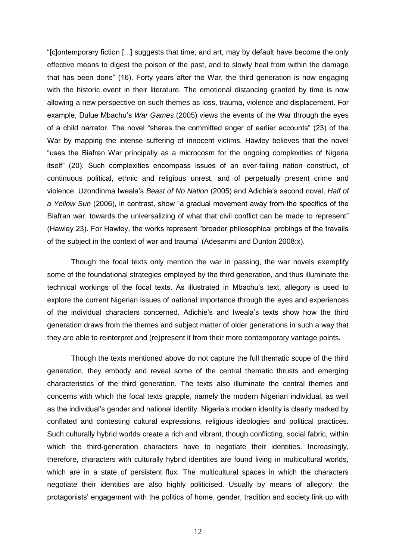―[c]ontemporary fiction [...] suggests that time, and art, may by default have become the only effective means to digest the poison of the past, and to slowly heal from within the damage that has been done" (16). Forty years after the War, the third generation is now engaging with the historic event in their literature. The emotional distancing granted by time is now allowing a new perspective on such themes as loss, trauma, violence and displacement. For example, Dulue Mbachu's *War Games* (2005) views the events of the War through the eyes of a child narrator. The novel "shares the committed anger of earlier accounts" (23) of the War by mapping the intense suffering of innocent victims. Hawley believes that the novel "uses the Biafran War principally as a microcosm for the ongoing complexities of Nigeria itself" (20). Such complexities encompass issues of an ever-failing nation construct, of continuous political, ethnic and religious unrest, and of perpetually present crime and violence. Uzondinma Iweala's *Beast of No Nation* (2005) and Adichie's second novel, *Half of a Yellow Sun* (2006), in contrast, show "a gradual movement away from the specifics of the Biafran war, towards the universalizing of what that civil conflict can be made to represent" (Hawley 23). For Hawley, the works represent "broader philosophical probings of the travails of the subject in the context of war and trauma" (Adesanmi and Dunton 2008:x).

Though the focal texts only mention the war in passing, the war novels exemplify some of the foundational strategies employed by the third generation, and thus illuminate the technical workings of the focal texts. As illustrated in Mbachu's text, allegory is used to explore the current Nigerian issues of national importance through the eyes and experiences of the individual characters concerned. Adichie's and Iweala's texts show how the third generation draws from the themes and subject matter of older generations in such a way that they are able to reinterpret and (re)present it from their more contemporary vantage points.

Though the texts mentioned above do not capture the full thematic scope of the third generation, they embody and reveal some of the central thematic thrusts and emerging characteristics of the third generation. The texts also illuminate the central themes and concerns with which the focal texts grapple, namely the modern Nigerian individual, as well as the individual's gender and national identity. Nigeria's modern identity is clearly marked by conflated and contesting cultural expressions, religious ideologies and political practices. Such culturally hybrid worlds create a rich and vibrant, though conflicting, social fabric, within which the third-generation characters have to negotiate their identities. Increasingly, therefore, characters with culturally hybrid identities are found living in multicultural worlds, which are in a state of persistent flux. The multicultural spaces in which the characters negotiate their identities are also highly politicised. Usually by means of allegory, the protagonists' engagement with the politics of home, gender, tradition and society link up with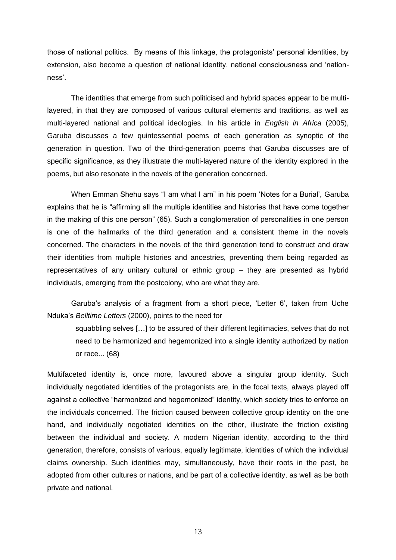those of national politics. By means of this linkage, the protagonists' personal identities, by extension, also become a question of national identity, national consciousness and 'nationness'.

The identities that emerge from such politicised and hybrid spaces appear to be multilayered, in that they are composed of various cultural elements and traditions, as well as multi-layered national and political ideologies. In his article in *English in Africa* (2005), Garuba discusses a few quintessential poems of each generation as synoptic of the generation in question. Two of the third-generation poems that Garuba discusses are of specific significance, as they illustrate the multi-layered nature of the identity explored in the poems, but also resonate in the novels of the generation concerned.

When Emman Shehu says "I am what I am" in his poem 'Notes for a Burial', Garuba explains that he is "affirming all the multiple identities and histories that have come together in the making of this one person" (65). Such a conglomeration of personalities in one person is one of the hallmarks of the third generation and a consistent theme in the novels concerned. The characters in the novels of the third generation tend to construct and draw their identities from multiple histories and ancestries, preventing them being regarded as representatives of any unitary cultural or ethnic group – they are presented as hybrid individuals, emerging from the postcolony, who are what they are.

Garuba's analysis of a fragment from a short piece, 'Letter 6', taken from Uche Nduka's *Belltime Letters* (2000), points to the need for

squabbling selves […] to be assured of their different legitimacies, selves that do not need to be harmonized and hegemonized into a single identity authorized by nation or race... (68)

Multifaceted identity is, once more, favoured above a singular group identity. Such individually negotiated identities of the protagonists are, in the focal texts, always played off against a collective "harmonized and hegemonized" identity, which society tries to enforce on the individuals concerned. The friction caused between collective group identity on the one hand, and individually negotiated identities on the other, illustrate the friction existing between the individual and society. A modern Nigerian identity, according to the third generation, therefore, consists of various, equally legitimate, identities of which the individual claims ownership. Such identities may, simultaneously, have their roots in the past, be adopted from other cultures or nations, and be part of a collective identity, as well as be both private and national.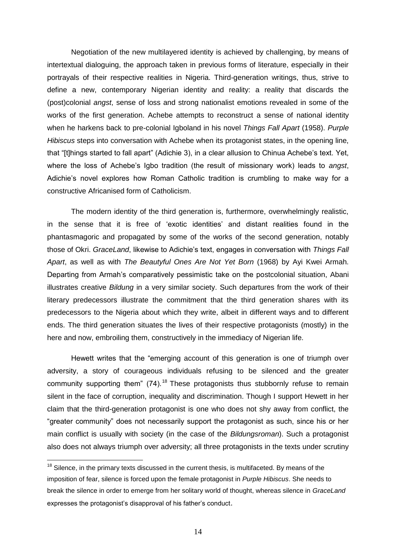Negotiation of the new multilayered identity is achieved by challenging, by means of intertextual dialoguing, the approach taken in previous forms of literature, especially in their portrayals of their respective realities in Nigeria. Third-generation writings, thus, strive to define a new, contemporary Nigerian identity and reality: a reality that discards the (post)colonial *angst*, sense of loss and strong nationalist emotions revealed in some of the works of the first generation. Achebe attempts to reconstruct a sense of national identity when he harkens back to pre-colonial Igboland in his novel *Things Fall Apart* (1958). *Purple Hibiscus* steps into conversation with Achebe when its protagonist states, in the opening line, that "[t]hings started to fall apart" (Adichie 3), in a clear allusion to Chinua Achebe's text. Yet, where the loss of Achebe's Igbo tradition (the result of missionary work) leads to *angst*, Adichie's novel explores how Roman Catholic tradition is crumbling to make way for a constructive Africanised form of Catholicism.

The modern identity of the third generation is, furthermore, overwhelmingly realistic, in the sense that it is free of ‗exotic identities' and distant realities found in the phantasmagoric and propagated by some of the works of the second generation, notably those of Okri. *GraceLand*, likewise to Adichie's text, engages in conversation with *Things Fall Apart*, as well as with *The Beautyful Ones Are Not Yet Born* (1968) by Ayi Kwei Armah. Departing from Armah's comparatively pessimistic take on the postcolonial situation, Abani illustrates creative *Bildung* in a very similar society. Such departures from the work of their literary predecessors illustrate the commitment that the third generation shares with its predecessors to the Nigeria about which they write, albeit in different ways and to different ends. The third generation situates the lives of their respective protagonists (mostly) in the here and now, embroiling them, constructively in the immediacy of Nigerian life.

Hewett writes that the "emerging account of this generation is one of triumph over adversity, a story of courageous individuals refusing to be silenced and the greater community supporting them"  $(74)$ .<sup>18</sup> These protagonists thus stubbornly refuse to remain silent in the face of corruption, inequality and discrimination. Though I support Hewett in her claim that the third-generation protagonist is one who does not shy away from conflict, the ―greater community‖ does not necessarily support the protagonist as such, since his or her main conflict is usually with society (in the case of the *Bildungsroman*). Such a protagonist also does not always triumph over adversity; all three protagonists in the texts under scrutiny

 $18$  Silence, in the primary texts discussed in the current thesis, is multifaceted. By means of the imposition of fear, silence is forced upon the female protagonist in *Purple Hibiscus*. She needs to break the silence in order to emerge from her solitary world of thought, whereas silence in *GraceLand* expresses the protagonist's disapproval of his father's conduct.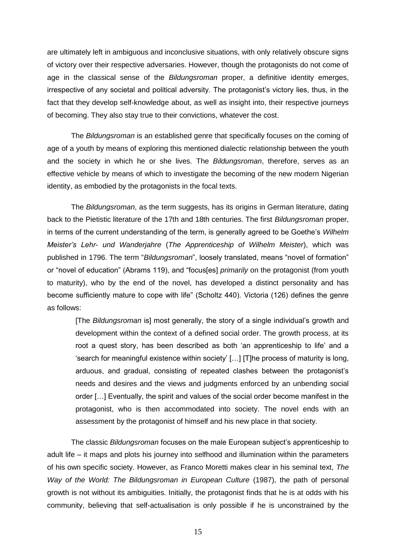are ultimately left in ambiguous and inconclusive situations, with only relatively obscure signs of victory over their respective adversaries. However, though the protagonists do not come of age in the classical sense of the *Bildungsroman* proper, a definitive identity emerges, irrespective of any societal and political adversity. The protagonist's victory lies, thus, in the fact that they develop self-knowledge about, as well as insight into, their respective journeys of becoming. They also stay true to their convictions, whatever the cost.

The *Bildungsroman* is an established genre that specifically focuses on the coming of age of a youth by means of exploring this mentioned dialectic relationship between the youth and the society in which he or she lives. The *Bildungsroman*, therefore, serves as an effective vehicle by means of which to investigate the becoming of the new modern Nigerian identity, as embodied by the protagonists in the focal texts.

The *Bildungsroman*, as the term suggests, has its origins in German literature, dating back to the Pietistic literature of the 17th and 18th centuries. The first *Bildungsroman* proper, in terms of the current understanding of the term, is generally agreed to be Goethe's *Wilhelm Meister's Lehr- und Wanderjahre* (*The Apprenticeship of Wilhelm Meister*), which was published in 1796. The term "Bildungsroman", loosely translated, means "novel of formation" or "novel of education" (Abrams 119), and "focus[es] *primarily* on the protagonist (from youth to maturity), who by the end of the novel, has developed a distinct personality and has become sufficiently mature to cope with life" (Scholtz 440). Victoria (126) defines the genre as follows:

[The *Bildungsroman* is] most generally, the story of a single individual's growth and development within the context of a defined social order. The growth process, at its root a quest story, has been described as both 'an apprenticeship to life' and a 'search for meaningful existence within society' [...] [T]he process of maturity is long, arduous, and gradual, consisting of repeated clashes between the protagonist's needs and desires and the views and judgments enforced by an unbending social order […] Eventually, the spirit and values of the social order become manifest in the protagonist, who is then accommodated into society. The novel ends with an assessment by the protagonist of himself and his new place in that society.

The classic *Bildungsroman* focuses on the male European subject's apprenticeship to adult life – it maps and plots his journey into selfhood and illumination within the parameters of his own specific society. However, as Franco Moretti makes clear in his seminal text, *The Way of the World: The Bildungsroman in European Culture* (1987), the path of personal growth is not without its ambiguities. Initially, the protagonist finds that he is at odds with his community, believing that self-actualisation is only possible if he is unconstrained by the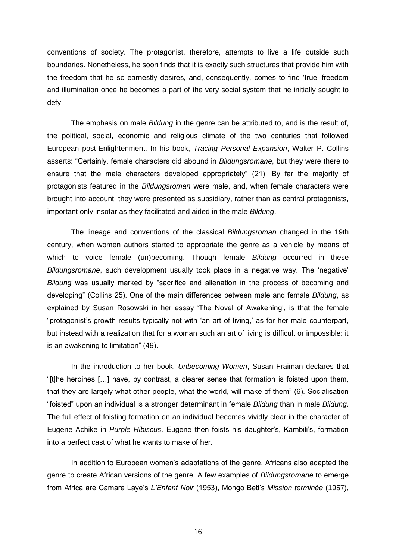conventions of society. The protagonist, therefore, attempts to live a life outside such boundaries. Nonetheless, he soon finds that it is exactly such structures that provide him with the freedom that he so earnestly desires, and, consequently, comes to find ‗true' freedom and illumination once he becomes a part of the very social system that he initially sought to defy.

The emphasis on male *Bildung* in the genre can be attributed to, and is the result of, the political, social, economic and religious climate of the two centuries that followed European post-Enlightenment. In his book, *Tracing Personal Expansion*, Walter P. Collins asserts: "Certainly, female characters did abound in *Bildungsromane*, but they were there to ensure that the male characters developed appropriately" (21). By far the majority of protagonists featured in the *Bildungsroman* were male, and, when female characters were brought into account, they were presented as subsidiary, rather than as central protagonists, important only insofar as they facilitated and aided in the male *Bildung*.

The lineage and conventions of the classical *Bildungsroman* changed in the 19th century, when women authors started to appropriate the genre as a vehicle by means of which to voice female (un)becoming. Though female *Bildung* occurred in these *Bildungsromane*, such development usually took place in a negative way. The 'negative' *Bildung* was usually marked by "sacrifice and alienation in the process of becoming and developing‖ (Collins 25). One of the main differences between male and female *Bildung*, as explained by Susan Rosowski in her essay 'The Novel of Awakening', is that the female "protagonist's growth results typically not with 'an art of living,' as for her male counterpart, but instead with a realization that for a woman such an art of living is difficult or impossible: it is an awakening to limitation" (49).

In the introduction to her book, *Unbecoming Women*, Susan Fraiman declares that ―[t]he heroines […] have, by contrast, a clearer sense that formation is foisted upon them, that they are largely what other people, what the world, will make of them" (6). Socialisation ―foisted‖ upon an individual is a stronger determinant in female *Bildung* than in male *Bildung*. The full effect of foisting formation on an individual becomes vividly clear in the character of Eugene Achike in *Purple Hibiscus*. Eugene then foists his daughter's, Kambili's, formation into a perfect cast of what he wants to make of her.

In addition to European women's adaptations of the genre, Africans also adapted the genre to create African versions of the genre. A few examples of *Bildungsromane* to emerge from Africa are Camare Laye's *L'Enfant Noir* (1953), Mongo Beti's *Mission terminée* (1957),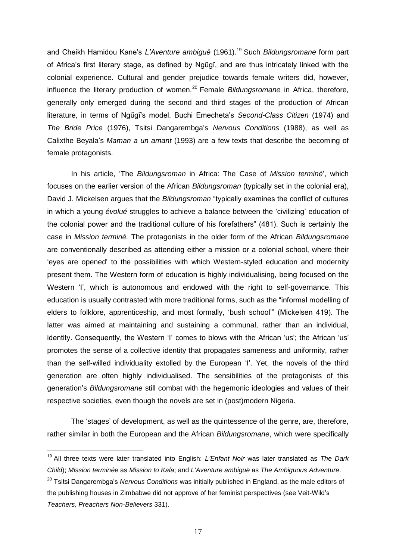and Cheikh Hamidou Kane's *L'Aventure ambiguë* (1961).<sup>19</sup> Such *Bildungsromane* form part of Africa's first literary stage, as defined by Ngũgĩ, and are thus intricately linked with the colonial experience. Cultural and gender prejudice towards female writers did, however, influence the literary production of women.<sup>20</sup> Female *Bildungsromane* in Africa, therefore, generally only emerged during the second and third stages of the production of African literature, in terms of Ngũgĩ's model. Buchi Emecheta's *Second-Class Citizen* (1974) and *The Bride Price* (1976), Tsitsi Dangarembga's *Nervous Conditions* (1988), as well as Calixthe Beyala's *Maman a un amant* (1993) are a few texts that describe the becoming of female protagonists.

In his article, ‗The *Bildungsroman* in Africa: The Case of *Mission terminé*', which focuses on the earlier version of the African *Bildungsroman* (typically set in the colonial era), David J. Mickelsen argues that the *Bildungsroman* "typically examines the conflict of cultures in which a young *évolué* struggles to achieve a balance between the 'civilizing' education of the colonial power and the traditional culture of his forefathers" (481). Such is certainly the case in *Mission terminé.* The protagonists in the older form of the African *Bildungsromane* are conventionally described as attending either a mission or a colonial school, where their ‗eyes are opened' to the possibilities with which Western-styled education and modernity present them. The Western form of education is highly individualising, being focused on the Western 'I', which is autonomous and endowed with the right to self-governance. This education is usually contrasted with more traditional forms, such as the "informal modelling of elders to folklore, apprenticeship, and most formally, 'bush school'" (Mickelsen 419). The latter was aimed at maintaining and sustaining a communal, rather than an individual, identity. Consequently, the Western 'I' comes to blows with the African 'us'; the African 'us' promotes the sense of a collective identity that propagates sameness and uniformity, rather than the self-willed individuality extolled by the European 'I'. Yet, the novels of the third generation are often highly individualised. The sensibilities of the protagonists of this generation's *Bildungsromane* still combat with the hegemonic ideologies and values of their respective societies, even though the novels are set in (post)modern Nigeria.

The 'stages' of development, as well as the quintessence of the genre, are, therefore, rather similar in both the European and the African *Bildungsromane*, which were specifically

<sup>19</sup> All three texts were later translated into English: *L'Enfant Noir* was later translated as *The Dark Child*); *Mission terminée* as *Mission to Kala*; and *L'Aventure ambiguë* as *The Ambiguous Adventure*. <sup>20</sup> Tsitsi Dangarembga's *Nervous Conditions* was initially published in England, as the male editors of the publishing houses in Zimbabwe did not approve of her feminist perspectives (see Veit-Wild's *Teachers, Preachers Non-Believers* 331).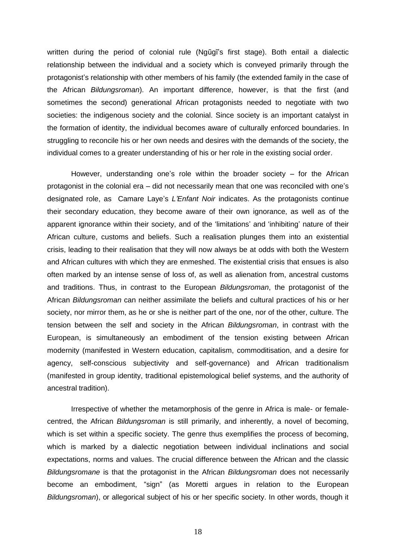written during the period of colonial rule (Ngũgĩ's first stage). Both entail a dialectic relationship between the individual and a society which is conveyed primarily through the protagonist's relationship with other members of his family (the extended family in the case of the African *Bildungsroman*). An important difference, however, is that the first (and sometimes the second) generational African protagonists needed to negotiate with two societies: the indigenous society and the colonial. Since society is an important catalyst in the formation of identity, the individual becomes aware of culturally enforced boundaries. In struggling to reconcile his or her own needs and desires with the demands of the society, the individual comes to a greater understanding of his or her role in the existing social order.

However, understanding one's role within the broader society – for the African protagonist in the colonial era – did not necessarily mean that one was reconciled with one's designated role, as Camare Laye's *L'Enfant Noir* indicates. As the protagonists continue their secondary education, they become aware of their own ignorance, as well as of the apparent ignorance within their society, and of the 'limitations' and 'inhibiting' nature of their African culture, customs and beliefs. Such a realisation plunges them into an existential crisis, leading to their realisation that they will now always be at odds with both the Western and African cultures with which they are enmeshed. The existential crisis that ensues is also often marked by an intense sense of loss of, as well as alienation from, ancestral customs and traditions. Thus, in contrast to the European *Bildungsroman*, the protagonist of the African *Bildungsroman* can neither assimilate the beliefs and cultural practices of his or her society, nor mirror them, as he or she is neither part of the one, nor of the other, culture. The tension between the self and society in the African *Bildungsroman*, in contrast with the European, is simultaneously an embodiment of the tension existing between African modernity (manifested in Western education, capitalism, commoditisation, and a desire for agency, self-conscious subjectivity and self-governance) and African traditionalism (manifested in group identity, traditional epistemological belief systems, and the authority of ancestral tradition).

Irrespective of whether the metamorphosis of the genre in Africa is male- or femalecentred, the African *Bildungsroman* is still primarily, and inherently, a novel of becoming, which is set within a specific society. The genre thus exemplifies the process of becoming, which is marked by a dialectic negotiation between individual inclinations and social expectations, norms and values. The crucial difference between the African and the classic *Bildungsromane* is that the protagonist in the African *Bildungsroman* does not necessarily become an embodiment, "sign" (as Moretti argues in relation to the European *Bildungsroman*), or allegorical subject of his or her specific society. In other words, though it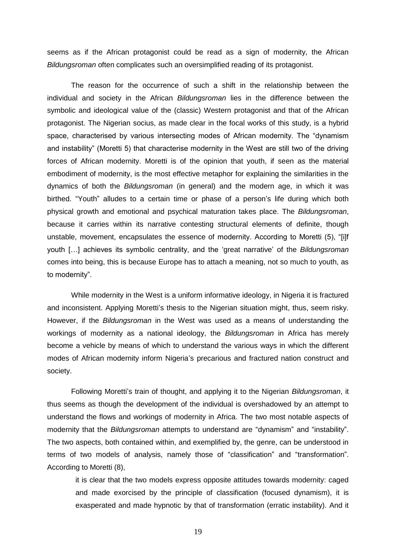seems as if the African protagonist could be read as a sign of modernity, the African *Bildungsroman* often complicates such an oversimplified reading of its protagonist.

The reason for the occurrence of such a shift in the relationship between the individual and society in the African *Bildungsroman* lies in the difference between the symbolic and ideological value of the (classic) Western protagonist and that of the African protagonist. The Nigerian socius, as made clear in the focal works of this study, is a hybrid space, characterised by various intersecting modes of African modernity. The "dynamism" and instability" (Moretti 5) that characterise modernity in the West are still two of the driving forces of African modernity. Moretti is of the opinion that youth, if seen as the material embodiment of modernity, is the most effective metaphor for explaining the similarities in the dynamics of both the *Bildungsroman* (in general) and the modern age, in which it was birthed. "Youth" alludes to a certain time or phase of a person's life during which both physical growth and emotional and psychical maturation takes place. The *Bildungsroman*, because it carries within its narrative contesting structural elements of definite, though unstable, movement, encapsulates the essence of modernity. According to Moretti (5), "[i]f youth […] achieves its symbolic centrality, and the ‗great narrative' of the *Bildungsroman* comes into being, this is because Europe has to attach a meaning, not so much to youth, as to modernity".

While modernity in the West is a uniform informative ideology, in Nigeria it is fractured and inconsistent. Applying Moretti's thesis to the Nigerian situation might, thus, seem risky. However, if the *Bildungsroman* in the West was used as a means of understanding the workings of modernity as a national ideology, the *Bildungsroman* in Africa has merely become a vehicle by means of which to understand the various ways in which the different modes of African modernity inform Nigeria's precarious and fractured nation construct and society.

Following Moretti's train of thought, and applying it to the Nigerian *Bildungsroman*, it thus seems as though the development of the individual is overshadowed by an attempt to understand the flows and workings of modernity in Africa. The two most notable aspects of modernity that the *Bildungsroman* attempts to understand are "dynamism" and "instability". The two aspects, both contained within, and exemplified by, the genre, can be understood in terms of two models of analysis, namely those of "classification" and "transformation". According to Moretti (8),

it is clear that the two models express opposite attitudes towards modernity: caged and made exorcised by the principle of classification (focused dynamism), it is exasperated and made hypnotic by that of transformation (erratic instability). And it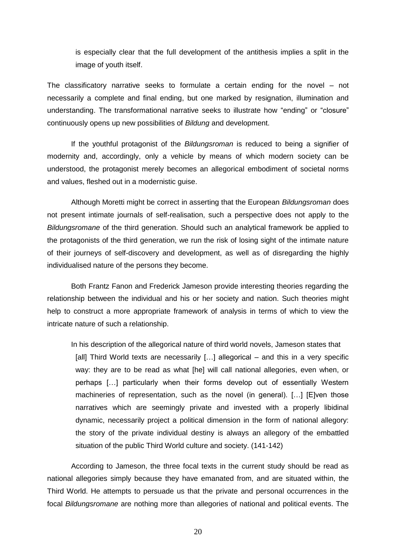is especially clear that the full development of the antithesis implies a split in the image of youth itself.

The classificatory narrative seeks to formulate a certain ending for the novel – not necessarily a complete and final ending, but one marked by resignation, illumination and understanding. The transformational narrative seeks to illustrate how "ending" or "closure" continuously opens up new possibilities of *Bildung* and development.

If the youthful protagonist of the *Bildungsroman* is reduced to being a signifier of modernity and, accordingly, only a vehicle by means of which modern society can be understood, the protagonist merely becomes an allegorical embodiment of societal norms and values, fleshed out in a modernistic guise.

Although Moretti might be correct in asserting that the European *Bildungsroman* does not present intimate journals of self-realisation, such a perspective does not apply to the *Bildungsromane* of the third generation. Should such an analytical framework be applied to the protagonists of the third generation, we run the risk of losing sight of the intimate nature of their journeys of self-discovery and development, as well as of disregarding the highly individualised nature of the persons they become.

Both Frantz Fanon and Frederick Jameson provide interesting theories regarding the relationship between the individual and his or her society and nation. Such theories might help to construct a more appropriate framework of analysis in terms of which to view the intricate nature of such a relationship.

In his description of the allegorical nature of third world novels, Jameson states that [all] Third World texts are necessarily [...] allegorical – and this in a very specific way: they are to be read as what [he] will call national allegories, even when, or perhaps […] particularly when their forms develop out of essentially Western machineries of representation, such as the novel (in general). […] [E]ven those narratives which are seemingly private and invested with a properly libidinal dynamic, necessarily project a political dimension in the form of national allegory: the story of the private individual destiny is always an allegory of the embattled situation of the public Third World culture and society. (141-142)

According to Jameson, the three focal texts in the current study should be read as national allegories simply because they have emanated from, and are situated within, the Third World. He attempts to persuade us that the private and personal occurrences in the focal *Bildungsromane* are nothing more than allegories of national and political events. The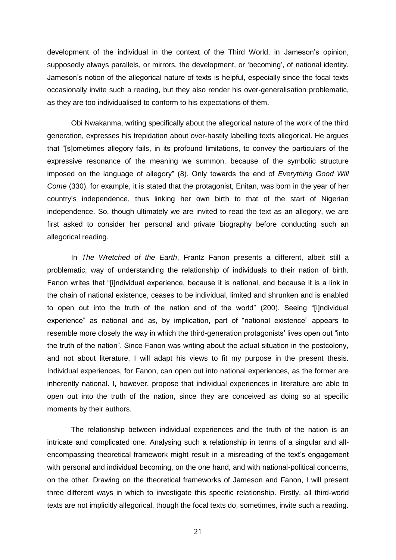development of the individual in the context of the Third World, in Jameson's opinion, supposedly always parallels, or mirrors, the development, or 'becoming', of national identity. Jameson's notion of the allegorical nature of texts is helpful, especially since the focal texts occasionally invite such a reading, but they also render his over-generalisation problematic, as they are too individualised to conform to his expectations of them.

Obi Nwakanma, writing specifically about the allegorical nature of the work of the third generation, expresses his trepidation about over-hastily labelling texts allegorical. He argues that "[s]ometimes allegory fails, in its profound limitations, to convey the particulars of the expressive resonance of the meaning we summon, because of the symbolic structure imposed on the language of allegory" (8). Only towards the end of *Everything Good Will Come* (330), for example, it is stated that the protagonist, Enitan, was born in the year of her country's independence, thus linking her own birth to that of the start of Nigerian independence. So, though ultimately we are invited to read the text as an allegory, we are first asked to consider her personal and private biography before conducting such an allegorical reading.

In *The Wretched of the Earth*, Frantz Fanon presents a different, albeit still a problematic, way of understanding the relationship of individuals to their nation of birth. Fanon writes that "[i]ndividual experience, because it is national, and because it is a link in the chain of national existence, ceases to be individual, limited and shrunken and is enabled to open out into the truth of the nation and of the world" (200). Seeing "[i]ndividual experience" as national and as, by implication, part of "national existence" appears to resemble more closely the way in which the third-generation protagonists' lives open out "into the truth of the nation". Since Fanon was writing about the actual situation in the postcolony, and not about literature, I will adapt his views to fit my purpose in the present thesis. Individual experiences, for Fanon, can open out into national experiences, as the former are inherently national. I, however, propose that individual experiences in literature are able to open out into the truth of the nation, since they are conceived as doing so at specific moments by their authors.

The relationship between individual experiences and the truth of the nation is an intricate and complicated one. Analysing such a relationship in terms of a singular and allencompassing theoretical framework might result in a misreading of the text's engagement with personal and individual becoming, on the one hand, and with national-political concerns, on the other. Drawing on the theoretical frameworks of Jameson and Fanon, I will present three different ways in which to investigate this specific relationship. Firstly, all third-world texts are not implicitly allegorical, though the focal texts do, sometimes, invite such a reading.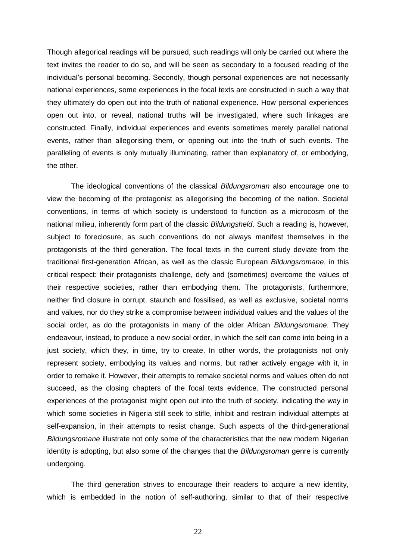Though allegorical readings will be pursued, such readings will only be carried out where the text invites the reader to do so, and will be seen as secondary to a focused reading of the individual's personal becoming. Secondly, though personal experiences are not necessarily national experiences, some experiences in the focal texts are constructed in such a way that they ultimately do open out into the truth of national experience. How personal experiences open out into, or reveal, national truths will be investigated, where such linkages are constructed. Finally, individual experiences and events sometimes merely parallel national events, rather than allegorising them, or opening out into the truth of such events. The paralleling of events is only mutually illuminating, rather than explanatory of, or embodying, the other.

The ideological conventions of the classical *Bildungsroman* also encourage one to view the becoming of the protagonist as allegorising the becoming of the nation. Societal conventions, in terms of which society is understood to function as a microcosm of the national milieu, inherently form part of the classic *Bildungsheld*. Such a reading is, however, subject to foreclosure, as such conventions do not always manifest themselves in the protagonists of the third generation. The focal texts in the current study deviate from the traditional first-generation African, as well as the classic European *Bildungsromane*, in this critical respect: their protagonists challenge, defy and (sometimes) overcome the values of their respective societies, rather than embodying them. The protagonists, furthermore, neither find closure in corrupt, staunch and fossilised, as well as exclusive, societal norms and values, nor do they strike a compromise between individual values and the values of the social order, as do the protagonists in many of the older African *Bildungsromane*. They endeavour, instead, to produce a new social order, in which the self can come into being in a just society, which they, in time, try to create. In other words, the protagonists not only represent society, embodying its values and norms, but rather actively engage with it, in order to remake it. However, their attempts to remake societal norms and values often do not succeed, as the closing chapters of the focal texts evidence. The constructed personal experiences of the protagonist might open out into the truth of society, indicating the way in which some societies in Nigeria still seek to stifle, inhibit and restrain individual attempts at self-expansion, in their attempts to resist change. Such aspects of the third-generational *Bildungsromane* illustrate not only some of the characteristics that the new modern Nigerian identity is adopting, but also some of the changes that the *Bildungsroman* genre is currently undergoing.

The third generation strives to encourage their readers to acquire a new identity, which is embedded in the notion of self-authoring, similar to that of their respective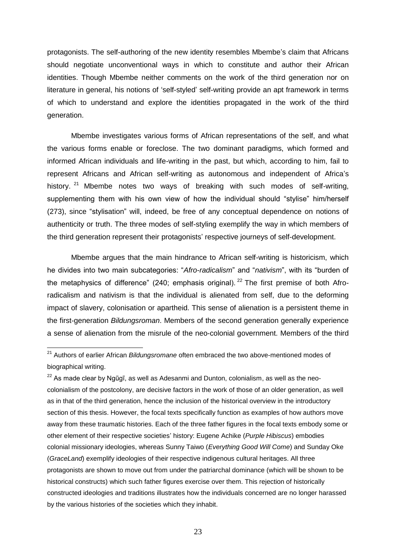protagonists. The self-authoring of the new identity resembles Mbembe's claim that Africans should negotiate unconventional ways in which to constitute and author their African identities. Though Mbembe neither comments on the work of the third generation nor on literature in general, his notions of 'self-styled' self-writing provide an apt framework in terms of which to understand and explore the identities propagated in the work of the third generation.

Mbembe investigates various forms of African representations of the self, and what the various forms enable or foreclose. The two dominant paradigms, which formed and informed African individuals and life-writing in the past, but which, according to him, fail to represent Africans and African self-writing as autonomous and independent of Africa's history. <sup>21</sup> Mbembe notes two ways of breaking with such modes of self-writing, supplementing them with his own view of how the individual should "stylise" him/herself (273), since "stylisation" will, indeed, be free of any conceptual dependence on notions of authenticity or truth. The three modes of self-styling exemplify the way in which members of the third generation represent their protagonists' respective journeys of self-development.

Mbembe argues that the main hindrance to African self-writing is historicism, which he divides into two main subcategories: "Afro-radicalism" and "nativism", with its "burden of the metaphysics of difference" (240; emphasis original). <sup>22</sup> The first premise of both Afroradicalism and nativism is that the individual is alienated from self, due to the deforming impact of slavery, colonisation or apartheid. This sense of alienation is a persistent theme in the first-generation *Bildungsroman*. Members of the second generation generally experience a sense of alienation from the misrule of the neo-colonial government. Members of the third

<sup>21</sup> Authors of earlier African *Bildungsromane* often embraced the two above-mentioned modes of biographical writing.

 $22$  As made clear by Ngũgĩ, as well as Adesanmi and Dunton, colonialism, as well as the neocolonialism of the postcolony, are decisive factors in the work of those of an older generation, as well as in that of the third generation, hence the inclusion of the historical overview in the introductory section of this thesis. However, the focal texts specifically function as examples of how authors move away from these traumatic histories. Each of the three father figures in the focal texts embody some or other element of their respective societies' history: Eugene Achike (*Purple Hibiscus*) embodies colonial missionary ideologies, whereas Sunny Taiwo (*Everything Good Will Come*) and Sunday Oke (*GraceLand*) exemplify ideologies of their respective indigenous cultural heritages. All three protagonists are shown to move out from under the patriarchal dominance (which will be shown to be historical constructs) which such father figures exercise over them. This rejection of historically constructed ideologies and traditions illustrates how the individuals concerned are no longer harassed by the various histories of the societies which they inhabit.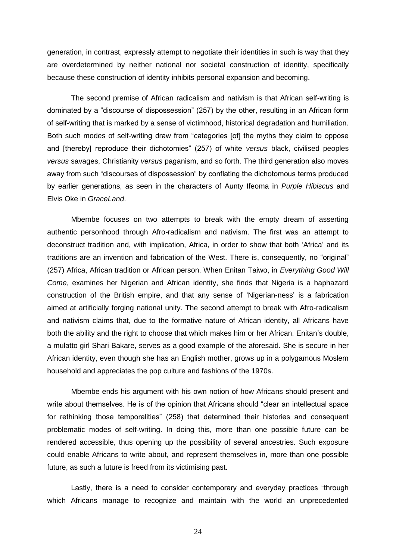generation, in contrast, expressly attempt to negotiate their identities in such is way that they are overdetermined by neither national nor societal construction of identity, specifically because these construction of identity inhibits personal expansion and becoming.

The second premise of African radicalism and nativism is that African self-writing is dominated by a "discourse of dispossession" (257) by the other, resulting in an African form of self-writing that is marked by a sense of victimhood, historical degradation and humiliation. Both such modes of self-writing draw from "categories [of] the myths they claim to oppose and [thereby] reproduce their dichotomies" (257) of white *versus* black, civilised peoples *versus* savages, Christianity *versus* paganism, and so forth. The third generation also moves away from such "discourses of dispossession" by conflating the dichotomous terms produced by earlier generations, as seen in the characters of Aunty Ifeoma in *Purple Hibiscus* and Elvis Oke in *GraceLand*.

Mbembe focuses on two attempts to break with the empty dream of asserting authentic personhood through Afro-radicalism and nativism. The first was an attempt to deconstruct tradition and, with implication, Africa, in order to show that both 'Africa' and its traditions are an invention and fabrication of the West. There is, consequently, no "original" (257) Africa, African tradition or African person. When Enitan Taiwo, in *Everything Good Will Come*, examines her Nigerian and African identity, she finds that Nigeria is a haphazard construction of the British empire, and that any sense of 'Nigerian-ness' is a fabrication aimed at artificially forging national unity. The second attempt to break with Afro-radicalism and nativism claims that, due to the formative nature of African identity, all Africans have both the ability and the right to choose that which makes him or her African. Enitan's double, a mulatto girl Shari Bakare, serves as a good example of the aforesaid. She is secure in her African identity, even though she has an English mother, grows up in a polygamous Moslem household and appreciates the pop culture and fashions of the 1970s.

Mbembe ends his argument with his own notion of how Africans should present and write about themselves. He is of the opinion that Africans should "clear an intellectual space for rethinking those temporalities" (258) that determined their histories and consequent problematic modes of self-writing. In doing this, more than one possible future can be rendered accessible, thus opening up the possibility of several ancestries. Such exposure could enable Africans to write about, and represent themselves in, more than one possible future, as such a future is freed from its victimising past.

Lastly, there is a need to consider contemporary and everyday practices "through which Africans manage to recognize and maintain with the world an unprecedented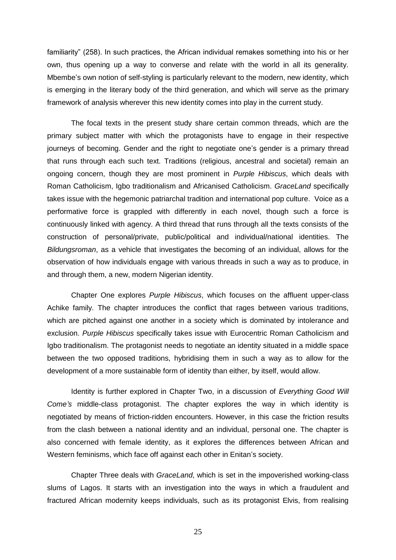familiarity" (258). In such practices, the African individual remakes something into his or her own, thus opening up a way to converse and relate with the world in all its generality. Mbembe's own notion of self-styling is particularly relevant to the modern, new identity, which is emerging in the literary body of the third generation, and which will serve as the primary framework of analysis wherever this new identity comes into play in the current study.

The focal texts in the present study share certain common threads, which are the primary subject matter with which the protagonists have to engage in their respective journeys of becoming. Gender and the right to negotiate one's gender is a primary thread that runs through each such text. Traditions (religious, ancestral and societal) remain an ongoing concern, though they are most prominent in *Purple Hibiscus*, which deals with Roman Catholicism, Igbo traditionalism and Africanised Catholicism. *GraceLand* specifically takes issue with the hegemonic patriarchal tradition and international pop culture. Voice as a performative force is grappled with differently in each novel, though such a force is continuously linked with agency. A third thread that runs through all the texts consists of the construction of personal/private, public/political and individual/national identities. The *Bildungsroman*, as a vehicle that investigates the becoming of an individual, allows for the observation of how individuals engage with various threads in such a way as to produce, in and through them, a new, modern Nigerian identity.

Chapter One explores *Purple Hibiscus*, which focuses on the affluent upper-class Achike family. The chapter introduces the conflict that rages between various traditions, which are pitched against one another in a society which is dominated by intolerance and exclusion. *Purple Hibiscus* specifically takes issue with Eurocentric Roman Catholicism and Igbo traditionalism. The protagonist needs to negotiate an identity situated in a middle space between the two opposed traditions, hybridising them in such a way as to allow for the development of a more sustainable form of identity than either, by itself, would allow.

Identity is further explored in Chapter Two, in a discussion of *Everything Good Will Come's* middle-class protagonist. The chapter explores the way in which identity is negotiated by means of friction-ridden encounters. However, in this case the friction results from the clash between a national identity and an individual, personal one. The chapter is also concerned with female identity, as it explores the differences between African and Western feminisms, which face off against each other in Enitan's society.

Chapter Three deals with *GraceLand*, which is set in the impoverished working-class slums of Lagos. It starts with an investigation into the ways in which a fraudulent and fractured African modernity keeps individuals, such as its protagonist Elvis, from realising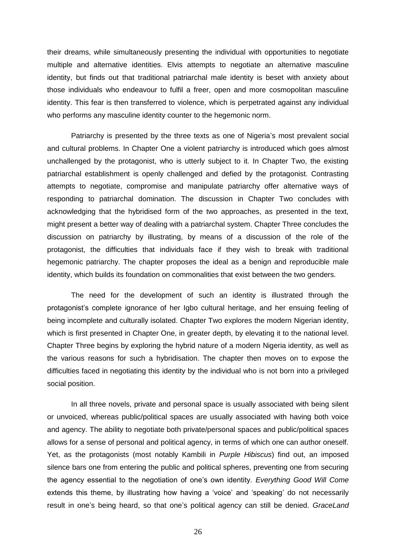their dreams, while simultaneously presenting the individual with opportunities to negotiate multiple and alternative identities. Elvis attempts to negotiate an alternative masculine identity, but finds out that traditional patriarchal male identity is beset with anxiety about those individuals who endeavour to fulfil a freer, open and more cosmopolitan masculine identity. This fear is then transferred to violence, which is perpetrated against any individual who performs any masculine identity counter to the hegemonic norm.

Patriarchy is presented by the three texts as one of Nigeria's most prevalent social and cultural problems. In Chapter One a violent patriarchy is introduced which goes almost unchallenged by the protagonist, who is utterly subject to it. In Chapter Two, the existing patriarchal establishment is openly challenged and defied by the protagonist. Contrasting attempts to negotiate, compromise and manipulate patriarchy offer alternative ways of responding to patriarchal domination. The discussion in Chapter Two concludes with acknowledging that the hybridised form of the two approaches, as presented in the text, might present a better way of dealing with a patriarchal system. Chapter Three concludes the discussion on patriarchy by illustrating, by means of a discussion of the role of the protagonist, the difficulties that individuals face if they wish to break with traditional hegemonic patriarchy. The chapter proposes the ideal as a benign and reproducible male identity, which builds its foundation on commonalities that exist between the two genders.

The need for the development of such an identity is illustrated through the protagonist's complete ignorance of her Igbo cultural heritage, and her ensuing feeling of being incomplete and culturally isolated. Chapter Two explores the modern Nigerian identity, which is first presented in Chapter One, in greater depth, by elevating it to the national level. Chapter Three begins by exploring the hybrid nature of a modern Nigeria identity, as well as the various reasons for such a hybridisation. The chapter then moves on to expose the difficulties faced in negotiating this identity by the individual who is not born into a privileged social position.

In all three novels, private and personal space is usually associated with being silent or unvoiced, whereas public/political spaces are usually associated with having both voice and agency. The ability to negotiate both private/personal spaces and public/political spaces allows for a sense of personal and political agency, in terms of which one can author oneself. Yet, as the protagonists (most notably Kambili in *Purple Hibiscus*) find out, an imposed silence bars one from entering the public and political spheres, preventing one from securing the agency essential to the negotiation of one's own identity. *Everything Good Will Come* extends this theme, by illustrating how having a 'voice' and 'speaking' do not necessarily result in one's being heard, so that one's political agency can still be denied. *GraceLand*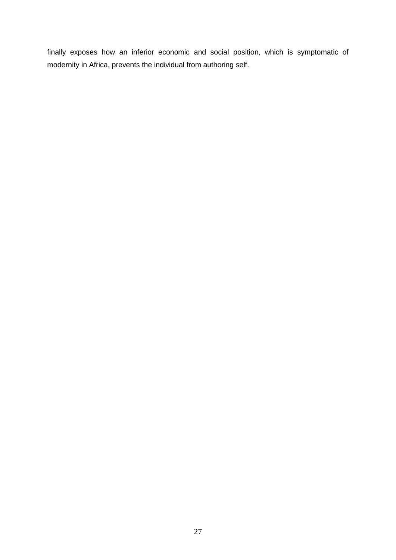finally exposes how an inferior economic and social position, which is symptomatic of modernity in Africa, prevents the individual from authoring self.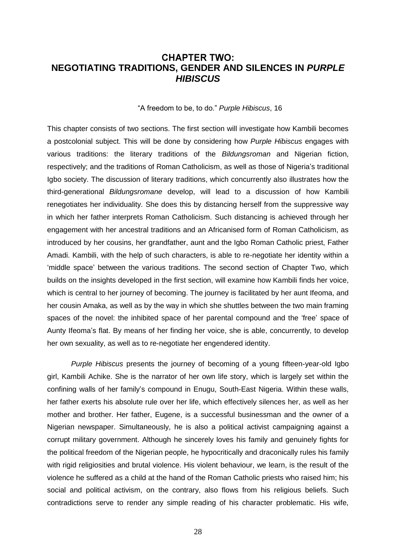## **CHAPTER TWO: NEGOTIATING TRADITIONS, GENDER AND SILENCES IN** *PURPLE HIBISCUS*

#### ―A freedom to be, to do.‖ *Purple Hibiscus*, 16

This chapter consists of two sections. The first section will investigate how Kambili becomes a postcolonial subject. This will be done by considering how *Purple Hibiscus* engages with various traditions: the literary traditions of the *Bildungsroman* and Nigerian fiction, respectively; and the traditions of Roman Catholicism, as well as those of Nigeria's traditional Igbo society. The discussion of literary traditions, which concurrently also illustrates how the third-generational *Bildungsromane* develop, will lead to a discussion of how Kambili renegotiates her individuality. She does this by distancing herself from the suppressive way in which her father interprets Roman Catholicism. Such distancing is achieved through her engagement with her ancestral traditions and an Africanised form of Roman Catholicism, as introduced by her cousins, her grandfather, aunt and the Igbo Roman Catholic priest, Father Amadi. Kambili, with the help of such characters, is able to re-negotiate her identity within a ‗middle space' between the various traditions. The second section of Chapter Two, which builds on the insights developed in the first section, will examine how Kambili finds her voice, which is central to her journey of becoming. The journey is facilitated by her aunt Ifeoma, and her cousin Amaka, as well as by the way in which she shuttles between the two main framing spaces of the novel: the inhibited space of her parental compound and the 'free' space of Aunty Ifeoma's flat. By means of her finding her voice, she is able, concurrently, to develop her own sexuality, as well as to re-negotiate her engendered identity.

*Purple Hibiscus* presents the journey of becoming of a young fifteen-year-old Igbo girl, Kambili Achike. She is the narrator of her own life story, which is largely set within the confining walls of her family's compound in Enugu, South-East Nigeria. Within these walls, her father exerts his absolute rule over her life, which effectively silences her, as well as her mother and brother. Her father, Eugene, is a successful businessman and the owner of a Nigerian newspaper. Simultaneously, he is also a political activist campaigning against a corrupt military government. Although he sincerely loves his family and genuinely fights for the political freedom of the Nigerian people, he hypocritically and draconically rules his family with rigid religiosities and brutal violence. His violent behaviour, we learn, is the result of the violence he suffered as a child at the hand of the Roman Catholic priests who raised him; his social and political activism, on the contrary, also flows from his religious beliefs. Such contradictions serve to render any simple reading of his character problematic. His wife,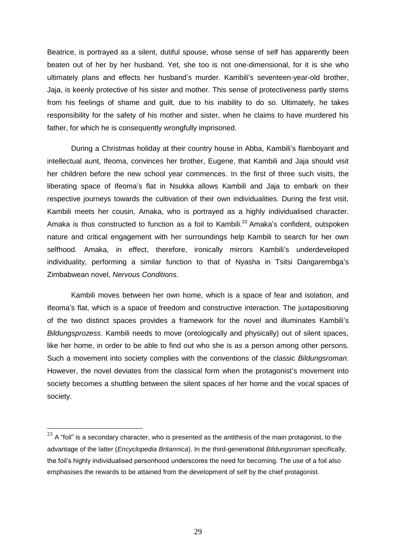Beatrice, is portrayed as a silent, dutiful spouse, whose sense of self has apparently been beaten out of her by her husband. Yet, she too is not one-dimensional, for it is she who ultimately plans and effects her husband's murder. Kambili's seventeen-year-old brother, Jaja, is keenly protective of his sister and mother. This sense of protectiveness partly stems from his feelings of shame and guilt, due to his inability to do so. Ultimately, he takes responsibility for the safety of his mother and sister, when he claims to have murdered his father, for which he is consequently wrongfully imprisoned.

During a Christmas holiday at their country house in Abba, Kambili's flamboyant and intellectual aunt, Ifeoma, convinces her brother, Eugene, that Kambili and Jaja should visit her children before the new school year commences. In the first of three such visits, the liberating space of Ifeoma's flat in Nsukka allows Kambili and Jaja to embark on their respective journeys towards the cultivation of their own individualities. During the first visit, Kambili meets her cousin, Amaka, who is portrayed as a highly individualised character. Amaka is thus constructed to function as a foil to Kambili.<sup>23</sup> Amaka's confident, outspoken nature and critical engagement with her surroundings help Kambili to search for her own selfhood. Amaka, in effect, therefore, ironically mirrors Kambili's underdeveloped individuality, performing a similar function to that of Nyasha in Tsitsi Dangarembga's Zimbabwean novel, *Nervous Conditions*.

Kambili moves between her own home, which is a space of fear and isolation, and Ifeoma's flat, which is a space of freedom and constructive interaction. The juxtapositioning of the two distinct spaces provides a framework for the novel and illuminates Kambili's *Bildungsprozess*. Kambili needs to move (ontologically and physically) out of silent spaces, like her home, in order to be able to find out who she is as a person among other persons. Such a movement into society complies with the conventions of the classic *Bildungsroman*. However, the novel deviates from the classical form when the protagonist's movement into society becomes a shuttling between the silent spaces of her home and the vocal spaces of society.

 $\overline{a}$ 

 $^{23}$  A "foil" is a secondary character, who is presented as the antithesis of the main protagonist, to the advantage of the latter (*Encyclopedia Britannica*). In the third-generational *Bildungsroman* specifically, the foil's highly individualised personhood underscores the need for becoming. The use of a foil also emphasises the rewards to be attained from the development of self by the chief protagonist.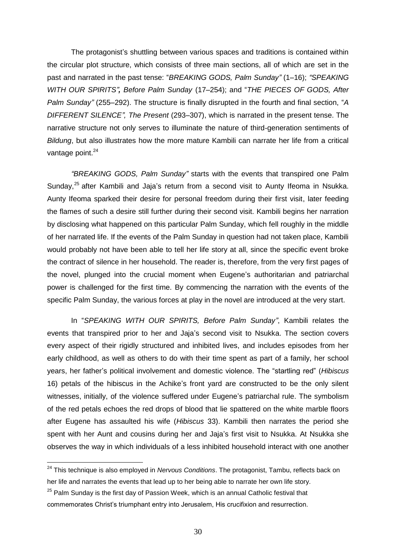The protagonist's shuttling between various spaces and traditions is contained within the circular plot structure, which consists of three main sections, all of which are set in the past and narrated in the past tense: "BREAKING GODS, Palm Sunday" (1-16); "SPEAKING *WITH OUR SPIRITS", Before Palm Sunday* (17–254); and "*THE PIECES OF GODS, After Palm Sunday*" (255–292). The structure is finally disrupted in the fourth and final section, "A *DIFFERENT SILENCE", The Present* (293–307), which is narrated in the present tense. The narrative structure not only serves to illuminate the nature of third-generation sentiments of *Bildung*, but also illustrates how the more mature Kambili can narrate her life from a critical vantage point.<sup>24</sup>

*"BREAKING GODS, Palm Sunday"* starts with the events that transpired one Palm Sundav.<sup>25</sup> after Kambili and Jaia's return from a second visit to Aunty Ifeoma in Nsukka. Aunty Ifeoma sparked their desire for personal freedom during their first visit, later feeding the flames of such a desire still further during their second visit. Kambili begins her narration by disclosing what happened on this particular Palm Sunday, which fell roughly in the middle of her narrated life. If the events of the Palm Sunday in question had not taken place, Kambili would probably not have been able to tell her life story at all, since the specific event broke the contract of silence in her household. The reader is, therefore, from the very first pages of the novel, plunged into the crucial moment when Eugene's authoritarian and patriarchal power is challenged for the first time. By commencing the narration with the events of the specific Palm Sunday, the various forces at play in the novel are introduced at the very start.

In "SPEAKING WITH OUR SPIRITS, Before Palm Sunday", Kambili relates the events that transpired prior to her and Jaja's second visit to Nsukka. The section covers every aspect of their rigidly structured and inhibited lives, and includes episodes from her early childhood, as well as others to do with their time spent as part of a family, her school years, her father's political involvement and domestic violence. The "startling red" (Hibiscus 16) petals of the hibiscus in the Achike's front yard are constructed to be the only silent witnesses, initially, of the violence suffered under Eugene's patriarchal rule. The symbolism of the red petals echoes the red drops of blood that lie spattered on the white marble floors after Eugene has assaulted his wife (*Hibiscus* 33). Kambili then narrates the period she spent with her Aunt and cousins during her and Jaja's first visit to Nsukka. At Nsukka she observes the way in which individuals of a less inhibited household interact with one another

 $\overline{a}$ 

<sup>24</sup> This technique is also employed in *Nervous Conditions*. The protagonist, Tambu, reflects back on her life and narrates the events that lead up to her being able to narrate her own life story.

 $25$  Palm Sunday is the first day of Passion Week, which is an annual Catholic festival that commemorates Christ's triumphant entry into Jerusalem, His crucifixion and resurrection.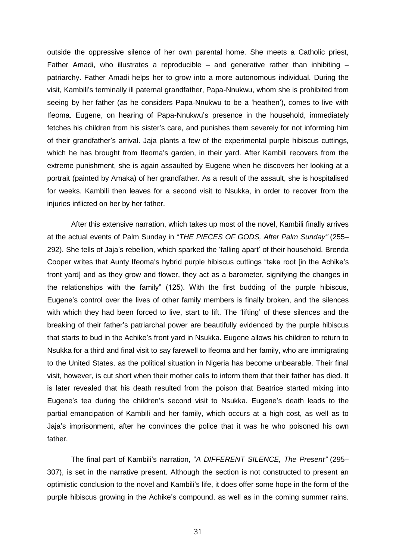outside the oppressive silence of her own parental home. She meets a Catholic priest, Father Amadi, who illustrates a reproducible  $-$  and generative rather than inhibiting  $$ patriarchy. Father Amadi helps her to grow into a more autonomous individual. During the visit, Kambili's terminally ill paternal grandfather, Papa-Nnukwu, whom she is prohibited from seeing by her father (as he considers Papa-Nnukwu to be a 'heathen'), comes to live with Ifeoma. Eugene, on hearing of Papa-Nnukwu's presence in the household, immediately fetches his children from his sister's care, and punishes them severely for not informing him of their grandfather's arrival. Jaja plants a few of the experimental purple hibiscus cuttings, which he has brought from Ifeoma's garden, in their yard. After Kambili recovers from the extreme punishment, she is again assaulted by Eugene when he discovers her looking at a portrait (painted by Amaka) of her grandfather. As a result of the assault, she is hospitalised for weeks. Kambili then leaves for a second visit to Nsukka, in order to recover from the injuries inflicted on her by her father.

After this extensive narration, which takes up most of the novel, Kambili finally arrives at the actual events of Palm Sunday in ―*THE PIECES OF GODS, After Palm Sunday"* (255– 292). She tells of Jaja's rebellion, which sparked the ‗falling apart' of their household. Brenda Cooper writes that Aunty Ifeoma's hybrid purple hibiscus cuttings "take root [in the Achike's front yard] and as they grow and flower, they act as a barometer, signifying the changes in the relationships with the family" (125). With the first budding of the purple hibiscus, Eugene's control over the lives of other family members is finally broken, and the silences with which they had been forced to live, start to lift. The 'lifting' of these silences and the breaking of their father's patriarchal power are beautifully evidenced by the purple hibiscus that starts to bud in the Achike's front yard in Nsukka. Eugene allows his children to return to Nsukka for a third and final visit to say farewell to Ifeoma and her family, who are immigrating to the United States, as the political situation in Nigeria has become unbearable. Their final visit, however, is cut short when their mother calls to inform them that their father has died. It is later revealed that his death resulted from the poison that Beatrice started mixing into Eugene's tea during the children's second visit to Nsukka. Eugene's death leads to the partial emancipation of Kambili and her family, which occurs at a high cost, as well as to Jaja's imprisonment, after he convinces the police that it was he who poisoned his own father.

The final part of Kambili's narration, "A DIFFERENT SILENCE, The Present" (295– 307), is set in the narrative present. Although the section is not constructed to present an optimistic conclusion to the novel and Kambili's life, it does offer some hope in the form of the purple hibiscus growing in the Achike's compound, as well as in the coming summer rains.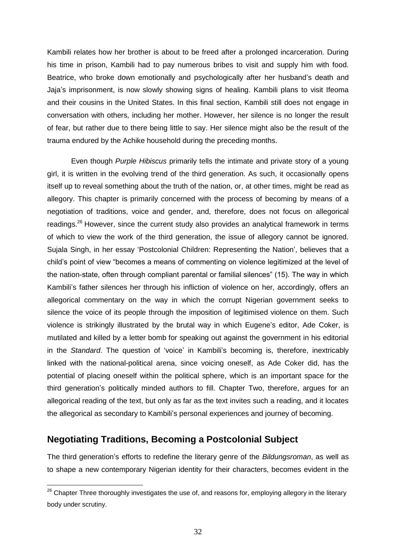Kambili relates how her brother is about to be freed after a prolonged incarceration. During his time in prison, Kambili had to pay numerous bribes to visit and supply him with food. Beatrice, who broke down emotionally and psychologically after her husband's death and Jaja's imprisonment, is now slowly showing signs of healing. Kambili plans to visit Ifeoma and their cousins in the United States. In this final section, Kambili still does not engage in conversation with others, including her mother. However, her silence is no longer the result of fear, but rather due to there being little to say. Her silence might also be the result of the trauma endured by the Achike household during the preceding months.

Even though *Purple Hibiscus* primarily tells the intimate and private story of a young girl, it is written in the evolving trend of the third generation. As such, it occasionally opens itself up to reveal something about the truth of the nation, or, at other times, might be read as allegory. This chapter is primarily concerned with the process of becoming by means of a negotiation of traditions, voice and gender, and, therefore, does not focus on allegorical readings.<sup>26</sup> However, since the current study also provides an analytical framework in terms of which to view the work of the third generation, the issue of allegory cannot be ignored. Sujala Singh, in her essay 'Postcolonial Children: Representing the Nation', believes that a child's point of view "becomes a means of commenting on violence legitimized at the level of the nation-state, often through compliant parental or familial silences" (15). The way in which Kambili's father silences her through his infliction of violence on her, accordingly, offers an allegorical commentary on the way in which the corrupt Nigerian government seeks to silence the voice of its people through the imposition of legitimised violence on them. Such violence is strikingly illustrated by the brutal way in which Eugene's editor, Ade Coker, is mutilated and killed by a letter bomb for speaking out against the government in his editorial in the *Standard*. The question of 'voice' in Kambili's becoming is, therefore, inextricably linked with the national-political arena, since voicing oneself, as Ade Coker did, has the potential of placing oneself within the political sphere, which is an important space for the third generation's politically minded authors to fill. Chapter Two, therefore, argues for an allegorical reading of the text, but only as far as the text invites such a reading, and it locates the allegorical as secondary to Kambili's personal experiences and journey of becoming.

# **Negotiating Traditions, Becoming a Postcolonial Subject**

 $\overline{a}$ 

The third generation's efforts to redefine the literary genre of the *Bildungsroman*, as well as to shape a new contemporary Nigerian identity for their characters, becomes evident in the

 $26$  Chapter Three thoroughly investigates the use of, and reasons for, employing allegory in the literary body under scrutiny.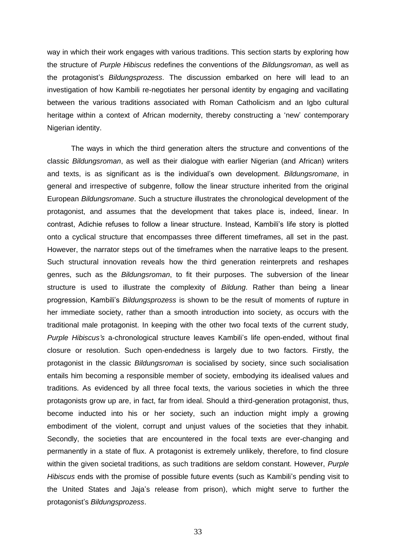way in which their work engages with various traditions. This section starts by exploring how the structure of *Purple Hibiscus* redefines the conventions of the *Bildungsroman*, as well as the protagonist's *Bildungsprozess*. The discussion embarked on here will lead to an investigation of how Kambili re-negotiates her personal identity by engaging and vacillating between the various traditions associated with Roman Catholicism and an Igbo cultural heritage within a context of African modernity, thereby constructing a 'new' contemporary Nigerian identity.

The ways in which the third generation alters the structure and conventions of the classic *Bildungsroman*, as well as their dialogue with earlier Nigerian (and African) writers and texts, is as significant as is the individual's own development. *Bildungsromane*, in general and irrespective of subgenre, follow the linear structure inherited from the original European *Bildungsromane*. Such a structure illustrates the chronological development of the protagonist, and assumes that the development that takes place is, indeed, linear. In contrast, Adichie refuses to follow a linear structure. Instead, Kambili's life story is plotted onto a cyclical structure that encompasses three different timeframes, all set in the past. However, the narrator steps out of the timeframes when the narrative leaps to the present. Such structural innovation reveals how the third generation reinterprets and reshapes genres, such as the *Bildungsroman*, to fit their purposes. The subversion of the linear structure is used to illustrate the complexity of *Bildung*. Rather than being a linear progression, Kambili's *Bildungsprozess* is shown to be the result of moments of rupture in her immediate society, rather than a smooth introduction into society, as occurs with the traditional male protagonist. In keeping with the other two focal texts of the current study, *Purple Hibiscus's* a-chronological structure leaves Kambili's life open-ended, without final closure or resolution. Such open-endedness is largely due to two factors. Firstly, the protagonist in the classic *Bildungsroman* is socialised by society, since such socialisation entails him becoming a responsible member of society, embodying its idealised values and traditions. As evidenced by all three focal texts, the various societies in which the three protagonists grow up are, in fact, far from ideal. Should a third-generation protagonist, thus, become inducted into his or her society, such an induction might imply a growing embodiment of the violent, corrupt and unjust values of the societies that they inhabit. Secondly, the societies that are encountered in the focal texts are ever-changing and permanently in a state of flux. A protagonist is extremely unlikely, therefore, to find closure within the given societal traditions, as such traditions are seldom constant. However, *Purple Hibiscus* ends with the promise of possible future events (such as Kambili's pending visit to the United States and Jaja's release from prison), which might serve to further the protagonist's *Bildungsprozess*.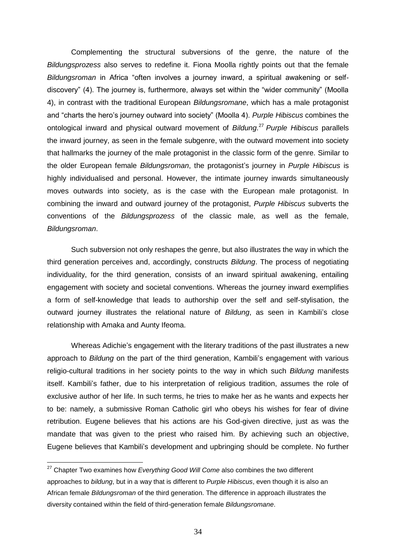Complementing the structural subversions of the genre, the nature of the *Bildungsprozess* also serves to redefine it. Fiona Moolla rightly points out that the female Bildungsroman in Africa "often involves a journey inward, a spiritual awakening or selfdiscovery" (4). The journey is, furthermore, always set within the "wider community" (Moolla 4), in contrast with the traditional European *Bildungsromane*, which has a male protagonist and "charts the hero's journey outward into society" (Moolla 4). *Purple Hibiscus* combines the ontological inward and physical outward movement of *Bildung*. <sup>27</sup> *Purple Hibiscus* parallels the inward journey, as seen in the female subgenre, with the outward movement into society that hallmarks the journey of the male protagonist in the classic form of the genre. Similar to the older European female *Bildungsroman*, the protagonist's journey in *Purple Hibiscus* is highly individualised and personal. However, the intimate journey inwards simultaneously moves outwards into society, as is the case with the European male protagonist. In combining the inward and outward journey of the protagonist, *Purple Hibiscus* subverts the conventions of the *Bildungsprozess* of the classic male, as well as the female, *Bildungsroman*.

Such subversion not only reshapes the genre, but also illustrates the way in which the third generation perceives and, accordingly, constructs *Bildung*. The process of negotiating individuality, for the third generation, consists of an inward spiritual awakening, entailing engagement with society and societal conventions. Whereas the journey inward exemplifies a form of self-knowledge that leads to authorship over the self and self-stylisation, the outward journey illustrates the relational nature of *Bildung*, as seen in Kambili's close relationship with Amaka and Aunty Ifeoma.

Whereas Adichie's engagement with the literary traditions of the past illustrates a new approach to *Bildung* on the part of the third generation, Kambili's engagement with various religio-cultural traditions in her society points to the way in which such *Bildung* manifests itself. Kambili's father, due to his interpretation of religious tradition, assumes the role of exclusive author of her life. In such terms, he tries to make her as he wants and expects her to be: namely, a submissive Roman Catholic girl who obeys his wishes for fear of divine retribution. Eugene believes that his actions are his God-given directive, just as was the mandate that was given to the priest who raised him. By achieving such an objective, Eugene believes that Kambili's development and upbringing should be complete. No further

 $\overline{a}$ 

<sup>27</sup> Chapter Two examines how *Everything Good Will Come* also combines the two different approaches to *bildung*, but in a way that is different to *Purple Hibiscus*, even though it is also an African female *Bildungsroman* of the third generation. The difference in approach illustrates the diversity contained within the field of third-generation female *Bildungsromane*.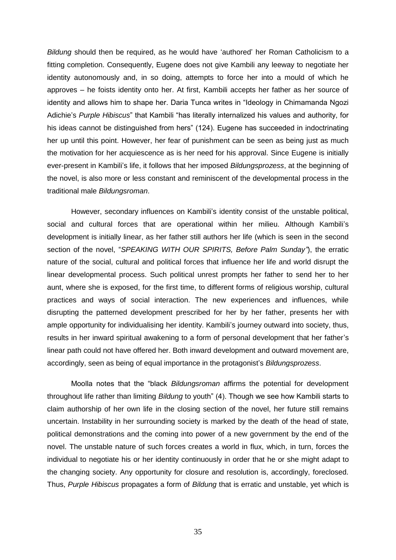*Bildung* should then be required, as he would have 'authored' her Roman Catholicism to a fitting completion. Consequently, Eugene does not give Kambili any leeway to negotiate her identity autonomously and, in so doing, attempts to force her into a mould of which he approves – he foists identity onto her. At first, Kambili accepts her father as her source of identity and allows him to shape her. Daria Tunca writes in "Ideology in Chimamanda Ngozi Adichie's *Purple Hibiscus*" that Kambili "has literally internalized his values and authority, for his ideas cannot be distinguished from hers" (124). Eugene has succeeded in indoctrinating her up until this point. However, her fear of punishment can be seen as being just as much the motivation for her acquiescence as is her need for his approval. Since Eugene is initially ever-present in Kambili's life, it follows that her imposed *Bildungsprozess*, at the beginning of the novel, is also more or less constant and reminiscent of the developmental process in the traditional male *Bildungsroman*.

However, secondary influences on Kambili's identity consist of the unstable political, social and cultural forces that are operational within her milieu. Although Kambili's development is initially linear, as her father still authors her life (which is seen in the second section of the novel, "SPEAKING WITH OUR SPIRITS, Before Palm Sunday"), the erratic nature of the social, cultural and political forces that influence her life and world disrupt the linear developmental process. Such political unrest prompts her father to send her to her aunt, where she is exposed, for the first time, to different forms of religious worship, cultural practices and ways of social interaction. The new experiences and influences, while disrupting the patterned development prescribed for her by her father, presents her with ample opportunity for individualising her identity. Kambili's journey outward into society, thus, results in her inward spiritual awakening to a form of personal development that her father's linear path could not have offered her. Both inward development and outward movement are, accordingly, seen as being of equal importance in the protagonist's *Bildungsprozess*.

Moolla notes that the "black *Bildungsroman* affirms the potential for development throughout life rather than limiting *Bildung* to youth" (4). Though we see how Kambili starts to claim authorship of her own life in the closing section of the novel, her future still remains uncertain. Instability in her surrounding society is marked by the death of the head of state, political demonstrations and the coming into power of a new government by the end of the novel. The unstable nature of such forces creates a world in flux, which, in turn, forces the individual to negotiate his or her identity continuously in order that he or she might adapt to the changing society. Any opportunity for closure and resolution is, accordingly, foreclosed. Thus, *Purple Hibiscus* propagates a form of *Bildung* that is erratic and unstable, yet which is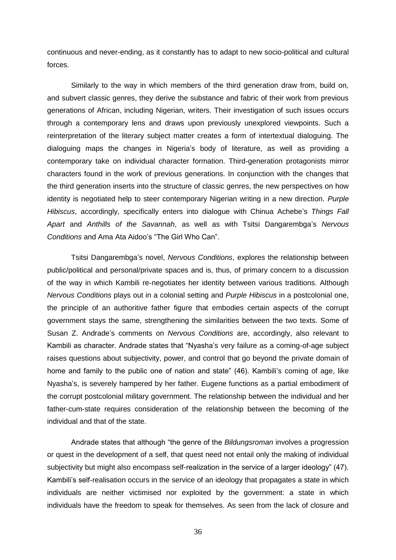continuous and never-ending, as it constantly has to adapt to new socio-political and cultural forces.

Similarly to the way in which members of the third generation draw from, build on, and subvert classic genres, they derive the substance and fabric of their work from previous generations of African, including Nigerian, writers. Their investigation of such issues occurs through a contemporary lens and draws upon previously unexplored viewpoints. Such a reinterpretation of the literary subject matter creates a form of intertextual dialoguing. The dialoguing maps the changes in Nigeria's body of literature, as well as providing a contemporary take on individual character formation. Third-generation protagonists mirror characters found in the work of previous generations. In conjunction with the changes that the third generation inserts into the structure of classic genres, the new perspectives on how identity is negotiated help to steer contemporary Nigerian writing in a new direction. *Purple Hibiscus*, accordingly, specifically enters into dialogue with Chinua Achebe's *Things Fall Apart* and *Anthills of the Savannah*, as well as with Tsitsi Dangarembga's *Nervous Conditions* and Ama Ata Aidoo's "The Girl Who Can".

Tsitsi Dangarembga's novel, *Nervous Conditions*, explores the relationship between public/political and personal/private spaces and is, thus, of primary concern to a discussion of the way in which Kambili re-negotiates her identity between various traditions. Although *Nervous Conditions* plays out in a colonial setting and *Purple Hibiscus* in a postcolonial one, the principle of an authoritive father figure that embodies certain aspects of the corrupt government stays the same, strengthening the similarities between the two texts. Some of Susan Z. Andrade's comments on *Nervous Conditions* are, accordingly, also relevant to Kambili as character. Andrade states that "Nyasha's very failure as a coming-of-age subject raises questions about subjectivity, power, and control that go beyond the private domain of home and family to the public one of nation and state" (46). Kambili's coming of age, like Nyasha's, is severely hampered by her father. Eugene functions as a partial embodiment of the corrupt postcolonial military government. The relationship between the individual and her father-cum-state requires consideration of the relationship between the becoming of the individual and that of the state.

Andrade states that although "the genre of the *Bildungsroman* involves a progression or quest in the development of a self, that quest need not entail only the making of individual subjectivity but might also encompass self-realization in the service of a larger ideology" (47). Kambili's self-realisation occurs in the service of an ideology that propagates a state in which individuals are neither victimised nor exploited by the government: a state in which individuals have the freedom to speak for themselves. As seen from the lack of closure and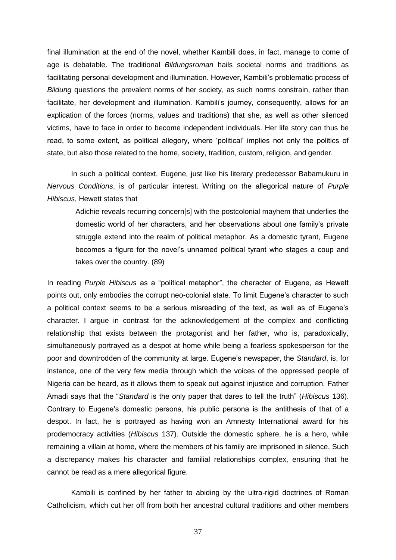final illumination at the end of the novel, whether Kambili does, in fact, manage to come of age is debatable. The traditional *Bildungsroman* hails societal norms and traditions as facilitating personal development and illumination. However, Kambili's problematic process of *Bildung* questions the prevalent norms of her society, as such norms constrain, rather than facilitate, her development and illumination. Kambili's journey, consequently, allows for an explication of the forces (norms, values and traditions) that she, as well as other silenced victims, have to face in order to become independent individuals. Her life story can thus be read, to some extent, as political allegory, where 'political' implies not only the politics of state, but also those related to the home, society, tradition, custom, religion, and gender.

In such a political context, Eugene, just like his literary predecessor Babamukuru in *Nervous Conditions*, is of particular interest. Writing on the allegorical nature of *Purple Hibiscus*, Hewett states that

Adichie reveals recurring concern[s] with the postcolonial mayhem that underlies the domestic world of her characters, and her observations about one family's private struggle extend into the realm of political metaphor. As a domestic tyrant, Eugene becomes a figure for the novel's unnamed political tyrant who stages a coup and takes over the country. (89)

In reading *Purple Hibiscus* as a "political metaphor", the character of Eugene, as Hewett points out, only embodies the corrupt neo-colonial state. To limit Eugene's character to such a political context seems to be a serious misreading of the text, as well as of Eugene's character. I argue in contrast for the acknowledgement of the complex and conflicting relationship that exists between the protagonist and her father, who is, paradoxically, simultaneously portrayed as a despot at home while being a fearless spokesperson for the poor and downtrodden of the community at large. Eugene's newspaper, the *Standard*, is, for instance, one of the very few media through which the voices of the oppressed people of Nigeria can be heard, as it allows them to speak out against injustice and corruption. Father Amadi says that the "Standard is the only paper that dares to tell the truth" (*Hibiscus* 136). Contrary to Eugene's domestic persona, his public persona is the antithesis of that of a despot. In fact, he is portrayed as having won an Amnesty International award for his prodemocracy activities (*Hibiscus* 137). Outside the domestic sphere, he is a hero, while remaining a villain at home, where the members of his family are imprisoned in silence. Such a discrepancy makes his character and familial relationships complex, ensuring that he cannot be read as a mere allegorical figure.

Kambili is confined by her father to abiding by the ultra-rigid doctrines of Roman Catholicism, which cut her off from both her ancestral cultural traditions and other members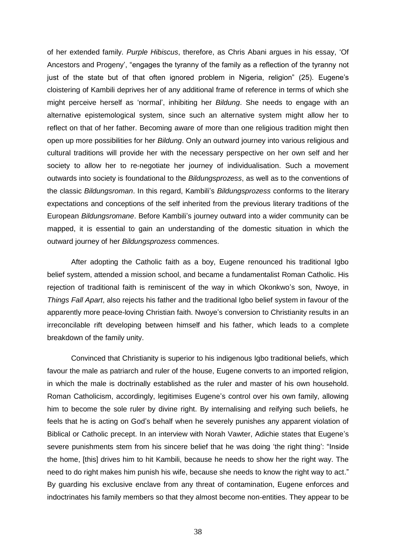of her extended family. *Purple Hibiscus*, therefore, as Chris Abani argues in his essay, ‗Of Ancestors and Progeny', "engages the tyranny of the family as a reflection of the tyranny not just of the state but of that often ignored problem in Nigeria, religion" (25). Eugene's cloistering of Kambili deprives her of any additional frame of reference in terms of which she might perceive herself as 'normal', inhibiting her *Bildung*. She needs to engage with an alternative epistemological system, since such an alternative system might allow her to reflect on that of her father. Becoming aware of more than one religious tradition might then open up more possibilities for her *Bildung*. Only an outward journey into various religious and cultural traditions will provide her with the necessary perspective on her own self and her society to allow her to re-negotiate her journey of individualisation. Such a movement outwards into society is foundational to the *Bildungsprozess*, as well as to the conventions of the classic *Bildungsroman*. In this regard, Kambili's *Bildungsprozess* conforms to the literary expectations and conceptions of the self inherited from the previous literary traditions of the European *Bildungsromane*. Before Kambili's journey outward into a wider community can be mapped, it is essential to gain an understanding of the domestic situation in which the outward journey of her *Bildungsprozess* commences.

After adopting the Catholic faith as a boy, Eugene renounced his traditional Igbo belief system, attended a mission school, and became a fundamentalist Roman Catholic. His rejection of traditional faith is reminiscent of the way in which Okonkwo's son, Nwoye, in *Things Fall Apart*, also rejects his father and the traditional Igbo belief system in favour of the apparently more peace-loving Christian faith. Nwoye's conversion to Christianity results in an irreconcilable rift developing between himself and his father, which leads to a complete breakdown of the family unity.

Convinced that Christianity is superior to his indigenous Igbo traditional beliefs, which favour the male as patriarch and ruler of the house, Eugene converts to an imported religion, in which the male is doctrinally established as the ruler and master of his own household. Roman Catholicism, accordingly, legitimises Eugene's control over his own family, allowing him to become the sole ruler by divine right. By internalising and reifying such beliefs, he feels that he is acting on God's behalf when he severely punishes any apparent violation of Biblical or Catholic precept. In an interview with Norah Vawter, Adichie states that Eugene's severe punishments stem from his sincere belief that he was doing 'the right thing': "Inside the home, [this] drives him to hit Kambili, because he needs to show her the right way. The need to do right makes him punish his wife, because she needs to know the right way to act." By guarding his exclusive enclave from any threat of contamination, Eugene enforces and indoctrinates his family members so that they almost become non-entities. They appear to be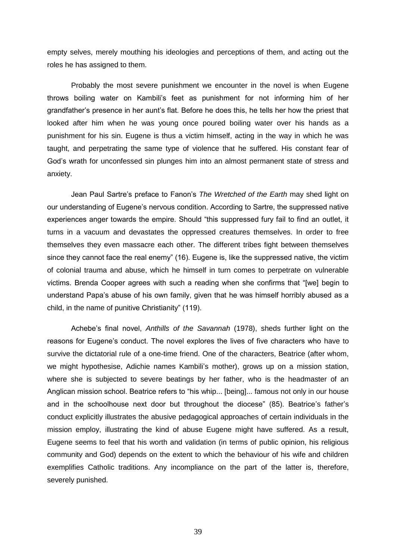empty selves, merely mouthing his ideologies and perceptions of them, and acting out the roles he has assigned to them.

Probably the most severe punishment we encounter in the novel is when Eugene throws boiling water on Kambili's feet as punishment for not informing him of her grandfather's presence in her aunt's flat. Before he does this, he tells her how the priest that looked after him when he was young once poured boiling water over his hands as a punishment for his sin. Eugene is thus a victim himself, acting in the way in which he was taught, and perpetrating the same type of violence that he suffered. His constant fear of God's wrath for unconfessed sin plunges him into an almost permanent state of stress and anxiety.

Jean Paul Sartre's preface to Fanon's *The Wretched of the Earth* may shed light on our understanding of Eugene's nervous condition. According to Sartre, the suppressed native experiences anger towards the empire. Should "this suppressed fury fail to find an outlet, it turns in a vacuum and devastates the oppressed creatures themselves. In order to free themselves they even massacre each other. The different tribes fight between themselves since they cannot face the real enemy"  $(16)$ . Eugene is, like the suppressed native, the victim of colonial trauma and abuse, which he himself in turn comes to perpetrate on vulnerable victims. Brenda Cooper agrees with such a reading when she confirms that "[we] begin to understand Papa's abuse of his own family, given that he was himself horribly abused as a child, in the name of punitive Christianity" (119).

Achebe's final novel, *Anthills of the Savannah* (1978), sheds further light on the reasons for Eugene's conduct. The novel explores the lives of five characters who have to survive the dictatorial rule of a one-time friend. One of the characters, Beatrice (after whom, we might hypothesise, Adichie names Kambili's mother), grows up on a mission station, where she is subjected to severe beatings by her father, who is the headmaster of an Anglican mission school. Beatrice refers to "his whip... [being]... famous not only in our house and in the schoolhouse next door but throughout the diocese" (85). Beatrice's father's conduct explicitly illustrates the abusive pedagogical approaches of certain individuals in the mission employ, illustrating the kind of abuse Eugene might have suffered. As a result, Eugene seems to feel that his worth and validation (in terms of public opinion, his religious community and God) depends on the extent to which the behaviour of his wife and children exemplifies Catholic traditions. Any incompliance on the part of the latter is, therefore, severely punished.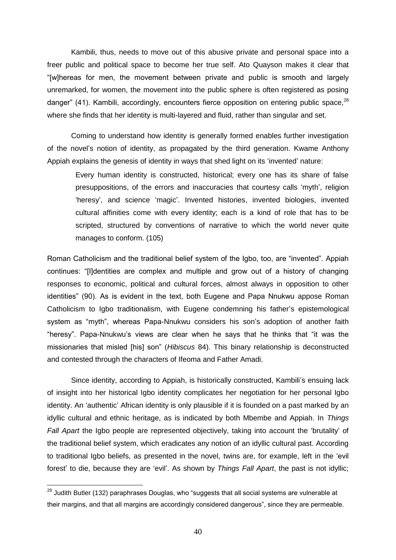Kambili, thus, needs to move out of this abusive private and personal space into a freer public and political space to become her true self. Ato Quayson makes it clear that "[w]hereas for men, the movement between private and public is smooth and largely unremarked, for women, the movement into the public sphere is often registered as posing danger" (41). Kambili, accordingly, encounters fierce opposition on entering public space. $^{28}$ where she finds that her identity is multi-layered and fluid, rather than singular and set.

Coming to understand how identity is generally formed enables further investigation of the novel's notion of identity, as propagated by the third generation. Kwame Anthony Appiah explains the genesis of identity in ways that shed light on its 'invented' nature:

Every human identity is constructed, historical; every one has its share of false presuppositions, of the errors and inaccuracies that courtesy calls 'myth', religion ‗heresy', and science ‗magic'. Invented histories, invented biologies, invented cultural affinities come with every identity; each is a kind of role that has to be scripted, structured by conventions of narrative to which the world never quite manages to conform. (105)

Roman Catholicism and the traditional belief system of the Igbo, too, are "invented". Appiah continues: "[I]dentities are complex and multiple and grow out of a history of changing responses to economic, political and cultural forces, almost always in opposition to other identities" (90). As is evident in the text, both Eugene and Papa Nnukwu appose Roman Catholicism to Igbo traditionalism, with Eugene condemning his father's epistemological system as "myth", whereas Papa-Nnukwu considers his son's adoption of another faith "heresy". Papa-Nnukwu's views are clear when he says that he thinks that "it was the missionaries that misled [his] son‖ (*Hibiscus* 84). This binary relationship is deconstructed and contested through the characters of Ifeoma and Father Amadi.

Since identity, according to Appiah, is historically constructed, Kambili's ensuing lack of insight into her historical Igbo identity complicates her negotiation for her personal Igbo identity. An ‗authentic' African identity is only plausible if it is founded on a past marked by an idyllic cultural and ethnic heritage, as is indicated by both Mbembe and Appiah. In *Things Fall Apart* the Igbo people are represented objectively, taking into account the 'brutality' of the traditional belief system, which eradicates any notion of an idyllic cultural past. According to traditional labo beliefs, as presented in the novel, twins are, for example, left in the 'evil forest' to die, because they are 'evil'. As shown by *Things Fall Apart*, the past is not idyllic;

 $\overline{a}$ 

 $^{28}$  Judith Butler (132) paraphrases Douglas, who "suggests that all social systems are vulnerable at their margins, and that all margins are accordingly considered dangerous", since they are permeable.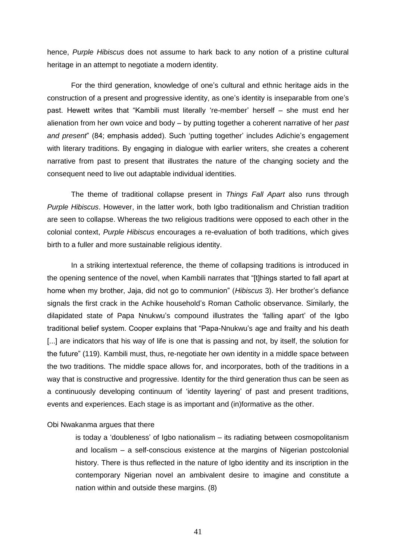hence, *Purple Hibiscus* does not assume to hark back to any notion of a pristine cultural heritage in an attempt to negotiate a modern identity.

For the third generation, knowledge of one's cultural and ethnic heritage aids in the construction of a present and progressive identity, as one's identity is inseparable from one's past. Hewett writes that "Kambili must literally 're-member' herself – she must end her alienation from her own voice and body – by putting together a coherent narrative of her *past and present*" (84; emphasis added). Such 'putting together' includes Adichie's engagement with literary traditions. By engaging in dialogue with earlier writers, she creates a coherent narrative from past to present that illustrates the nature of the changing society and the consequent need to live out adaptable individual identities.

The theme of traditional collapse present in *Things Fall Apart* also runs through *Purple Hibiscus*. However, in the latter work, both Igbo traditionalism and Christian tradition are seen to collapse. Whereas the two religious traditions were opposed to each other in the colonial context, *Purple Hibiscus* encourages a re-evaluation of both traditions, which gives birth to a fuller and more sustainable religious identity.

In a striking intertextual reference, the theme of collapsing traditions is introduced in the opening sentence of the novel, when Kambili narrates that "[t]hings started to fall apart at home when my brother, Jaja, did not go to communion‖ (*Hibiscus* 3). Her brother's defiance signals the first crack in the Achike household's Roman Catholic observance. Similarly, the dilapidated state of Papa Nnukwu's compound illustrates the ‗falling apart' of the Igbo traditional belief system. Cooper explains that "Papa-Nnukwu's age and frailty and his death [...] are indicators that his way of life is one that is passing and not, by itself, the solution for the future" (119). Kambili must, thus, re-negotiate her own identity in a middle space between the two traditions. The middle space allows for, and incorporates, both of the traditions in a way that is constructive and progressive. Identity for the third generation thus can be seen as a continuously developing continuum of 'identity layering' of past and present traditions, events and experiences. Each stage is as important and (in)formative as the other.

#### Obi Nwakanma argues that there

is today a 'doubleness' of Igbo nationalism – its radiating between cosmopolitanism and localism – a self-conscious existence at the margins of Nigerian postcolonial history. There is thus reflected in the nature of Igbo identity and its inscription in the contemporary Nigerian novel an ambivalent desire to imagine and constitute a nation within and outside these margins. (8)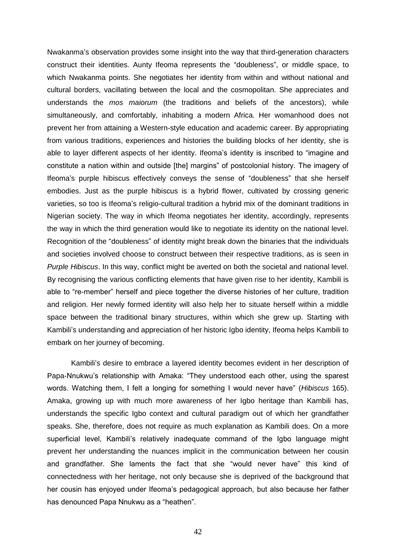Nwakanma's observation provides some insight into the way that third-generation characters construct their identities. Aunty Ifeoma represents the "doubleness", or middle space, to which Nwakanma points. She negotiates her identity from within and without national and cultural borders, vacillating between the local and the cosmopolitan. She appreciates and understands the *mos maiorum* (the traditions and beliefs of the ancestors), while simultaneously, and comfortably, inhabiting a modern Africa. Her womanhood does not prevent her from attaining a Western-style education and academic career. By appropriating from various traditions, experiences and histories the building blocks of her identity, she is able to layer different aspects of her identity. Ifeoma's identity is inscribed to "imagine and constitute a nation within and outside [the] margins" of postcolonial history. The imagery of Ifeoma's purple hibiscus effectively conveys the sense of "doubleness" that she herself embodies. Just as the purple hibiscus is a hybrid flower, cultivated by crossing generic varieties, so too is Ifeoma's religio-cultural tradition a hybrid mix of the dominant traditions in Nigerian society. The way in which Ifeoma negotiates her identity, accordingly, represents the way in which the third generation would like to negotiate its identity on the national level. Recognition of the "doubleness" of identity might break down the binaries that the individuals and societies involved choose to construct between their respective traditions, as is seen in *Purple Hibiscus*. In this way, conflict might be averted on both the societal and national level. By recognising the various conflicting elements that have given rise to her identity, Kambili is able to "re-member" herself and piece together the diverse histories of her culture, tradition and religion. Her newly formed identity will also help her to situate herself within a middle space between the traditional binary structures, within which she grew up. Starting with Kambili's understanding and appreciation of her historic Igbo identity, Ifeoma helps Kambili to embark on her journey of becoming.

Kambili's desire to embrace a layered identity becomes evident in her description of Papa-Nnukwu's relationship with Amaka: "They understood each other, using the sparest words. Watching them, I felt a longing for something I would never have‖ (*Hibiscus* 165). Amaka, growing up with much more awareness of her Igbo heritage than Kambili has, understands the specific Igbo context and cultural paradigm out of which her grandfather speaks. She, therefore, does not require as much explanation as Kambili does. On a more superficial level, Kambili's relatively inadequate command of the Igbo language might prevent her understanding the nuances implicit in the communication between her cousin and grandfather. She laments the fact that she "would never have" this kind of connectedness with her heritage, not only because she is deprived of the background that her cousin has enjoyed under Ifeoma's pedagogical approach, but also because her father has denounced Papa Nnukwu as a "heathen".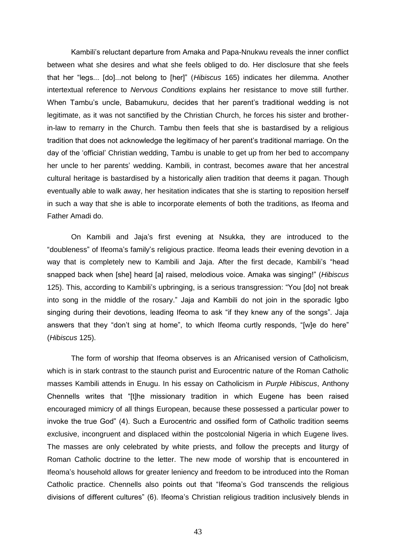Kambili's reluctant departure from Amaka and Papa-Nnukwu reveals the inner conflict between what she desires and what she feels obliged to do. Her disclosure that she feels that her "legs... [do]...not belong to [her]" (*Hibiscus* 165) indicates her dilemma. Another intertextual reference to *Nervous Conditions* explains her resistance to move still further. When Tambu's uncle, Babamukuru, decides that her parent's traditional wedding is not legitimate, as it was not sanctified by the Christian Church, he forces his sister and brotherin-law to remarry in the Church. Tambu then feels that she is bastardised by a religious tradition that does not acknowledge the legitimacy of her parent's traditional marriage. On the day of the 'official' Christian wedding, Tambu is unable to get up from her bed to accompany her uncle to her parents' wedding. Kambili, in contrast, becomes aware that her ancestral cultural heritage is bastardised by a historically alien tradition that deems it pagan. Though eventually able to walk away, her hesitation indicates that she is starting to reposition herself in such a way that she is able to incorporate elements of both the traditions, as Ifeoma and Father Amadi do.

On Kambili and Jaja's first evening at Nsukka, they are introduced to the ―doubleness‖ of Ifeoma's family's religious practice. Ifeoma leads their evening devotion in a way that is completely new to Kambili and Jaja. After the first decade, Kambili's "head snapped back when [she] heard [a] raised, melodious voice. Amaka was singing!‖ (*Hibiscus* 125). This, according to Kambili's upbringing, is a serious transgression: "You [do] not break into song in the middle of the rosary." Jaja and Kambili do not join in the sporadic Igbo singing during their devotions, leading Ifeoma to ask "if they knew any of the songs". Jaja answers that they "don't sing at home", to which Ifeoma curtly responds, "[w]e do here" (*Hibiscus* 125).

The form of worship that Ifeoma observes is an Africanised version of Catholicism, which is in stark contrast to the staunch purist and Eurocentric nature of the Roman Catholic masses Kambili attends in Enugu. In his essay on Catholicism in *Purple Hibiscus*, Anthony Chennells writes that "[t]he missionary tradition in which Eugene has been raised encouraged mimicry of all things European, because these possessed a particular power to invoke the true God" (4). Such a Eurocentric and ossified form of Catholic tradition seems exclusive, incongruent and displaced within the postcolonial Nigeria in which Eugene lives. The masses are only celebrated by white priests, and follow the precepts and liturgy of Roman Catholic doctrine to the letter. The new mode of worship that is encountered in Ifeoma's household allows for greater leniency and freedom to be introduced into the Roman Catholic practice. Chennells also points out that "Ifeoma's God transcends the religious divisions of different cultures" (6). Ifeoma's Christian religious tradition inclusively blends in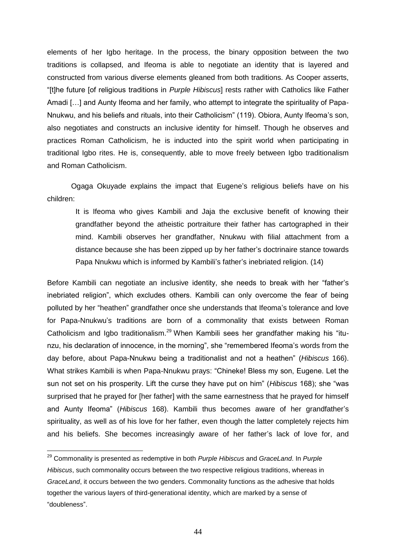elements of her Igbo heritage. In the process, the binary opposition between the two traditions is collapsed, and Ifeoma is able to negotiate an identity that is layered and constructed from various diverse elements gleaned from both traditions. As Cooper asserts, ―[t]he future [of religious traditions in *Purple Hibiscus*] rests rather with Catholics like Father Amadi […] and Aunty Ifeoma and her family, who attempt to integrate the spirituality of Papa-Nnukwu, and his beliefs and rituals, into their Catholicism" (119). Obiora, Aunty Ifeoma's son, also negotiates and constructs an inclusive identity for himself. Though he observes and practices Roman Catholicism, he is inducted into the spirit world when participating in traditional Igbo rites. He is, consequently, able to move freely between Igbo traditionalism and Roman Catholicism.

Ogaga Okuyade explains the impact that Eugene's religious beliefs have on his children:

It is Ifeoma who gives Kambili and Jaja the exclusive benefit of knowing their grandfather beyond the atheistic portraiture their father has cartographed in their mind. Kambili observes her grandfather, Nnukwu with filial attachment from a distance because she has been zipped up by her father's doctrinaire stance towards Papa Nnukwu which is informed by Kambili's father's inebriated religion. (14)

Before Kambili can negotiate an inclusive identity, she needs to break with her "father's inebriated religion", which excludes others. Kambili can only overcome the fear of being polluted by her "heathen" grandfather once she understands that Ifeoma's tolerance and love for Papa-Nnukwu's traditions are born of a commonality that exists between Roman Catholicism and Igbo traditionalism.<sup>29</sup> When Kambili sees her grandfather making his "itunzu, his declaration of innocence, in the morning", she "remembered Ifeoma's words from the day before, about Papa-Nnukwu being a traditionalist and not a heathen‖ (*Hibiscus* 166). What strikes Kambili is when Papa-Nnukwu prays: "Chineke! Bless my son, Eugene. Let the sun not set on his prosperity. Lift the curse they have put on him" (*Hibiscus* 168); she "was surprised that he prayed for [her father] with the same earnestness that he prayed for himself and Aunty Ifeoma‖ (*Hibiscus* 168). Kambili thus becomes aware of her grandfather's spirituality, as well as of his love for her father, even though the latter completely rejects him and his beliefs. She becomes increasingly aware of her father's lack of love for, and

 $\overline{a}$ 

<sup>29</sup> Commonality is presented as redemptive in both *Purple Hibiscus* and *GraceLand*. In *Purple Hibiscus*, such commonality occurs between the two respective religious traditions, whereas in *GraceLand*, it occurs between the two genders. Commonality functions as the adhesive that holds together the various layers of third-generational identity, which are marked by a sense of ―doubleness‖.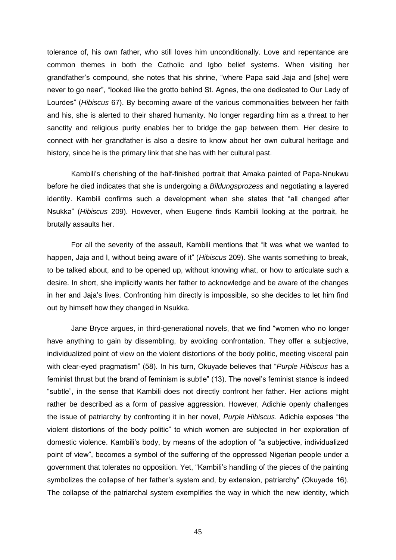tolerance of, his own father, who still loves him unconditionally. Love and repentance are common themes in both the Catholic and Igbo belief systems. When visiting her grandfather's compound, she notes that his shrine, "where Papa said Jaja and [she] were never to go near", "looked like the grotto behind St. Agnes, the one dedicated to Our Lady of Lourdes‖ (*Hibiscus* 67). By becoming aware of the various commonalities between her faith and his, she is alerted to their shared humanity. No longer regarding him as a threat to her sanctity and religious purity enables her to bridge the gap between them. Her desire to connect with her grandfather is also a desire to know about her own cultural heritage and history, since he is the primary link that she has with her cultural past.

Kambili's cherishing of the half-finished portrait that Amaka painted of Papa-Nnukwu before he died indicates that she is undergoing a *Bildungsprozess* and negotiating a layered identity. Kambili confirms such a development when she states that "all changed after Nsukka‖ (*Hibiscus* 209). However, when Eugene finds Kambili looking at the portrait, he brutally assaults her.

For all the severity of the assault, Kambili mentions that "it was what we wanted to happen, Jaja and I, without being aware of it" (*Hibiscus* 209). She wants something to break, to be talked about, and to be opened up, without knowing what, or how to articulate such a desire. In short, she implicitly wants her father to acknowledge and be aware of the changes in her and Jaja's lives. Confronting him directly is impossible, so she decides to let him find out by himself how they changed in Nsukka.

Jane Bryce argues, in third-generational novels, that we find "women who no longer have anything to gain by dissembling, by avoiding confrontation. They offer a subjective, individualized point of view on the violent distortions of the body politic, meeting visceral pain with clear-eyed pragmatism" (58). In his turn, Okuyade believes that "Purple Hibiscus has a feminist thrust but the brand of feminism is subtle" (13). The novel's feminist stance is indeed ―subtle‖, in the sense that Kambili does not directly confront her father. Her actions might rather be described as a form of passive aggression. However, Adichie openly challenges the issue of patriarchy by confronting it in her novel, *Purple Hibiscus*. Adichie exposes "the violent distortions of the body politic" to which women are subjected in her exploration of domestic violence. Kambili's body, by means of the adoption of "a subjective, individualized point of view", becomes a symbol of the suffering of the oppressed Nigerian people under a government that tolerates no opposition. Yet, "Kambili's handling of the pieces of the painting symbolizes the collapse of her father's system and, by extension, patriarchy" (Okuyade 16). The collapse of the patriarchal system exemplifies the way in which the new identity, which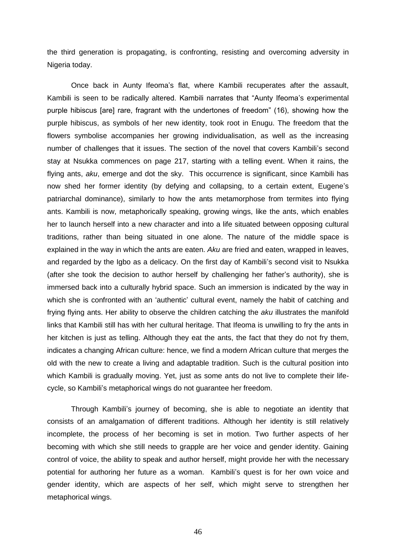the third generation is propagating, is confronting, resisting and overcoming adversity in Nigeria today.

Once back in Aunty Ifeoma's flat, where Kambili recuperates after the assault, Kambili is seen to be radically altered. Kambili narrates that "Aunty Ifeoma's experimental purple hibiscus [are] rare, fragrant with the undertones of freedom‖ (16), showing how the purple hibiscus, as symbols of her new identity, took root in Enugu. The freedom that the flowers symbolise accompanies her growing individualisation, as well as the increasing number of challenges that it issues. The section of the novel that covers Kambili's second stay at Nsukka commences on page 217, starting with a telling event. When it rains, the flying ants, *aku*, emerge and dot the sky. This occurrence is significant, since Kambili has now shed her former identity (by defying and collapsing, to a certain extent, Eugene's patriarchal dominance), similarly to how the ants metamorphose from termites into flying ants. Kambili is now, metaphorically speaking, growing wings, like the ants, which enables her to launch herself into a new character and into a life situated between opposing cultural traditions, rather than being situated in one alone. The nature of the middle space is explained in the way in which the ants are eaten. *Aku* are fried and eaten, wrapped in leaves, and regarded by the Igbo as a delicacy. On the first day of Kambili's second visit to Nsukka (after she took the decision to author herself by challenging her father's authority), she is immersed back into a culturally hybrid space. Such an immersion is indicated by the way in which she is confronted with an 'authentic' cultural event, namely the habit of catching and frying flying ants. Her ability to observe the children catching the *aku* illustrates the manifold links that Kambili still has with her cultural heritage. That Ifeoma is unwilling to fry the ants in her kitchen is just as telling. Although they eat the ants, the fact that they do not fry them, indicates a changing African culture: hence, we find a modern African culture that merges the old with the new to create a living and adaptable tradition. Such is the cultural position into which Kambili is gradually moving. Yet, just as some ants do not live to complete their lifecycle, so Kambili's metaphorical wings do not guarantee her freedom.

Through Kambili's journey of becoming, she is able to negotiate an identity that consists of an amalgamation of different traditions. Although her identity is still relatively incomplete, the process of her becoming is set in motion. Two further aspects of her becoming with which she still needs to grapple are her voice and gender identity. Gaining control of voice, the ability to speak and author herself, might provide her with the necessary potential for authoring her future as a woman. Kambili's quest is for her own voice and gender identity, which are aspects of her self, which might serve to strengthen her metaphorical wings.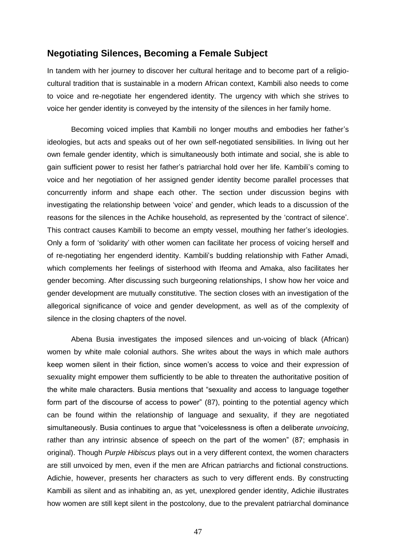### **Negotiating Silences, Becoming a Female Subject**

In tandem with her journey to discover her cultural heritage and to become part of a religiocultural tradition that is sustainable in a modern African context, Kambili also needs to come to voice and re-negotiate her engendered identity. The urgency with which she strives to voice her gender identity is conveyed by the intensity of the silences in her family home.

Becoming voiced implies that Kambili no longer mouths and embodies her father's ideologies, but acts and speaks out of her own self-negotiated sensibilities. In living out her own female gender identity, which is simultaneously both intimate and social, she is able to gain sufficient power to resist her father's patriarchal hold over her life. Kambili's coming to voice and her negotiation of her assigned gender identity become parallel processes that concurrently inform and shape each other. The section under discussion begins with investigating the relationship between 'voice' and gender, which leads to a discussion of the reasons for the silences in the Achike household, as represented by the 'contract of silence'. This contract causes Kambili to become an empty vessel, mouthing her father's ideologies. Only a form of ‗solidarity' with other women can facilitate her process of voicing herself and of re-negotiating her engenderd identity. Kambili's budding relationship with Father Amadi, which complements her feelings of sisterhood with Ifeoma and Amaka, also facilitates her gender becoming. After discussing such burgeoning relationships, I show how her voice and gender development are mutually constitutive. The section closes with an investigation of the allegorical significance of voice and gender development, as well as of the complexity of silence in the closing chapters of the novel.

Abena Busia investigates the imposed silences and un-voicing of black (African) women by white male colonial authors. She writes about the ways in which male authors keep women silent in their fiction, since women's access to voice and their expression of sexuality might empower them sufficiently to be able to threaten the authoritative position of the white male characters. Busia mentions that "sexuality and access to language together form part of the discourse of access to power" (87), pointing to the potential agency which can be found within the relationship of language and sexuality, if they are negotiated simultaneously. Busia continues to argue that "voicelessness is often a deliberate *unvoicing*, rather than any intrinsic absence of speech on the part of the women" (87; emphasis in original). Though *Purple Hibiscus* plays out in a very different context, the women characters are still unvoiced by men, even if the men are African patriarchs and fictional constructions. Adichie, however, presents her characters as such to very different ends. By constructing Kambili as silent and as inhabiting an, as yet, unexplored gender identity, Adichie illustrates how women are still kept silent in the postcolony, due to the prevalent patriarchal dominance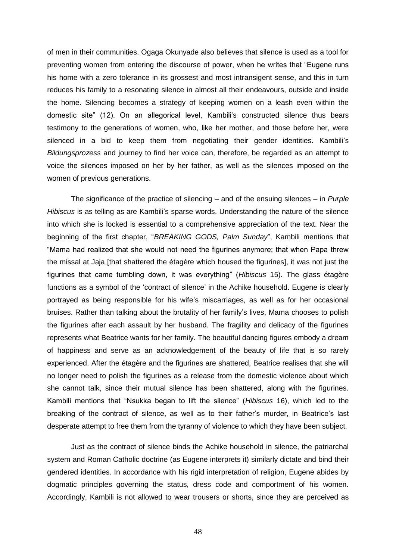of men in their communities. Ogaga Okunyade also believes that silence is used as a tool for preventing women from entering the discourse of power, when he writes that "Eugene runs" his home with a zero tolerance in its grossest and most intransigent sense, and this in turn reduces his family to a resonating silence in almost all their endeavours, outside and inside the home. Silencing becomes a strategy of keeping women on a leash even within the domestic site‖ (12). On an allegorical level, Kambili's constructed silence thus bears testimony to the generations of women, who, like her mother, and those before her, were silenced in a bid to keep them from negotiating their gender identities. Kambili's *Bildungsprozess* and journey to find her voice can, therefore, be regarded as an attempt to voice the silences imposed on her by her father, as well as the silences imposed on the women of previous generations.

The significance of the practice of silencing – and of the ensuing silences – in *Purple Hibiscus* is as telling as are Kambili's sparse words. Understanding the nature of the silence into which she is locked is essential to a comprehensive appreciation of the text. Near the beginning of the first chapter, "BREAKING GODS, Palm Sunday", Kambili mentions that "Mama had realized that she would not need the figurines anymore; that when Papa threw the missal at Jaja [that shattered the étagère which housed the figurines], it was not just the figurines that came tumbling down, it was everything‖ (*Hibiscus* 15). The glass étagère functions as a symbol of the 'contract of silence' in the Achike household. Eugene is clearly portrayed as being responsible for his wife's miscarriages, as well as for her occasional bruises. Rather than talking about the brutality of her family's lives, Mama chooses to polish the figurines after each assault by her husband. The fragility and delicacy of the figurines represents what Beatrice wants for her family. The beautiful dancing figures embody a dream of happiness and serve as an acknowledgement of the beauty of life that is so rarely experienced. After the étagère and the figurines are shattered, Beatrice realises that she will no longer need to polish the figurines as a release from the domestic violence about which she cannot talk, since their mutual silence has been shattered, along with the figurines. Kambili mentions that "Nsukka began to lift the silence" (*Hibiscus* 16), which led to the breaking of the contract of silence, as well as to their father's murder, in Beatrice's last desperate attempt to free them from the tyranny of violence to which they have been subject.

Just as the contract of silence binds the Achike household in silence, the patriarchal system and Roman Catholic doctrine (as Eugene interprets it) similarly dictate and bind their gendered identities. In accordance with his rigid interpretation of religion, Eugene abides by dogmatic principles governing the status, dress code and comportment of his women. Accordingly, Kambili is not allowed to wear trousers or shorts, since they are perceived as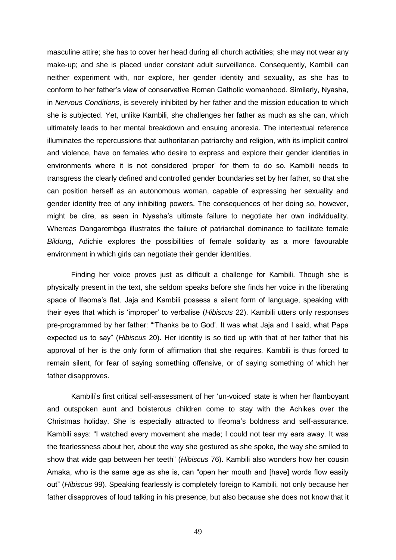masculine attire; she has to cover her head during all church activities; she may not wear any make-up; and she is placed under constant adult surveillance. Consequently, Kambili can neither experiment with, nor explore, her gender identity and sexuality, as she has to conform to her father's view of conservative Roman Catholic womanhood. Similarly, Nyasha, in *Nervous Conditions*, is severely inhibited by her father and the mission education to which she is subjected. Yet, unlike Kambili, she challenges her father as much as she can, which ultimately leads to her mental breakdown and ensuing anorexia. The intertextual reference illuminates the repercussions that authoritarian patriarchy and religion, with its implicit control and violence, have on females who desire to express and explore their gender identities in environments where it is not considered 'proper' for them to do so. Kambili needs to transgress the clearly defined and controlled gender boundaries set by her father, so that she can position herself as an autonomous woman, capable of expressing her sexuality and gender identity free of any inhibiting powers. The consequences of her doing so, however, might be dire, as seen in Nyasha's ultimate failure to negotiate her own individuality. Whereas Dangarembga illustrates the failure of patriarchal dominance to facilitate female *Bildung*, Adichie explores the possibilities of female solidarity as a more favourable environment in which girls can negotiate their gender identities.

Finding her voice proves just as difficult a challenge for Kambili. Though she is physically present in the text, she seldom speaks before she finds her voice in the liberating space of Ifeoma's flat. Jaja and Kambili possess a silent form of language, speaking with their eyes that which is ‗improper' to verbalise (*Hibiscus* 22). Kambili utters only responses pre-programmed by her father: "Thanks be to God'. It was what Jaja and I said, what Papa expected us to say‖ (*Hibiscus* 20). Her identity is so tied up with that of her father that his approval of her is the only form of affirmation that she requires. Kambili is thus forced to remain silent, for fear of saying something offensive, or of saying something of which her father disapproves.

Kambili's first critical self-assessment of her 'un-voiced' state is when her flamboyant and outspoken aunt and boisterous children come to stay with the Achikes over the Christmas holiday. She is especially attracted to Ifeoma's boldness and self-assurance. Kambili says: "I watched every movement she made; I could not tear my ears away. It was the fearlessness about her, about the way she gestured as she spoke, the way she smiled to show that wide gap between her teeth‖ (*Hibiscus* 76). Kambili also wonders how her cousin Amaka, who is the same age as she is, can "open her mouth and [have] words flow easily out‖ (*Hibiscus* 99). Speaking fearlessly is completely foreign to Kambili, not only because her father disapproves of loud talking in his presence, but also because she does not know that it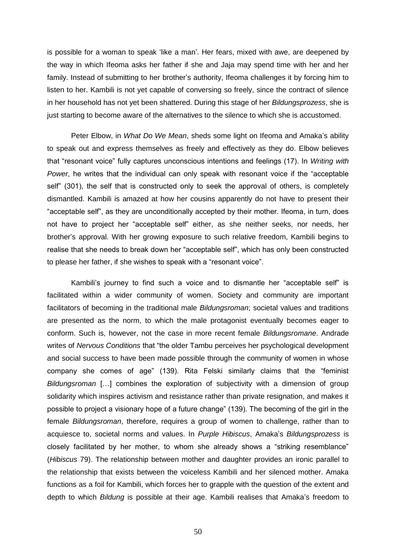is possible for a woman to speak 'like a man'. Her fears, mixed with awe, are deepened by the way in which Ifeoma asks her father if she and Jaja may spend time with her and her family. Instead of submitting to her brother's authority, Ifeoma challenges it by forcing him to listen to her. Kambili is not yet capable of conversing so freely, since the contract of silence in her household has not yet been shattered. During this stage of her *Bildungsprozess*, she is just starting to become aware of the alternatives to the silence to which she is accustomed.

Peter Elbow, in *What Do We Mean*, sheds some light on Ifeoma and Amaka's ability to speak out and express themselves as freely and effectively as they do. Elbow believes that "resonant voice" fully captures unconscious intentions and feelings (17). In *Writing with Power*, he writes that the individual can only speak with resonant voice if the "acceptable" self" (301), the self that is constructed only to seek the approval of others, is completely dismantled. Kambili is amazed at how her cousins apparently do not have to present their "acceptable self", as they are unconditionally accepted by their mother. Ifeoma, in turn, does not have to project her "acceptable self" either, as she neither seeks, nor needs, her brother's approval. With her growing exposure to such relative freedom, Kambili begins to realise that she needs to break down her "acceptable self", which has only been constructed to please her father, if she wishes to speak with a "resonant voice".

Kambili's journey to find such a voice and to dismantle her "acceptable self" is facilitated within a wider community of women. Society and community are important facilitators of becoming in the traditional male *Bildungsroman*; societal values and traditions are presented as the norm, to which the male protagonist eventually becomes eager to conform. Such is, however, not the case in more recent female *Bildungsromane*. Andrade writes of *Nervous Conditions* that "the older Tambu perceives her psychological development and social success to have been made possible through the community of women in whose company she comes of age" (139). Rita Felski similarly claims that the "feminist *Bildungsroman* […] combines the exploration of subjectivity with a dimension of group solidarity which inspires activism and resistance rather than private resignation, and makes it possible to project a visionary hope of a future change‖ (139). The becoming of the girl in the female *Bildungsroman*, therefore, requires a group of women to challenge, rather than to acquiesce to, societal norms and values. In *Purple Hibiscus*, Amaka's *Bildungsprozess* is closely facilitated by her mother, to whom she already shows a "striking resemblance" (*Hibiscus* 79). The relationship between mother and daughter provides an ironic parallel to the relationship that exists between the voiceless Kambili and her silenced mother. Amaka functions as a foil for Kambili, which forces her to grapple with the question of the extent and depth to which *Bildung* is possible at their age. Kambili realises that Amaka's freedom to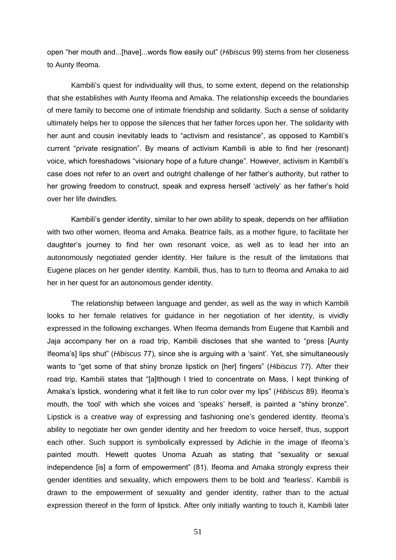open "her mouth and...[have]...words flow easily out" (*Hibiscus* 99) stems from her closeness to Aunty Ifeoma.

Kambili's quest for individuality will thus, to some extent, depend on the relationship that she establishes with Aunty Ifeoma and Amaka. The relationship exceeds the boundaries of mere family to become one of intimate friendship and solidarity. Such a sense of solidarity ultimately helps her to oppose the silences that her father forces upon her. The solidarity with her aunt and cousin inevitably leads to "activism and resistance", as opposed to Kambili's current "private resignation". By means of activism Kambili is able to find her (resonant) voice, which foreshadows "visionary hope of a future change". However, activism in Kambili's case does not refer to an overt and outright challenge of her father's authority, but rather to her growing freedom to construct, speak and express herself 'actively' as her father's hold over her life dwindles.

Kambili's gender identity, similar to her own ability to speak, depends on her affiliation with two other women, Ifeoma and Amaka. Beatrice fails, as a mother figure, to facilitate her daughter's journey to find her own resonant voice, as well as to lead her into an autonomously negotiated gender identity. Her failure is the result of the limitations that Eugene places on her gender identity. Kambili, thus, has to turn to Ifeoma and Amaka to aid her in her quest for an autonomous gender identity.

The relationship between language and gender, as well as the way in which Kambili looks to her female relatives for guidance in her negotiation of her identity, is vividly expressed in the following exchanges. When Ifeoma demands from Eugene that Kambili and Jaja accompany her on a road trip, Kambili discloses that she wanted to "press [Aunty Ifeoma's] lips shut" (*Hibiscus* 77), since she is arguing with a 'saint'. Yet, she simultaneously wants to "get some of that shiny bronze lipstick on [her] fingers" (*Hibiscus* 77). After their road trip, Kambili states that "[a]lthough I tried to concentrate on Mass, I kept thinking of Amaka's lipstick, wondering what it felt like to run color over my lips‖ (*Hibiscus* 89). Ifeoma's mouth, the 'tool' with which she voices and 'speaks' herself, is painted a "shiny bronze". Lipstick is a creative way of expressing and fashioning one's gendered identity. Ifeoma's ability to negotiate her own gender identity and her freedom to voice herself, thus, support each other. Such support is symbolically expressed by Adichie in the image of Ifeoma's painted mouth. Hewett quotes Unoma Azuah as stating that "sexuality or sexual independence [is] a form of empowerment" (81). Ifeoma and Amaka strongly express their gender identities and sexuality, which empowers them to be bold and 'fearless'. Kambili is drawn to the empowerment of sexuality and gender identity, rather than to the actual expression thereof in the form of lipstick. After only initially wanting to touch it, Kambili later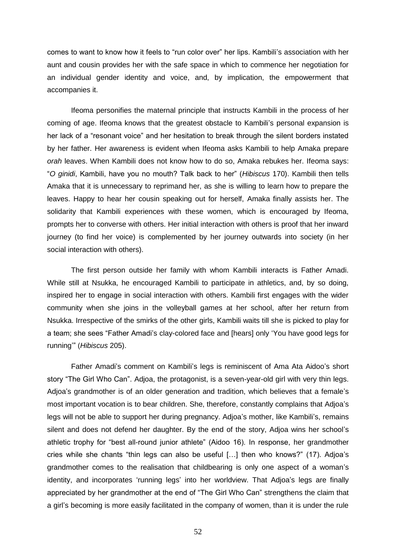comes to want to know how it feels to "run color over" her lips. Kambili's association with her aunt and cousin provides her with the safe space in which to commence her negotiation for an individual gender identity and voice, and, by implication, the empowerment that accompanies it.

Ifeoma personifies the maternal principle that instructs Kambili in the process of her coming of age. Ifeoma knows that the greatest obstacle to Kambili's personal expansion is her lack of a "resonant voice" and her hesitation to break through the silent borders instated by her father. Her awareness is evident when Ifeoma asks Kambili to help Amaka prepare *orah* leaves. When Kambili does not know how to do so, Amaka rebukes her. Ifeoma says: ―*O ginidi*, Kambili, have you no mouth? Talk back to her‖ (*Hibiscus* 170). Kambili then tells Amaka that it is unnecessary to reprimand her, as she is willing to learn how to prepare the leaves. Happy to hear her cousin speaking out for herself, Amaka finally assists her. The solidarity that Kambili experiences with these women, which is encouraged by Ifeoma, prompts her to converse with others. Her initial interaction with others is proof that her inward journey (to find her voice) is complemented by her journey outwards into society (in her social interaction with others).

The first person outside her family with whom Kambili interacts is Father Amadi. While still at Nsukka, he encouraged Kambili to participate in athletics, and, by so doing, inspired her to engage in social interaction with others. Kambili first engages with the wider community when she joins in the volleyball games at her school, after her return from Nsukka. Irrespective of the smirks of the other girls, Kambili waits till she is picked to play for a team; she sees "Father Amadi's clay-colored face and [hears] only 'You have good legs for running'‖ (*Hibiscus* 205).

Father Amadi's comment on Kambili's legs is reminiscent of Ama Ata Aidoo's short story "The Girl Who Can". Adjoa, the protagonist, is a seven-year-old girl with very thin legs. Adjoa's grandmother is of an older generation and tradition, which believes that a female's most important vocation is to bear children. She, therefore, constantly complains that Adjoa's legs will not be able to support her during pregnancy. Adjoa's mother, like Kambili's, remains silent and does not defend her daughter. By the end of the story, Adjoa wins her school's athletic trophy for "best all-round junior athlete" (Aidoo 16). In response, her grandmother cries while she chants "thin legs can also be useful  $[...]$  then who knows?" (17). Adjoa's grandmother comes to the realisation that childbearing is only one aspect of a woman's identity, and incorporates 'running legs' into her worldview. That Adjoa's legs are finally appreciated by her grandmother at the end of "The Girl Who Can" strengthens the claim that a girl's becoming is more easily facilitated in the company of women, than it is under the rule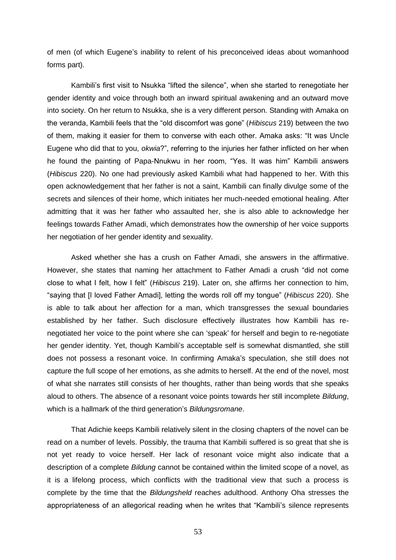of men (of which Eugene's inability to relent of his preconceived ideas about womanhood forms part).

Kambili's first visit to Nsukka "lifted the silence", when she started to renegotiate her gender identity and voice through both an inward spiritual awakening and an outward move into society. On her return to Nsukka, she is a very different person. Standing with Amaka on the veranda, Kambili feels that the "old discomfort was gone" (*Hibiscus* 219) between the two of them, making it easier for them to converse with each other. Amaka asks: "It was Uncle Eugene who did that to you, *okwia*?‖, referring to the injuries her father inflicted on her when he found the painting of Papa-Nnukwu in her room, "Yes. It was him" Kambili answers (*Hibiscus* 220). No one had previously asked Kambili what had happened to her. With this open acknowledgement that her father is not a saint, Kambili can finally divulge some of the secrets and silences of their home, which initiates her much-needed emotional healing. After admitting that it was her father who assaulted her, she is also able to acknowledge her feelings towards Father Amadi, which demonstrates how the ownership of her voice supports her negotiation of her gender identity and sexuality.

Asked whether she has a crush on Father Amadi, she answers in the affirmative. However, she states that naming her attachment to Father Amadi a crush "did not come close to what I felt, how I felt‖ (*Hibiscus* 219). Later on, she affirms her connection to him, ―saying that [I loved Father Amadi], letting the words roll off my tongue‖ (*Hibiscus* 220). She is able to talk about her affection for a man, which transgresses the sexual boundaries established by her father. Such disclosure effectively illustrates how Kambili has renegotiated her voice to the point where she can 'speak' for herself and begin to re-negotiate her gender identity. Yet, though Kambili's acceptable self is somewhat dismantled, she still does not possess a resonant voice. In confirming Amaka's speculation, she still does not capture the full scope of her emotions, as she admits to herself. At the end of the novel, most of what she narrates still consists of her thoughts, rather than being words that she speaks aloud to others. The absence of a resonant voice points towards her still incomplete *Bildung*, which is a hallmark of the third generation's *Bildungsromane*.

That Adichie keeps Kambili relatively silent in the closing chapters of the novel can be read on a number of levels. Possibly, the trauma that Kambili suffered is so great that she is not yet ready to voice herself. Her lack of resonant voice might also indicate that a description of a complete *Bildung* cannot be contained within the limited scope of a novel, as it is a lifelong process, which conflicts with the traditional view that such a process is complete by the time that the *Bildungsheld* reaches adulthood. Anthony Oha stresses the appropriateness of an allegorical reading when he writes that "Kambili's silence represents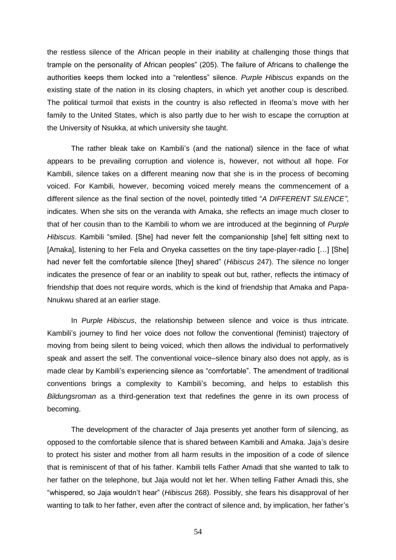the restless silence of the African people in their inability at challenging those things that trample on the personality of African peoples‖ (205). The failure of Africans to challenge the authorities keeps them locked into a "relentless" silence. *Purple Hibiscus* expands on the existing state of the nation in its closing chapters, in which yet another coup is described. The political turmoil that exists in the country is also reflected in Ifeoma's move with her family to the United States, which is also partly due to her wish to escape the corruption at the University of Nsukka, at which university she taught.

The rather bleak take on Kambili's (and the national) silence in the face of what appears to be prevailing corruption and violence is, however, not without all hope. For Kambili, silence takes on a different meaning now that she is in the process of becoming voiced. For Kambili, however, becoming voiced merely means the commencement of a different silence as the final section of the novel, pointedly titled "A DIFFERENT SILENCE", indicates. When she sits on the veranda with Amaka, she reflects an image much closer to that of her cousin than to the Kambili to whom we are introduced at the beginning of *Purple Hibiscus*. Kambili "smiled. [She] had never felt the companionship [she] felt sitting next to [Amaka], listening to her Fela and Onyeka cassettes on the tiny tape-player-radio […] [She] had never felt the comfortable silence [they] shared" (*Hibiscus* 247). The silence no longer indicates the presence of fear or an inability to speak out but, rather, reflects the intimacy of friendship that does not require words, which is the kind of friendship that Amaka and Papa-Nnukwu shared at an earlier stage.

In *Purple Hibiscus*, the relationship between silence and voice is thus intricate. Kambili's journey to find her voice does not follow the conventional (feminist) trajectory of moving from being silent to being voiced, which then allows the individual to performatively speak and assert the self. The conventional voice–silence binary also does not apply, as is made clear by Kambili's experiencing silence as "comfortable". The amendment of traditional conventions brings a complexity to Kambili's becoming, and helps to establish this *Bildungsroman* as a third-generation text that redefines the genre in its own process of becoming.

The development of the character of Jaja presents yet another form of silencing, as opposed to the comfortable silence that is shared between Kambili and Amaka. Jaja's desire to protect his sister and mother from all harm results in the imposition of a code of silence that is reminiscent of that of his father. Kambili tells Father Amadi that she wanted to talk to her father on the telephone, but Jaja would not let her. When telling Father Amadi this, she ―whispered, so Jaja wouldn't hear‖ (*Hibiscus* 268). Possibly, she fears his disapproval of her wanting to talk to her father, even after the contract of silence and, by implication, her father's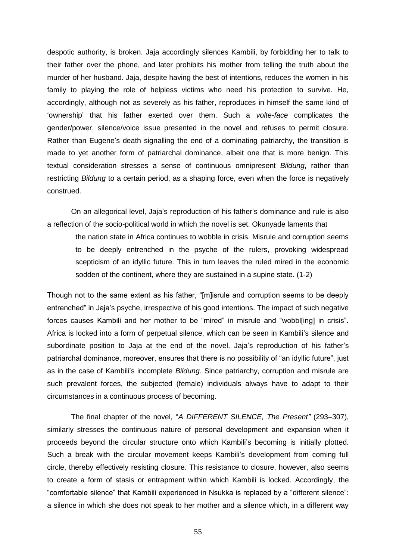despotic authority, is broken. Jaja accordingly silences Kambili, by forbidding her to talk to their father over the phone, and later prohibits his mother from telling the truth about the murder of her husband. Jaja, despite having the best of intentions, reduces the women in his family to playing the role of helpless victims who need his protection to survive. He, accordingly, although not as severely as his father, reproduces in himself the same kind of ‗ownership' that his father exerted over them. Such a *volte-face* complicates the gender/power, silence/voice issue presented in the novel and refuses to permit closure. Rather than Eugene's death signalling the end of a dominating patriarchy, the transition is made to yet another form of patriarchal dominance, albeit one that is more benign. This textual consideration stresses a sense of continuous omnipresent *Bildung*, rather than restricting *Bildung* to a certain period, as a shaping force, even when the force is negatively construed.

On an allegorical level, Jaja's reproduction of his father's dominance and rule is also a reflection of the socio-political world in which the novel is set. Okunyade laments that

the nation state in Africa continues to wobble in crisis. Misrule and corruption seems to be deeply entrenched in the psyche of the rulers, provoking widespread scepticism of an idyllic future. This in turn leaves the ruled mired in the economic sodden of the continent, where they are sustained in a supine state. (1-2)

Though not to the same extent as his father, "[m]isrule and corruption seems to be deeply entrenched" in Jaja's psyche, irrespective of his good intentions. The impact of such negative forces causes Kambili and her mother to be "mired" in misrule and "wobbl[ing] in crisis". Africa is locked into a form of perpetual silence, which can be seen in Kambili's silence and subordinate position to Jaja at the end of the novel. Jaja's reproduction of his father's patriarchal dominance, moreover, ensures that there is no possibility of "an idyllic future", just as in the case of Kambili's incomplete *Bildung*. Since patriarchy, corruption and misrule are such prevalent forces, the subjected (female) individuals always have to adapt to their circumstances in a continuous process of becoming.

The final chapter of the novel, "A DIFFERENT SILENCE, The Present" (293-307), similarly stresses the continuous nature of personal development and expansion when it proceeds beyond the circular structure onto which Kambili's becoming is initially plotted. Such a break with the circular movement keeps Kambili's development from coming full circle, thereby effectively resisting closure. This resistance to closure, however, also seems to create a form of stasis or entrapment within which Kambili is locked. Accordingly, the "comfortable silence" that Kambili experienced in Nsukka is replaced by a "different silence": a silence in which she does not speak to her mother and a silence which, in a different way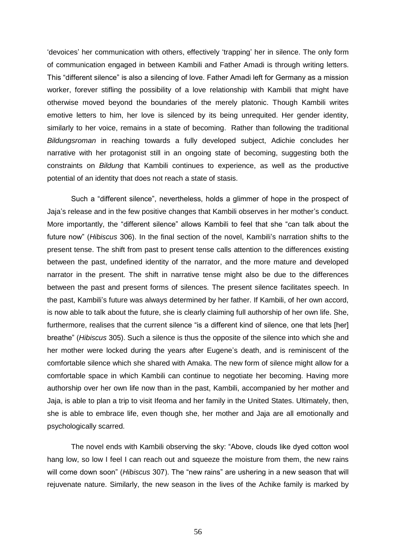‗devoices' her communication with others, effectively ‗trapping' her in silence. The only form of communication engaged in between Kambili and Father Amadi is through writing letters. This "different silence" is also a silencing of love. Father Amadi left for Germany as a mission worker, forever stifling the possibility of a love relationship with Kambili that might have otherwise moved beyond the boundaries of the merely platonic. Though Kambili writes emotive letters to him, her love is silenced by its being unrequited. Her gender identity, similarly to her voice, remains in a state of becoming. Rather than following the traditional *Bildungsroman* in reaching towards a fully developed subject, Adichie concludes her narrative with her protagonist still in an ongoing state of becoming, suggesting both the constraints on *Bildung* that Kambili continues to experience, as well as the productive potential of an identity that does not reach a state of stasis.

Such a "different silence", nevertheless, holds a glimmer of hope in the prospect of Jaja's release and in the few positive changes that Kambili observes in her mother's conduct. More importantly, the "different silence" allows Kambili to feel that she "can talk about the future now‖ (*Hibiscus* 306). In the final section of the novel, Kambili's narration shifts to the present tense. The shift from past to present tense calls attention to the differences existing between the past, undefined identity of the narrator, and the more mature and developed narrator in the present. The shift in narrative tense might also be due to the differences between the past and present forms of silences. The present silence facilitates speech. In the past, Kambili's future was always determined by her father. If Kambili, of her own accord, is now able to talk about the future, she is clearly claiming full authorship of her own life. She, furthermore, realises that the current silence "is a different kind of silence, one that lets [her] breathe‖ (*Hibiscus* 305). Such a silence is thus the opposite of the silence into which she and her mother were locked during the years after Eugene's death, and is reminiscent of the comfortable silence which she shared with Amaka. The new form of silence might allow for a comfortable space in which Kambili can continue to negotiate her becoming. Having more authorship over her own life now than in the past, Kambili, accompanied by her mother and Jaja, is able to plan a trip to visit Ifeoma and her family in the United States. Ultimately, then, she is able to embrace life, even though she, her mother and Jaja are all emotionally and psychologically scarred.

The novel ends with Kambili observing the sky: "Above, clouds like dyed cotton wool hang low, so low I feel I can reach out and squeeze the moisture from them, the new rains will come down soon" (*Hibiscus* 307). The "new rains" are ushering in a new season that will rejuvenate nature. Similarly, the new season in the lives of the Achike family is marked by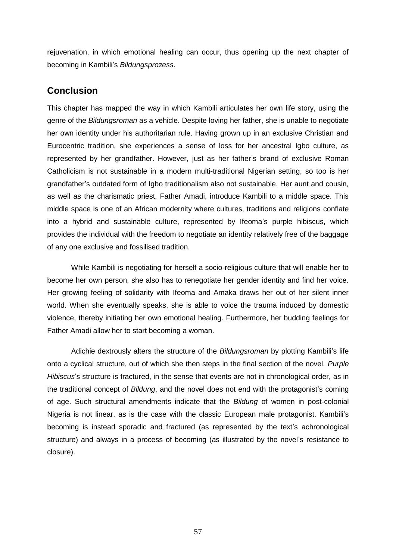rejuvenation, in which emotional healing can occur, thus opening up the next chapter of becoming in Kambili's *Bildungsprozess*.

# **Conclusion**

This chapter has mapped the way in which Kambili articulates her own life story, using the genre of the *Bildungsroman* as a vehicle. Despite loving her father, she is unable to negotiate her own identity under his authoritarian rule. Having grown up in an exclusive Christian and Eurocentric tradition, she experiences a sense of loss for her ancestral Igbo culture, as represented by her grandfather. However, just as her father's brand of exclusive Roman Catholicism is not sustainable in a modern multi-traditional Nigerian setting, so too is her grandfather's outdated form of Igbo traditionalism also not sustainable. Her aunt and cousin, as well as the charismatic priest, Father Amadi, introduce Kambili to a middle space. This middle space is one of an African modernity where cultures, traditions and religions conflate into a hybrid and sustainable culture, represented by Ifeoma's purple hibiscus, which provides the individual with the freedom to negotiate an identity relatively free of the baggage of any one exclusive and fossilised tradition.

While Kambili is negotiating for herself a socio-religious culture that will enable her to become her own person, she also has to renegotiate her gender identity and find her voice. Her growing feeling of solidarity with Ifeoma and Amaka draws her out of her silent inner world. When she eventually speaks, she is able to voice the trauma induced by domestic violence, thereby initiating her own emotional healing. Furthermore, her budding feelings for Father Amadi allow her to start becoming a woman.

Adichie dextrously alters the structure of the *Bildungsroman* by plotting Kambili's life onto a cyclical structure, out of which she then steps in the final section of the novel. *Purple Hibiscus*'s structure is fractured, in the sense that events are not in chronological order, as in the traditional concept of *Bildung*, and the novel does not end with the protagonist's coming of age. Such structural amendments indicate that the *Bildung* of women in post-colonial Nigeria is not linear, as is the case with the classic European male protagonist. Kambili's becoming is instead sporadic and fractured (as represented by the text's achronological structure) and always in a process of becoming (as illustrated by the novel's resistance to closure).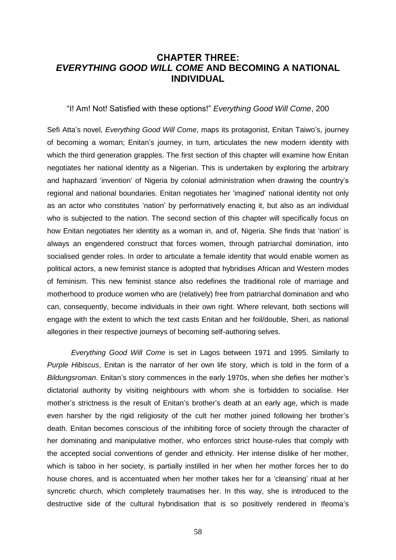## **CHAPTER THREE:** *EVERYTHING GOOD WILL COME* **AND BECOMING A NATIONAL INDIVIDUAL**

―I! Am! Not! Satisfied with these options!‖ *Everything Good Will Come*, 200

Sefi Atta's novel, *Everything Good Will Come*, maps its protagonist, Enitan Taiwo's, journey of becoming a woman; Enitan's journey, in turn, articulates the new modern identity with which the third generation grapples. The first section of this chapter will examine how Enitan negotiates her national identity as a Nigerian. This is undertaken by exploring the arbitrary and haphazard ‗invention' of Nigeria by colonial administration when drawing the country's regional and national boundaries. Enitan negotiates her 'imagined' national identity not only as an actor who constitutes 'nation' by performatively enacting it, but also as an individual who is subjected to the nation. The second section of this chapter will specifically focus on how Enitan negotiates her identity as a woman in, and of, Nigeria. She finds that 'nation' is always an engendered construct that forces women, through patriarchal domination, into socialised gender roles. In order to articulate a female identity that would enable women as political actors, a new feminist stance is adopted that hybridises African and Western modes of feminism. This new feminist stance also redefines the traditional role of marriage and motherhood to produce women who are (relatively) free from patriarchal domination and who can, consequently, become individuals in their own right. Where relevant, both sections will engage with the extent to which the text casts Enitan and her foil/double, Sheri, as national allegories in their respective journeys of becoming self-authoring selves.

*Everything Good Will Come* is set in Lagos between 1971 and 1995. Similarly to *Purple Hibiscus*, Enitan is the narrator of her own life story, which is told in the form of a *Bildungsroman*. Enitan's story commences in the early 1970s, when she defies her mother's dictatorial authority by visiting neighbours with whom she is forbidden to socialise. Her mother's strictness is the result of Enitan's brother's death at an early age, which is made even harsher by the rigid religiosity of the cult her mother joined following her brother's death. Enitan becomes conscious of the inhibiting force of society through the character of her dominating and manipulative mother, who enforces strict house-rules that comply with the accepted social conventions of gender and ethnicity. Her intense dislike of her mother, which is taboo in her society, is partially instilled in her when her mother forces her to do house chores, and is accentuated when her mother takes her for a 'cleansing' ritual at her syncretic church, which completely traumatises her. In this way, she is introduced to the destructive side of the cultural hybridisation that is so positively rendered in Ifeoma's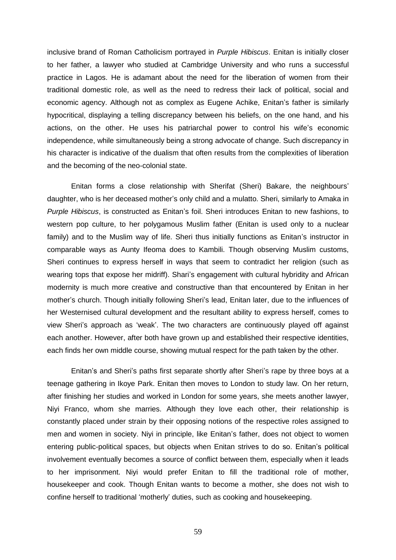inclusive brand of Roman Catholicism portrayed in *Purple Hibiscus*. Enitan is initially closer to her father, a lawyer who studied at Cambridge University and who runs a successful practice in Lagos. He is adamant about the need for the liberation of women from their traditional domestic role, as well as the need to redress their lack of political, social and economic agency. Although not as complex as Eugene Achike, Enitan's father is similarly hypocritical, displaying a telling discrepancy between his beliefs, on the one hand, and his actions, on the other. He uses his patriarchal power to control his wife's economic independence, while simultaneously being a strong advocate of change. Such discrepancy in his character is indicative of the dualism that often results from the complexities of liberation and the becoming of the neo-colonial state.

Enitan forms a close relationship with Sherifat (Sheri) Bakare, the neighbours' daughter, who is her deceased mother's only child and a mulatto. Sheri, similarly to Amaka in *Purple Hibiscus*, is constructed as Enitan's foil. Sheri introduces Enitan to new fashions, to western pop culture, to her polygamous Muslim father (Enitan is used only to a nuclear family) and to the Muslim way of life. Sheri thus initially functions as Enitan's instructor in comparable ways as Aunty Ifeoma does to Kambili. Though observing Muslim customs, Sheri continues to express herself in ways that seem to contradict her religion (such as wearing tops that expose her midriff). Shari's engagement with cultural hybridity and African modernity is much more creative and constructive than that encountered by Enitan in her mother's church. Though initially following Sheri's lead, Enitan later, due to the influences of her Westernised cultural development and the resultant ability to express herself, comes to view Sheri's approach as ‗weak'. The two characters are continuously played off against each another. However, after both have grown up and established their respective identities, each finds her own middle course, showing mutual respect for the path taken by the other.

Enitan's and Sheri's paths first separate shortly after Sheri's rape by three boys at a teenage gathering in Ikoye Park. Enitan then moves to London to study law. On her return, after finishing her studies and worked in London for some years, she meets another lawyer, Niyi Franco, whom she marries. Although they love each other, their relationship is constantly placed under strain by their opposing notions of the respective roles assigned to men and women in society. Niyi in principle, like Enitan's father, does not object to women entering public-political spaces, but objects when Enitan strives to do so. Enitan's political involvement eventually becomes a source of conflict between them, especially when it leads to her imprisonment. Niyi would prefer Enitan to fill the traditional role of mother, housekeeper and cook. Though Enitan wants to become a mother, she does not wish to confine herself to traditional 'motherly' duties, such as cooking and housekeeping.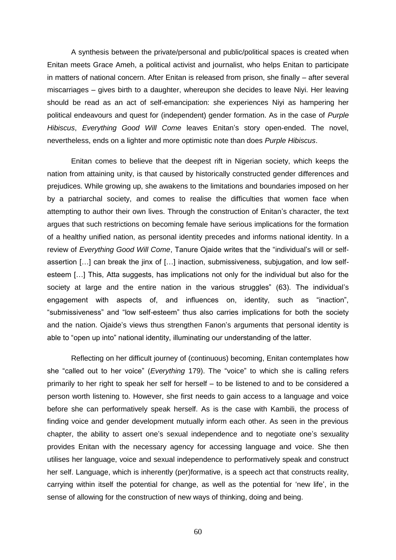A synthesis between the private/personal and public/political spaces is created when Enitan meets Grace Ameh, a political activist and journalist, who helps Enitan to participate in matters of national concern. After Enitan is released from prison, she finally – after several miscarriages – gives birth to a daughter, whereupon she decides to leave Niyi. Her leaving should be read as an act of self-emancipation: she experiences Niyi as hampering her political endeavours and quest for (independent) gender formation. As in the case of *Purple Hibiscus*, *Everything Good Will Come* leaves Enitan's story open-ended. The novel, nevertheless, ends on a lighter and more optimistic note than does *Purple Hibiscus*.

Enitan comes to believe that the deepest rift in Nigerian society, which keeps the nation from attaining unity, is that caused by historically constructed gender differences and prejudices. While growing up, she awakens to the limitations and boundaries imposed on her by a patriarchal society, and comes to realise the difficulties that women face when attempting to author their own lives. Through the construction of Enitan's character, the text argues that such restrictions on becoming female have serious implications for the formation of a healthy unified nation, as personal identity precedes and informs national identity. In a review of *Everything Good Will Come*, Tanure Ojaide writes that the "individual's will or selfassertion […] can break the jinx of […] inaction, submissiveness, subjugation, and low selfesteem […] This, Atta suggests, has implications not only for the individual but also for the society at large and the entire nation in the various struggles" (63). The individual's engagement with aspects of, and influences on, identity, such as "inaction", "submissiveness" and "low self-esteem" thus also carries implications for both the society and the nation. Ojaide's views thus strengthen Fanon's arguments that personal identity is able to "open up into" national identity, illuminating our understanding of the latter.

Reflecting on her difficult journey of (continuous) becoming, Enitan contemplates how she "called out to her voice" (*Everything* 179). The "voice" to which she is calling refers primarily to her right to speak her self for herself – to be listened to and to be considered a person worth listening to. However, she first needs to gain access to a language and voice before she can performatively speak herself. As is the case with Kambili, the process of finding voice and gender development mutually inform each other. As seen in the previous chapter, the ability to assert one's sexual independence and to negotiate one's sexuality provides Enitan with the necessary agency for accessing language and voice. She then utilises her language, voice and sexual independence to performatively speak and construct her self. Language, which is inherently (per)formative, is a speech act that constructs reality, carrying within itself the potential for change, as well as the potential for 'new life', in the sense of allowing for the construction of new ways of thinking, doing and being.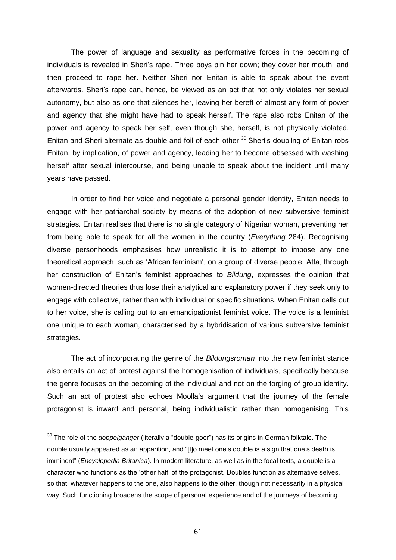The power of language and sexuality as performative forces in the becoming of individuals is revealed in Sheri's rape. Three boys pin her down; they cover her mouth, and then proceed to rape her. Neither Sheri nor Enitan is able to speak about the event afterwards. Sheri's rape can, hence, be viewed as an act that not only violates her sexual autonomy, but also as one that silences her, leaving her bereft of almost any form of power and agency that she might have had to speak herself. The rape also robs Enitan of the power and agency to speak her self, even though she, herself, is not physically violated. Enitan and Sheri alternate as double and foil of each other.<sup>30</sup> Sheri's doubling of Enitan robs Enitan, by implication, of power and agency, leading her to become obsessed with washing herself after sexual intercourse, and being unable to speak about the incident until many years have passed.

In order to find her voice and negotiate a personal gender identity, Enitan needs to engage with her patriarchal society by means of the adoption of new subversive feminist strategies. Enitan realises that there is no single category of Nigerian woman, preventing her from being able to speak for all the women in the country (*Everything* 284). Recognising diverse personhoods emphasises how unrealistic it is to attempt to impose any one theoretical approach, such as ‗African feminism', on a group of diverse people. Atta, through her construction of Enitan's feminist approaches to *Bildung*, expresses the opinion that women-directed theories thus lose their analytical and explanatory power if they seek only to engage with collective, rather than with individual or specific situations. When Enitan calls out to her voice, she is calling out to an emancipationist feminist voice. The voice is a feminist one unique to each woman, characterised by a hybridisation of various subversive feminist strategies.

The act of incorporating the genre of the *Bildungsroman* into the new feminist stance also entails an act of protest against the homogenisation of individuals, specifically because the genre focuses on the becoming of the individual and not on the forging of group identity. Such an act of protest also echoes Moolla's argument that the journey of the female protagonist is inward and personal, being individualistic rather than homogenising. This

 $\overline{a}$ 

<sup>&</sup>lt;sup>30</sup> The role of the *doppelgänger* (literally a "double-goer") has its origins in German folktale. The double usually appeared as an apparition, and "[t]o meet one's double is a sign that one's death is imminent" (*Encyclopedia Britanica*). In modern literature, as well as in the focal texts, a double is a character who functions as the 'other half' of the protagonist. Doubles function as alternative selves, so that, whatever happens to the one, also happens to the other, though not necessarily in a physical way. Such functioning broadens the scope of personal experience and of the journeys of becoming.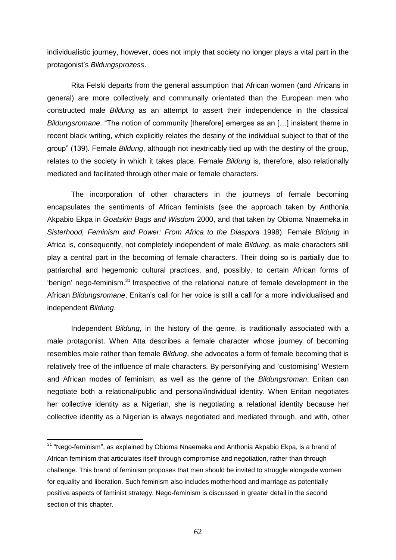individualistic journey, however, does not imply that society no longer plays a vital part in the protagonist's *Bildungsprozess*.

Rita Felski departs from the general assumption that African women (and Africans in general) are more collectively and communally orientated than the European men who constructed male *Bildung* as an attempt to assert their independence in the classical *Bildungsromane*. "The notion of community [therefore] emerges as an [...] insistent theme in recent black writing, which explicitly relates the destiny of the individual subject to that of the group" (139). Female *Bildung*, although not inextricably tied up with the destiny of the group, relates to the society in which it takes place. Female *Bildung* is, therefore, also relationally mediated and facilitated through other male or female characters.

The incorporation of other characters in the journeys of female becoming encapsulates the sentiments of African feminists (see the approach taken by Anthonia Akpabio Ekpa in *Goatskin Bags and Wisdom* 2000, and that taken by Obioma Nnaemeka in *Sisterhood, Feminism and Power: From Africa to the Diaspora* 1998). Female *Bildung* in Africa is, consequently, not completely independent of male *Bildung*, as male characters still play a central part in the becoming of female characters. Their doing so is partially due to patriarchal and hegemonic cultural practices, and, possibly, to certain African forms of ‗benign' nego-feminism.<sup>31</sup> Irrespective of the relational nature of female development in the African *Bildungsromane*, Enitan's call for her voice is still a call for a more individualised and independent *Bildung*.

Independent *Bildung*, in the history of the genre, is traditionally associated with a male protagonist. When Atta describes a female character whose journey of becoming resembles male rather than female *Bildung*, she advocates a form of female becoming that is relatively free of the influence of male characters. By personifying and 'customising' Western and African modes of feminism, as well as the genre of the *Bildungsroman*, Enitan can negotiate both a relational/public and personal/individual identity. When Enitan negotiates her collective identity as a Nigerian, she is negotiating a relational identity because her collective identity as a Nigerian is always negotiated and mediated through, and with, other

 $\overline{a}$ 

 $31$  "Nego-feminism", as explained by Obioma Nnaemeka and Anthonia Akpabio Ekpa, is a brand of African feminism that articulates itself through compromise and negotiation, rather than through challenge. This brand of feminism proposes that men should be invited to struggle alongside women for equality and liberation. Such feminism also includes motherhood and marriage as potentially positive aspects of feminist strategy. Nego-feminism is discussed in greater detail in the second section of this chapter.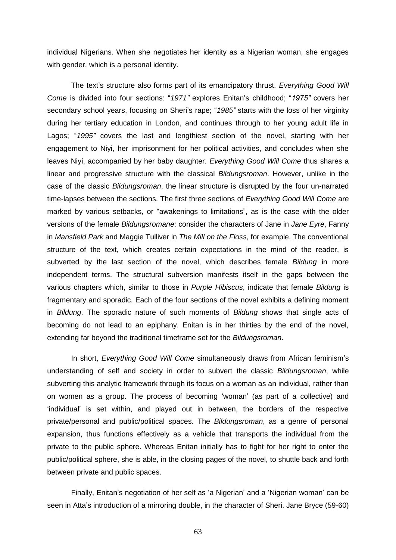individual Nigerians. When she negotiates her identity as a Nigerian woman, she engages with gender, which is a personal identity.

The text's structure also forms part of its emancipatory thrust. *Everything Good Will Come* is divided into four sections: "1971" explores Enitan's childhood; "1975" covers her secondary school years, focusing on Sheri's rape; "1985" starts with the loss of her virginity during her tertiary education in London, and continues through to her young adult life in Lagos; "1995" covers the last and lengthiest section of the novel, starting with her engagement to Niyi, her imprisonment for her political activities, and concludes when she leaves Niyi, accompanied by her baby daughter. *Everything Good Will Come* thus shares a linear and progressive structure with the classical *Bildungsroman*. However, unlike in the case of the classic *Bildungsroman*, the linear structure is disrupted by the four un-narrated time-lapses between the sections. The first three sections of *Everything Good Will Come* are marked by various setbacks, or "awakenings to limitations", as is the case with the older versions of the female *Bildungsromane*: consider the characters of Jane in *Jane Eyre*, Fanny in *Mansfield Park* and Maggie Tulliver in *The Mill on the Floss*, for example. The conventional structure of the text, which creates certain expectations in the mind of the reader, is subverted by the last section of the novel, which describes female *Bildung* in more independent terms. The structural subversion manifests itself in the gaps between the various chapters which, similar to those in *Purple Hibiscus*, indicate that female *Bildung* is fragmentary and sporadic. Each of the four sections of the novel exhibits a defining moment in *Bildung*. The sporadic nature of such moments of *Bildung* shows that single acts of becoming do not lead to an epiphany. Enitan is in her thirties by the end of the novel, extending far beyond the traditional timeframe set for the *Bildungsroman*.

In short, *Everything Good Will Come* simultaneously draws from African feminism's understanding of self and society in order to subvert the classic *Bildungsroman*, while subverting this analytic framework through its focus on a woman as an individual, rather than on women as a group. The process of becoming 'woman' (as part of a collective) and ‗individual' is set within, and played out in between, the borders of the respective private/personal and public/political spaces. The *Bildungsroman*, as a genre of personal expansion, thus functions effectively as a vehicle that transports the individual from the private to the public sphere. Whereas Enitan initially has to fight for her right to enter the public/political sphere, she is able, in the closing pages of the novel, to shuttle back and forth between private and public spaces.

Finally, Enitan's negotiation of her self as 'a Nigerian' and a 'Nigerian woman' can be seen in Atta's introduction of a mirroring double, in the character of Sheri. Jane Bryce (59-60)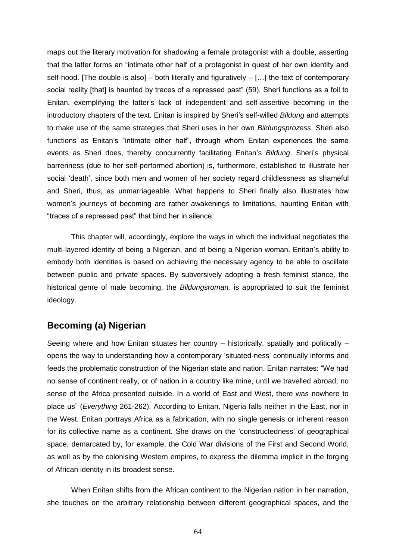maps out the literary motivation for shadowing a female protagonist with a double, asserting that the latter forms an "intimate other half of a protagonist in quest of her own identity and self-hood. [The double is also] – both literally and figuratively  $-$  [...] the text of contemporary social reality [that] is haunted by traces of a repressed past" (59). Sheri functions as a foil to Enitan, exemplifying the latter's lack of independent and self-assertive becoming in the introductory chapters of the text. Enitan is inspired by Sheri's self-willed *Bildung* and attempts to make use of the same strategies that Sheri uses in her own *Bildungsprozess*. Sheri also functions as Enitan's "intimate other half", through whom Enitan experiences the same events as Sheri does, thereby concurrently facilitating Enitan's *Bildung*. Sheri's physical barrenness (due to her self-performed abortion) is, furthermore, established to illustrate her social 'death', since both men and women of her society regard childlessness as shameful and Sheri, thus, as unmarriageable. What happens to Sheri finally also illustrates how women's journeys of becoming are rather awakenings to limitations, haunting Enitan with "traces of a repressed past" that bind her in silence.

This chapter will, accordingly, explore the ways in which the individual negotiates the multi-layered identity of being a Nigerian, and of being a Nigerian woman. Enitan's ability to embody both identities is based on achieving the necessary agency to be able to oscillate between public and private spaces. By subversively adopting a fresh feminist stance, the historical genre of male becoming, the *Bildungsroman,* is appropriated to suit the feminist ideology.

#### **Becoming (a) Nigerian**

Seeing where and how Enitan situates her country – historically, spatially and politically – opens the way to understanding how a contemporary ‗situated-ness' continually informs and feeds the problematic construction of the Nigerian state and nation. Enitan narrates: "We had no sense of continent really, or of nation in a country like mine, until we travelled abroad; no sense of the Africa presented outside. In a world of East and West, there was nowhere to place us‖ (*Everything* 261-262). According to Enitan, Nigeria falls neither in the East, nor in the West. Enitan portrays Africa as a fabrication, with no single genesis or inherent reason for its collective name as a continent. She draws on the 'constructedness' of geographical space, demarcated by, for example, the Cold War divisions of the First and Second World, as well as by the colonising Western empires, to express the dilemma implicit in the forging of African identity in its broadest sense.

When Enitan shifts from the African continent to the Nigerian nation in her narration, she touches on the arbitrary relationship between different geographical spaces, and the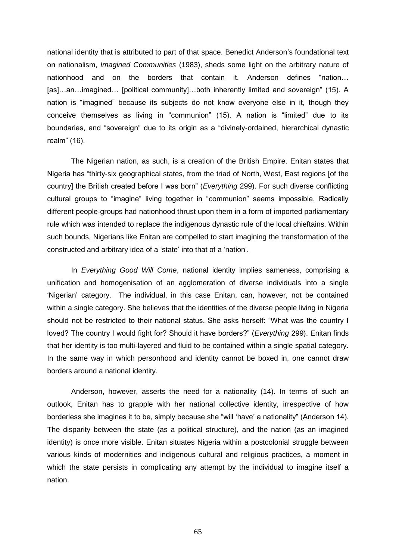national identity that is attributed to part of that space. Benedict Anderson's foundational text on nationalism, *Imagined Communities* (1983), sheds some light on the arbitrary nature of nationhood and on the borders that contain it. Anderson defines "nation... [as]...an...imagined... [political community]...both inherently limited and sovereign" (15). A nation is "imagined" because its subjects do not know everyone else in it, though they conceive themselves as living in "communion" (15). A nation is "limited" due to its boundaries, and "sovereign" due to its origin as a "divinely-ordained, hierarchical dynastic realm" (16).

The Nigerian nation, as such, is a creation of the British Empire. Enitan states that Nigeria has "thirty-six geographical states, from the triad of North, West, East regions [of the country] the British created before I was born" (*Everything* 299). For such diverse conflicting cultural groups to "imagine" living together in "communion" seems impossible. Radically different people-groups had nationhood thrust upon them in a form of imported parliamentary rule which was intended to replace the indigenous dynastic rule of the local chieftains. Within such bounds, Nigerians like Enitan are compelled to start imagining the transformation of the constructed and arbitrary idea of a 'state' into that of a 'nation'.

In *Everything Good Will Come*, national identity implies sameness, comprising a unification and homogenisation of an agglomeration of diverse individuals into a single ‗Nigerian' category. The individual, in this case Enitan, can, however, not be contained within a single category. She believes that the identities of the diverse people living in Nigeria should not be restricted to their national status. She asks herself: "What was the country I loved? The country I would fight for? Should it have borders?" (*Everything* 299). Enitan finds that her identity is too multi-layered and fluid to be contained within a single spatial category. In the same way in which personhood and identity cannot be boxed in, one cannot draw borders around a national identity.

Anderson, however, asserts the need for a nationality (14). In terms of such an outlook, Enitan has to grapple with her national collective identity, irrespective of how borderless she imagines it to be, simply because she "will 'have' a nationality" (Anderson 14). The disparity between the state (as a political structure), and the nation (as an imagined identity) is once more visible. Enitan situates Nigeria within a postcolonial struggle between various kinds of modernities and indigenous cultural and religious practices, a moment in which the state persists in complicating any attempt by the individual to imagine itself a nation.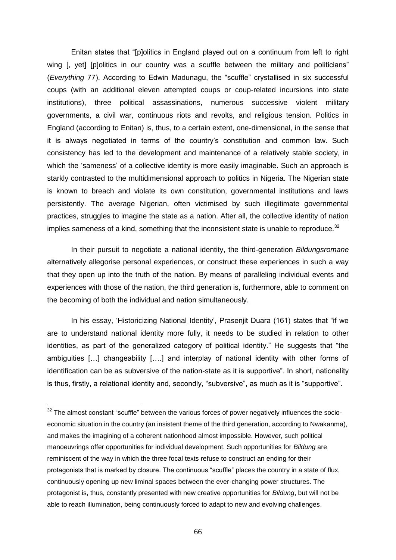Enitan states that "[p]olitics in England played out on a continuum from left to right wing [, yet] [p]olitics in our country was a scuffle between the military and politicians" (*Everything* 77). According to Edwin Madunagu, the "scuffle" crystallised in six successful coups (with an additional eleven attempted coups or coup-related incursions into state institutions), three political assassinations, numerous successive violent military governments, a civil war, continuous riots and revolts, and religious tension. Politics in England (according to Enitan) is, thus, to a certain extent, one-dimensional, in the sense that it is always negotiated in terms of the country's constitution and common law. Such consistency has led to the development and maintenance of a relatively stable society, in which the 'sameness' of a collective identity is more easily imaginable. Such an approach is starkly contrasted to the multidimensional approach to politics in Nigeria. The Nigerian state is known to breach and violate its own constitution, governmental institutions and laws persistently. The average Nigerian, often victimised by such illegitimate governmental practices, struggles to imagine the state as a nation. After all, the collective identity of nation implies sameness of a kind, something that the inconsistent state is unable to reproduce. $32$ 

In their pursuit to negotiate a national identity, the third-generation *Bildungsromane* alternatively allegorise personal experiences, or construct these experiences in such a way that they open up into the truth of the nation. By means of paralleling individual events and experiences with those of the nation, the third generation is, furthermore, able to comment on the becoming of both the individual and nation simultaneously.

In his essay, 'Historicizing National Identity', Prasenjit Duara (161) states that "if we are to understand national identity more fully, it needs to be studied in relation to other identities, as part of the generalized category of political identity." He suggests that "the ambiguities […] changeability [….] and interplay of national identity with other forms of identification can be as subversive of the nation-state as it is supportive". In short, nationality is thus, firstly, a relational identity and, secondly, "subversive", as much as it is "supportive".

 $32$  The almost constant "scuffle" between the various forces of power negatively influences the socioeconomic situation in the country (an insistent theme of the third generation, according to Nwakanma), and makes the imagining of a coherent nationhood almost impossible. However, such political manoeuvrings offer opportunities for individual development. Such opportunities for *Bildung* are reminiscent of the way in which the three focal texts refuse to construct an ending for their protagonists that is marked by closure. The continuous "scuffle" places the country in a state of flux, continuously opening up new liminal spaces between the ever-changing power structures. The protagonist is, thus, constantly presented with new creative opportunities for *Bildung*, but will not be able to reach illumination, being continuously forced to adapt to new and evolving challenges.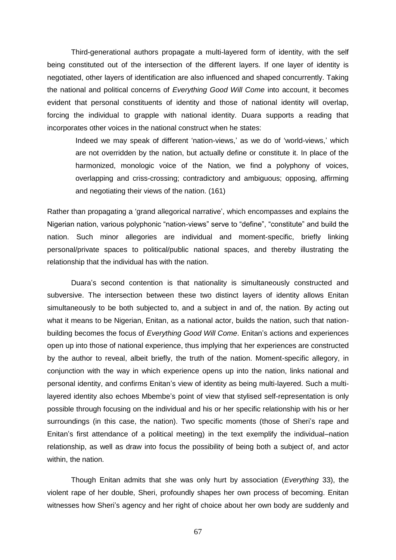Third-generational authors propagate a multi-layered form of identity, with the self being constituted out of the intersection of the different layers. If one layer of identity is negotiated, other layers of identification are also influenced and shaped concurrently. Taking the national and political concerns of *Everything Good Will Come* into account, it becomes evident that personal constituents of identity and those of national identity will overlap, forcing the individual to grapple with national identity. Duara supports a reading that incorporates other voices in the national construct when he states:

Indeed we may speak of different 'nation-views,' as we do of 'world-views,' which are not overridden by the nation, but actually define or constitute it. In place of the harmonized, monologic voice of the Nation, we find a polyphony of voices, overlapping and criss-crossing; contradictory and ambiguous; opposing, affirming and negotiating their views of the nation. (161)

Rather than propagating a 'grand allegorical narrative', which encompasses and explains the Nigerian nation, various polyphonic "nation-views" serve to "define", "constitute" and build the nation. Such minor allegories are individual and moment-specific, briefly linking personal/private spaces to political/public national spaces, and thereby illustrating the relationship that the individual has with the nation.

Duara's second contention is that nationality is simultaneously constructed and subversive. The intersection between these two distinct layers of identity allows Enitan simultaneously to be both subjected to, and a subject in and of, the nation. By acting out what it means to be Nigerian, Enitan, as a national actor, builds the nation, such that nationbuilding becomes the focus of *Everything Good Will Come*. Enitan's actions and experiences open up into those of national experience, thus implying that her experiences are constructed by the author to reveal, albeit briefly, the truth of the nation. Moment-specific allegory, in conjunction with the way in which experience opens up into the nation, links national and personal identity, and confirms Enitan's view of identity as being multi-layered. Such a multilayered identity also echoes Mbembe's point of view that stylised self-representation is only possible through focusing on the individual and his or her specific relationship with his or her surroundings (in this case, the nation). Two specific moments (those of Sheri's rape and Enitan's first attendance of a political meeting) in the text exemplify the individual–nation relationship, as well as draw into focus the possibility of being both a subject of, and actor within, the nation.

Though Enitan admits that she was only hurt by association (*Everything* 33), the violent rape of her double, Sheri, profoundly shapes her own process of becoming. Enitan witnesses how Sheri's agency and her right of choice about her own body are suddenly and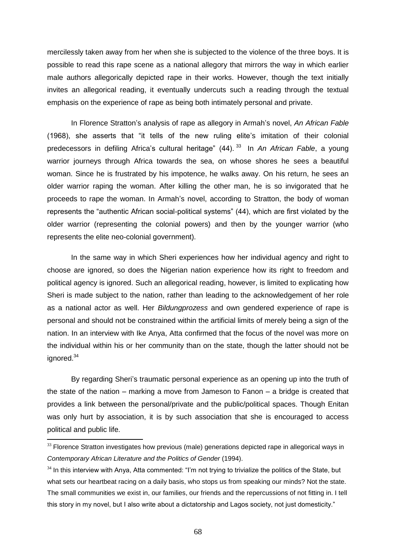mercilessly taken away from her when she is subjected to the violence of the three boys. It is possible to read this rape scene as a national allegory that mirrors the way in which earlier male authors allegorically depicted rape in their works. However, though the text initially invites an allegorical reading, it eventually undercuts such a reading through the textual emphasis on the experience of rape as being both intimately personal and private.

In Florence Stratton's analysis of rape as allegory in Armah's novel, *An African Fable* (1968), she asserts that "it tells of the new ruling elite's imitation of their colonial predecessors in defiling Africa's cultural heritage" (44).<sup>33</sup> In *An African Fable*, a young warrior journeys through Africa towards the sea, on whose shores he sees a beautiful woman. Since he is frustrated by his impotence, he walks away. On his return, he sees an older warrior raping the woman. After killing the other man, he is so invigorated that he proceeds to rape the woman. In Armah's novel, according to Stratton, the body of woman represents the "authentic African social-political systems" (44), which are first violated by the older warrior (representing the colonial powers) and then by the younger warrior (who represents the elite neo-colonial government).

In the same way in which Sheri experiences how her individual agency and right to choose are ignored, so does the Nigerian nation experience how its right to freedom and political agency is ignored. Such an allegorical reading, however, is limited to explicating how Sheri is made subject to the nation, rather than leading to the acknowledgement of her role as a national actor as well. Her *Bildungprozess* and own gendered experience of rape is personal and should not be constrained within the artificial limits of merely being a sign of the nation. In an interview with Ike Anya, Atta confirmed that the focus of the novel was more on the individual within his or her community than on the state, though the latter should not be ignored.<sup>34</sup>

By regarding Sheri's traumatic personal experience as an opening up into the truth of the state of the nation – marking a move from Jameson to Fanon – a bridge is created that provides a link between the personal/private and the public/political spaces. Though Enitan was only hurt by association, it is by such association that she is encouraged to access political and public life.

 $33$  Florence Stratton investigates how previous (male) generations depicted rape in allegorical ways in *Contemporary African Literature and the Politics of Gender* (1994).

 $34$  In this interview with Anya, Atta commented: "I'm not trying to trivialize the politics of the State, but what sets our heartbeat racing on a daily basis, who stops us from speaking our minds? Not the state. The small communities we exist in, our families, our friends and the repercussions of not fitting in. I tell this story in my novel, but I also write about a dictatorship and Lagos society, not just domesticity."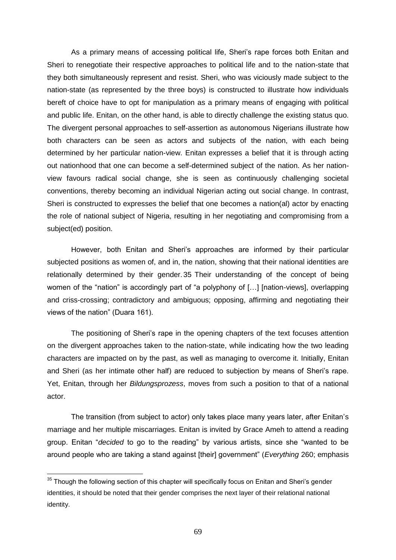As a primary means of accessing political life, Sheri's rape forces both Enitan and Sheri to renegotiate their respective approaches to political life and to the nation-state that they both simultaneously represent and resist. Sheri, who was viciously made subject to the nation-state (as represented by the three boys) is constructed to illustrate how individuals bereft of choice have to opt for manipulation as a primary means of engaging with political and public life. Enitan, on the other hand, is able to directly challenge the existing status quo. The divergent personal approaches to self-assertion as autonomous Nigerians illustrate how both characters can be seen as actors and subjects of the nation, with each being determined by her particular nation-view. Enitan expresses a belief that it is through acting out nationhood that one can become a self-determined subject of the nation. As her nationview favours radical social change, she is seen as continuously challenging societal conventions, thereby becoming an individual Nigerian acting out social change. In contrast, Sheri is constructed to expresses the belief that one becomes a nation(al) actor by enacting the role of national subject of Nigeria, resulting in her negotiating and compromising from a subject(ed) position.

However, both Enitan and Sheri's approaches are informed by their particular subjected positions as women of, and in, the nation, showing that their national identities are relationally determined by their gender.35 Their understanding of the concept of being women of the "nation" is accordingly part of "a polyphony of  $[...]$  [nation-views], overlapping and criss-crossing; contradictory and ambiguous; opposing, affirming and negotiating their views of the nation" (Duara 161).

The positioning of Sheri's rape in the opening chapters of the text focuses attention on the divergent approaches taken to the nation-state, while indicating how the two leading characters are impacted on by the past, as well as managing to overcome it. Initially, Enitan and Sheri (as her intimate other half) are reduced to subjection by means of Sheri's rape. Yet, Enitan, through her *Bildungsprozess*, moves from such a position to that of a national actor.

The transition (from subject to actor) only takes place many years later, after Enitan's marriage and her multiple miscarriages. Enitan is invited by Grace Ameh to attend a reading group. Enitan "*decided* to go to the reading" by various artists, since she "wanted to be around people who are taking a stand against [their] government‖ (*Everything* 260; emphasis

 $35$  Though the following section of this chapter will specifically focus on Enitan and Sheri's gender identities, it should be noted that their gender comprises the next layer of their relational national identity.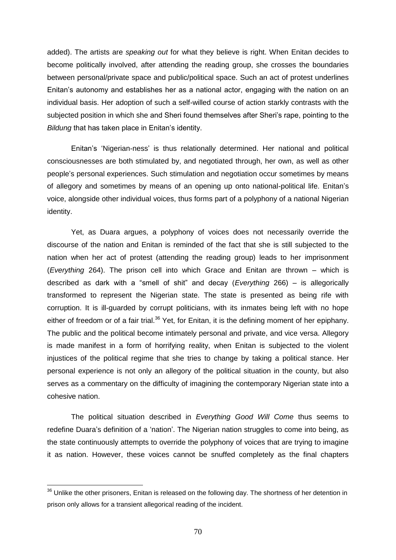added). The artists are *speaking out* for what they believe is right. When Enitan decides to become politically involved, after attending the reading group, she crosses the boundaries between personal/private space and public/political space. Such an act of protest underlines Enitan's autonomy and establishes her as a national actor, engaging with the nation on an individual basis. Her adoption of such a self-willed course of action starkly contrasts with the subjected position in which she and Sheri found themselves after Sheri's rape, pointing to the *Bildung* that has taken place in Enitan's identity.

Enitan's 'Nigerian-ness' is thus relationally determined. Her national and political consciousnesses are both stimulated by, and negotiated through, her own, as well as other people's personal experiences. Such stimulation and negotiation occur sometimes by means of allegory and sometimes by means of an opening up onto national-political life. Enitan's voice, alongside other individual voices, thus forms part of a polyphony of a national Nigerian identity.

Yet, as Duara argues, a polyphony of voices does not necessarily override the discourse of the nation and Enitan is reminded of the fact that she is still subjected to the nation when her act of protest (attending the reading group) leads to her imprisonment (*Everything* 264). The prison cell into which Grace and Enitan are thrown – which is described as dark with a "smell of shit" and decay (*Everything* 266) – is allegorically transformed to represent the Nigerian state. The state is presented as being rife with corruption. It is ill-guarded by corrupt politicians, with its inmates being left with no hope either of freedom or of a fair trial.<sup>36</sup> Yet, for Enitan, it is the defining moment of her epiphany. The public and the political become intimately personal and private, and vice versa. Allegory is made manifest in a form of horrifying reality, when Enitan is subjected to the violent injustices of the political regime that she tries to change by taking a political stance. Her personal experience is not only an allegory of the political situation in the county, but also serves as a commentary on the difficulty of imagining the contemporary Nigerian state into a cohesive nation.

The political situation described in *Everything Good Will Come* thus seems to redefine Duara's definition of a 'nation'. The Nigerian nation struggles to come into being, as the state continuously attempts to override the polyphony of voices that are trying to imagine it as nation. However, these voices cannot be snuffed completely as the final chapters

<sup>&</sup>lt;sup>36</sup> Unlike the other prisoners, Enitan is released on the following day. The shortness of her detention in prison only allows for a transient allegorical reading of the incident.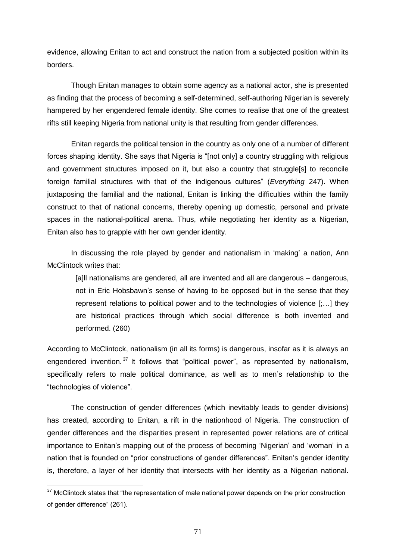evidence, allowing Enitan to act and construct the nation from a subjected position within its borders.

Though Enitan manages to obtain some agency as a national actor, she is presented as finding that the process of becoming a self-determined, self-authoring Nigerian is severely hampered by her engendered female identity. She comes to realise that one of the greatest rifts still keeping Nigeria from national unity is that resulting from gender differences.

Enitan regards the political tension in the country as only one of a number of different forces shaping identity. She says that Nigeria is "[not only] a country struggling with religious and government structures imposed on it, but also a country that struggle[s] to reconcile foreign familial structures with that of the indigenous cultures" (*Everything* 247). When juxtaposing the familial and the national, Enitan is linking the difficulties within the family construct to that of national concerns, thereby opening up domestic, personal and private spaces in the national-political arena. Thus, while negotiating her identity as a Nigerian, Enitan also has to grapple with her own gender identity.

In discussing the role played by gender and nationalism in 'making' a nation, Ann McClintock writes that:

[a]ll nationalisms are gendered, all are invented and all are dangerous – dangerous, not in Eric Hobsbawn's sense of having to be opposed but in the sense that they represent relations to political power and to the technologies of violence [;…] they are historical practices through which social difference is both invented and performed. (260)

According to McClintock, nationalism (in all its forms) is dangerous, insofar as it is always an engendered invention.  $37$  It follows that "political power", as represented by nationalism, specifically refers to male political dominance, as well as to men's relationship to the "technologies of violence".

The construction of gender differences (which inevitably leads to gender divisions) has created, according to Enitan, a rift in the nationhood of Nigeria. The construction of gender differences and the disparities present in represented power relations are of critical importance to Enitan's mapping out of the process of becoming 'Nigerian' and 'woman' in a nation that is founded on "prior constructions of gender differences". Enitan's gender identity is, therefore, a layer of her identity that intersects with her identity as a Nigerian national.

 $37$  McClintock states that "the representation of male national power depends on the prior construction of gender difference" (261).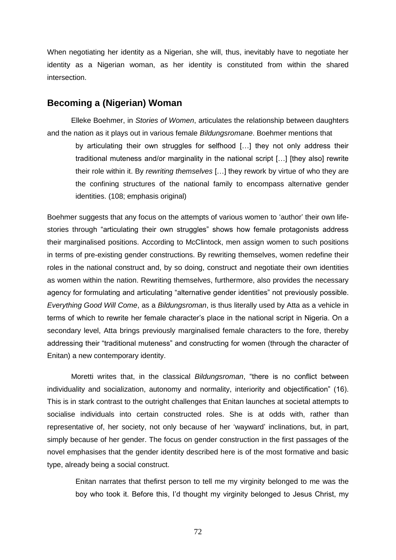When negotiating her identity as a Nigerian, she will, thus, inevitably have to negotiate her identity as a Nigerian woman, as her identity is constituted from within the shared intersection.

#### **Becoming a (Nigerian) Woman**

Elleke Boehmer, in *Stories of Women*, articulates the relationship between daughters and the nation as it plays out in various female *Bildungsromane*. Boehmer mentions that

by articulating their own struggles for selfhood […] they not only address their traditional muteness and/or marginality in the national script […] [they also] rewrite their role within it. By *rewriting themselves* […] they rework by virtue of who they are the confining structures of the national family to encompass alternative gender identities. (108; emphasis original)

Boehmer suggests that any focus on the attempts of various women to 'author' their own lifestories through "articulating their own struggles" shows how female protagonists address their marginalised positions. According to McClintock, men assign women to such positions in terms of pre-existing gender constructions. By rewriting themselves, women redefine their roles in the national construct and, by so doing, construct and negotiate their own identities as women within the nation. Rewriting themselves, furthermore, also provides the necessary agency for formulating and articulating "alternative gender identities" not previously possible. *Everything Good Will Come*, as a *Bildungsroman*, is thus literally used by Atta as a vehicle in terms of which to rewrite her female character's place in the national script in Nigeria. On a secondary level, Atta brings previously marginalised female characters to the fore, thereby addressing their "traditional muteness" and constructing for women (through the character of Enitan) a new contemporary identity.

Moretti writes that, in the classical *Bildungsroman*, "there is no conflict between individuality and socialization, autonomy and normality, interiority and objectification" (16). This is in stark contrast to the outright challenges that Enitan launches at societal attempts to socialise individuals into certain constructed roles. She is at odds with, rather than representative of, her society, not only because of her 'wayward' inclinations, but, in part, simply because of her gender. The focus on gender construction in the first passages of the novel emphasises that the gender identity described here is of the most formative and basic type, already being a social construct.

Enitan narrates that thefirst person to tell me my virginity belonged to me was the boy who took it. Before this, I'd thought my virginity belonged to Jesus Christ, my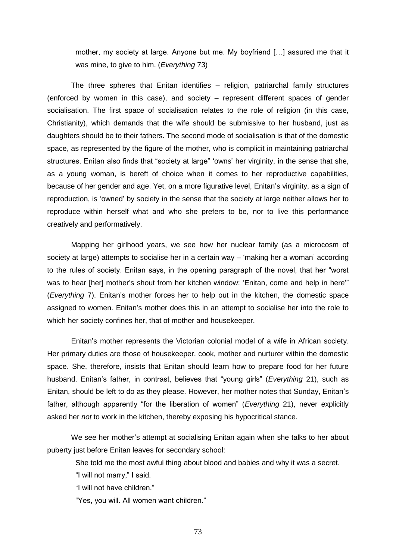mother, my society at large. Anyone but me. My boyfriend […] assured me that it was mine, to give to him. (*Everything* 73)

The three spheres that Enitan identifies – religion, patriarchal family structures (enforced by women in this case), and society – represent different spaces of gender socialisation. The first space of socialisation relates to the role of religion (in this case, Christianity), which demands that the wife should be submissive to her husband, just as daughters should be to their fathers. The second mode of socialisation is that of the domestic space, as represented by the figure of the mother, who is complicit in maintaining patriarchal structures. Enitan also finds that "society at large" 'owns' her virginity, in the sense that she, as a young woman, is bereft of choice when it comes to her reproductive capabilities, because of her gender and age. Yet, on a more figurative level, Enitan's virginity, as a sign of reproduction, is 'owned' by society in the sense that the society at large neither allows her to reproduce within herself what and who she prefers to be, nor to live this performance creatively and performatively.

Mapping her girlhood years, we see how her nuclear family (as a microcosm of society at large) attempts to socialise her in a certain way – 'making her a woman' according to the rules of society. Enitan says, in the opening paragraph of the novel, that her "worst was to hear [her] mother's shout from her kitchen window: 'Enitan, come and help in here" (*Everything* 7). Enitan's mother forces her to help out in the kitchen, the domestic space assigned to women. Enitan's mother does this in an attempt to socialise her into the role to which her society confines her, that of mother and housekeeper.

Enitan's mother represents the Victorian colonial model of a wife in African society. Her primary duties are those of housekeeper, cook, mother and nurturer within the domestic space. She, therefore, insists that Enitan should learn how to prepare food for her future husband. Enitan's father, in contrast, believes that "young girls" (*Everything* 21), such as Enitan, should be left to do as they please. However, her mother notes that Sunday, Enitan's father, although apparently "for the liberation of women" (*Everything* 21), never explicitly asked her *not* to work in the kitchen, thereby exposing his hypocritical stance.

We see her mother's attempt at socialising Enitan again when she talks to her about puberty just before Enitan leaves for secondary school:

She told me the most awful thing about blood and babies and why it was a secret.

"I will not marry," I said.

"I will not have children."

"Yes, you will. All women want children."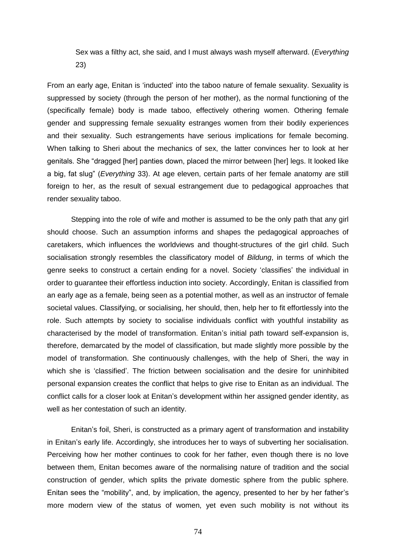Sex was a filthy act, she said, and I must always wash myself afterward. (*Everything* 23)

From an early age, Enitan is ‗inducted' into the taboo nature of female sexuality. Sexuality is suppressed by society (through the person of her mother), as the normal functioning of the (specifically female) body is made taboo, effectively othering women. Othering female gender and suppressing female sexuality estranges women from their bodily experiences and their sexuality. Such estrangements have serious implications for female becoming. When talking to Sheri about the mechanics of sex, the latter convinces her to look at her genitals. She "dragged [her] panties down, placed the mirror between [her] legs. It looked like a big, fat slug‖ (*Everything* 33). At age eleven, certain parts of her female anatomy are still foreign to her, as the result of sexual estrangement due to pedagogical approaches that render sexuality taboo.

Stepping into the role of wife and mother is assumed to be the only path that any girl should choose. Such an assumption informs and shapes the pedagogical approaches of caretakers, which influences the worldviews and thought-structures of the girl child. Such socialisation strongly resembles the classificatory model of *Bildung*, in terms of which the genre seeks to construct a certain ending for a novel. Society 'classifies' the individual in order to guarantee their effortless induction into society. Accordingly, Enitan is classified from an early age as a female, being seen as a potential mother, as well as an instructor of female societal values. Classifying, or socialising, her should, then, help her to fit effortlessly into the role. Such attempts by society to socialise individuals conflict with youthful instability as characterised by the model of transformation. Enitan's initial path toward self-expansion is, therefore, demarcated by the model of classification, but made slightly more possible by the model of transformation. She continuously challenges, with the help of Sheri, the way in which she is 'classified'. The friction between socialisation and the desire for uninhibited personal expansion creates the conflict that helps to give rise to Enitan as an individual. The conflict calls for a closer look at Enitan's development within her assigned gender identity, as well as her contestation of such an identity.

Enitan's foil, Sheri, is constructed as a primary agent of transformation and instability in Enitan's early life. Accordingly, she introduces her to ways of subverting her socialisation. Perceiving how her mother continues to cook for her father, even though there is no love between them, Enitan becomes aware of the normalising nature of tradition and the social construction of gender, which splits the private domestic sphere from the public sphere. Enitan sees the "mobility", and, by implication, the agency, presented to her by her father's more modern view of the status of women, yet even such mobility is not without its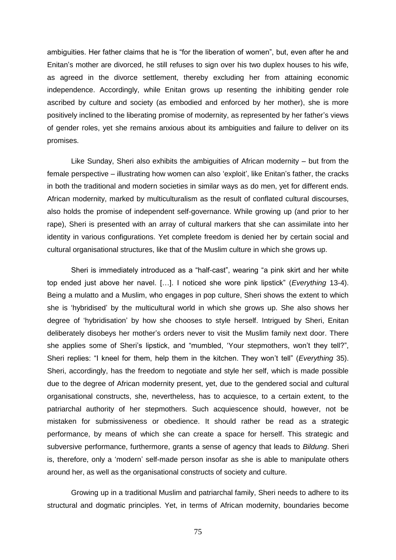ambiguities. Her father claims that he is "for the liberation of women", but, even after he and Enitan's mother are divorced, he still refuses to sign over his two duplex houses to his wife, as agreed in the divorce settlement, thereby excluding her from attaining economic independence. Accordingly, while Enitan grows up resenting the inhibiting gender role ascribed by culture and society (as embodied and enforced by her mother), she is more positively inclined to the liberating promise of modernity, as represented by her father's views of gender roles, yet she remains anxious about its ambiguities and failure to deliver on its promises.

Like Sunday, Sheri also exhibits the ambiguities of African modernity – but from the female perspective – illustrating how women can also 'exploit', like Enitan's father, the cracks in both the traditional and modern societies in similar ways as do men, yet for different ends. African modernity, marked by multiculturalism as the result of conflated cultural discourses, also holds the promise of independent self-governance. While growing up (and prior to her rape), Sheri is presented with an array of cultural markers that she can assimilate into her identity in various configurations. Yet complete freedom is denied her by certain social and cultural organisational structures, like that of the Muslim culture in which she grows up.

Sheri is immediately introduced as a "half-cast", wearing "a pink skirt and her white top ended just above her navel. [...]. I noticed she wore pink lipstick" (*Everything* 13-4). Being a mulatto and a Muslim, who engages in pop culture, Sheri shows the extent to which she is ‗hybridised' by the multicultural world in which she grows up. She also shows her degree of 'hybridisation' by how she chooses to style herself. Intrigued by Sheri, Enitan deliberately disobeys her mother's orders never to visit the Muslim family next door. There she applies some of Sheri's lipstick, and "mumbled, 'Your stepmothers, won't they tell?", Sheri replies: "I kneel for them, help them in the kitchen. They won't tell" (*Everything* 35). Sheri, accordingly, has the freedom to negotiate and style her self, which is made possible due to the degree of African modernity present, yet, due to the gendered social and cultural organisational constructs, she, nevertheless, has to acquiesce, to a certain extent, to the patriarchal authority of her stepmothers. Such acquiescence should, however, not be mistaken for submissiveness or obedience. It should rather be read as a strategic performance, by means of which she can create a space for herself. This strategic and subversive performance, furthermore, grants a sense of agency that leads to *Bildung*. Sheri is, therefore, only a 'modern' self-made person insofar as she is able to manipulate others around her, as well as the organisational constructs of society and culture.

Growing up in a traditional Muslim and patriarchal family, Sheri needs to adhere to its structural and dogmatic principles. Yet, in terms of African modernity, boundaries become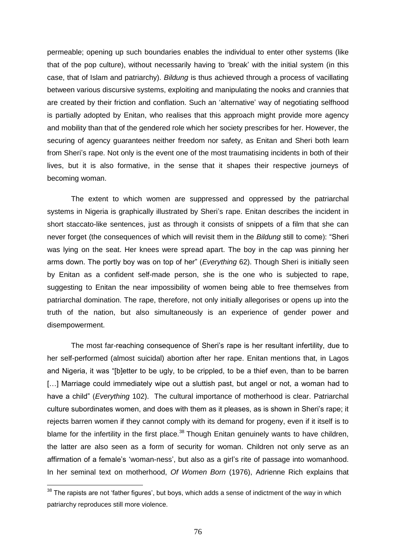permeable; opening up such boundaries enables the individual to enter other systems (like that of the pop culture), without necessarily having to 'break' with the initial system (in this case, that of Islam and patriarchy). *Bildung* is thus achieved through a process of vacillating between various discursive systems, exploiting and manipulating the nooks and crannies that are created by their friction and conflation. Such an 'alternative' way of negotiating selfhood is partially adopted by Enitan, who realises that this approach might provide more agency and mobility than that of the gendered role which her society prescribes for her. However, the securing of agency guarantees neither freedom nor safety, as Enitan and Sheri both learn from Sheri's rape. Not only is the event one of the most traumatising incidents in both of their lives, but it is also formative, in the sense that it shapes their respective journeys of becoming woman.

The extent to which women are suppressed and oppressed by the patriarchal systems in Nigeria is graphically illustrated by Sheri's rape. Enitan describes the incident in short staccato-like sentences, just as through it consists of snippets of a film that she can never forget (the consequences of which will revisit them in the *Bildung* still to come): "Sheri was lying on the seat. Her knees were spread apart. The boy in the cap was pinning her arms down. The portly boy was on top of her" (*Everything* 62). Though Sheri is initially seen by Enitan as a confident self-made person, she is the one who is subjected to rape, suggesting to Enitan the near impossibility of women being able to free themselves from patriarchal domination. The rape, therefore, not only initially allegorises or opens up into the truth of the nation, but also simultaneously is an experience of gender power and disempowerment.

The most far-reaching consequence of Sheri's rape is her resultant infertility, due to her self-performed (almost suicidal) abortion after her rape. Enitan mentions that, in Lagos and Nigeria, it was "[b]etter to be ugly, to be crippled, to be a thief even, than to be barren [...] Marriage could immediately wipe out a sluttish past, but angel or not, a woman had to have a child" (*Everything* 102). The cultural importance of motherhood is clear. Patriarchal culture subordinates women, and does with them as it pleases, as is shown in Sheri's rape; it rejects barren women if they cannot comply with its demand for progeny, even if it itself is to blame for the infertility in the first place.<sup>38</sup> Though Enitan genuinely wants to have children, the latter are also seen as a form of security for woman. Children not only serve as an affirmation of a female's 'woman-ness', but also as a girl's rite of passage into womanhood. In her seminal text on motherhood, *Of Women Born* (1976), Adrienne Rich explains that

 $38$  The rapists are not 'father figures', but boys, which adds a sense of indictment of the way in which patriarchy reproduces still more violence.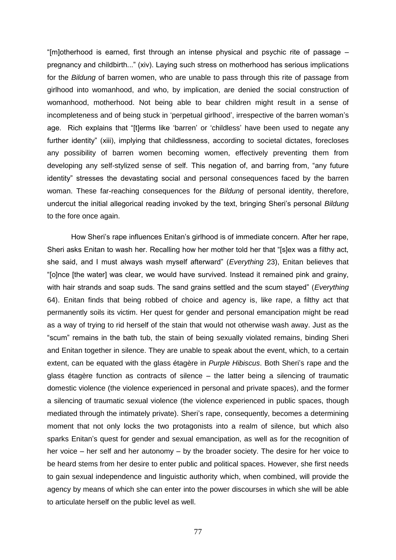"[m]otherhood is earned, first through an intense physical and psychic rite of passage  $$ pregnancy and childbirth...‖ (xiv). Laying such stress on motherhood has serious implications for the *Bildung* of barren women, who are unable to pass through this rite of passage from girlhood into womanhood, and who, by implication, are denied the social construction of womanhood, motherhood. Not being able to bear children might result in a sense of incompleteness and of being stuck in 'perpetual girlhood', irrespective of the barren woman's age. Rich explains that "[t]erms like 'barren' or 'childless' have been used to negate any further identity" (xiii), implying that childlessness, according to societal dictates, forecloses any possibility of barren women becoming women, effectively preventing them from developing any self-stylized sense of self. This negation of, and barring from, "any future identity" stresses the devastating social and personal consequences faced by the barren woman. These far-reaching consequences for the *Bildung* of personal identity, therefore, undercut the initial allegorical reading invoked by the text, bringing Sheri's personal *Bildung* to the fore once again.

How Sheri's rape influences Enitan's girlhood is of immediate concern. After her rape, Sheri asks Enitan to wash her. Recalling how her mother told her that "[s]ex was a filthy act, she said, and I must always wash myself afterward" (*Everything* 23), Enitan believes that ―[o]nce [the water] was clear, we would have survived. Instead it remained pink and grainy, with hair strands and soap suds. The sand grains settled and the scum stayed" (*Everything* 64). Enitan finds that being robbed of choice and agency is, like rape, a filthy act that permanently soils its victim. Her quest for gender and personal emancipation might be read as a way of trying to rid herself of the stain that would not otherwise wash away. Just as the ―scum‖ remains in the bath tub, the stain of being sexually violated remains, binding Sheri and Enitan together in silence. They are unable to speak about the event, which, to a certain extent, can be equated with the glass étagère in *Purple Hibiscus*. Both Sheri's rape and the glass étagère function as contracts of silence – the latter being a silencing of traumatic domestic violence (the violence experienced in personal and private spaces), and the former a silencing of traumatic sexual violence (the violence experienced in public spaces, though mediated through the intimately private). Sheri's rape, consequently, becomes a determining moment that not only locks the two protagonists into a realm of silence, but which also sparks Enitan's quest for gender and sexual emancipation, as well as for the recognition of her voice – her self and her autonomy – by the broader society. The desire for her voice to be heard stems from her desire to enter public and political spaces. However, she first needs to gain sexual independence and linguistic authority which, when combined, will provide the agency by means of which she can enter into the power discourses in which she will be able to articulate herself on the public level as well.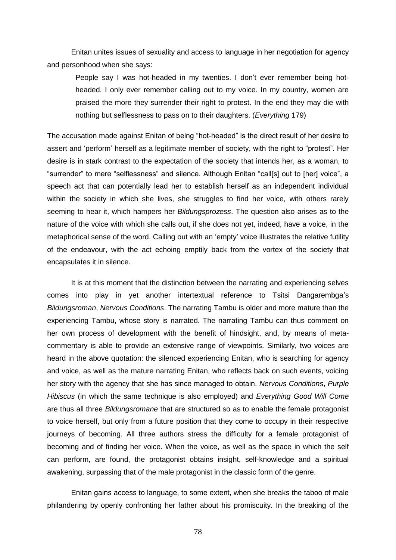Enitan unites issues of sexuality and access to language in her negotiation for agency and personhood when she says:

People say I was hot-headed in my twenties. I don't ever remember being hotheaded. I only ever remember calling out to my voice. In my country, women are praised the more they surrender their right to protest. In the end they may die with nothing but selflessness to pass on to their daughters. (*Everything* 179)

The accusation made against Enitan of being "hot-headed" is the direct result of her desire to assert and 'perform' herself as a legitimate member of society, with the right to "protest". Her desire is in stark contrast to the expectation of the society that intends her, as a woman, to "surrender" to mere "selflessness" and silence. Although Enitan "call[s] out to [her] voice", a speech act that can potentially lead her to establish herself as an independent individual within the society in which she lives, she struggles to find her voice, with others rarely seeming to hear it, which hampers her *Bildungsprozess*. The question also arises as to the nature of the voice with which she calls out, if she does not yet, indeed, have a voice, in the metaphorical sense of the word. Calling out with an 'empty' voice illustrates the relative futility of the endeavour, with the act echoing emptily back from the vortex of the society that encapsulates it in silence.

It is at this moment that the distinction between the narrating and experiencing selves comes into play in yet another intertextual reference to Tsitsi Dangarembga's *Bildungsroman*, *Nervous Conditions*. The narrating Tambu is older and more mature than the experiencing Tambu, whose story is narrated. The narrating Tambu can thus comment on her own process of development with the benefit of hindsight, and, by means of metacommentary is able to provide an extensive range of viewpoints. Similarly, two voices are heard in the above quotation: the silenced experiencing Enitan, who is searching for agency and voice, as well as the mature narrating Enitan, who reflects back on such events, voicing her story with the agency that she has since managed to obtain. *Nervous Conditions*, *Purple Hibiscus* (in which the same technique is also employed) and *Everything Good Will Come* are thus all three *Bildungsromane* that are structured so as to enable the female protagonist to voice herself, but only from a future position that they come to occupy in their respective journeys of becoming. All three authors stress the difficulty for a female protagonist of becoming and of finding her voice. When the voice, as well as the space in which the self can perform, are found, the protagonist obtains insight, self-knowledge and a spiritual awakening, surpassing that of the male protagonist in the classic form of the genre.

Enitan gains access to language, to some extent, when she breaks the taboo of male philandering by openly confronting her father about his promiscuity. In the breaking of the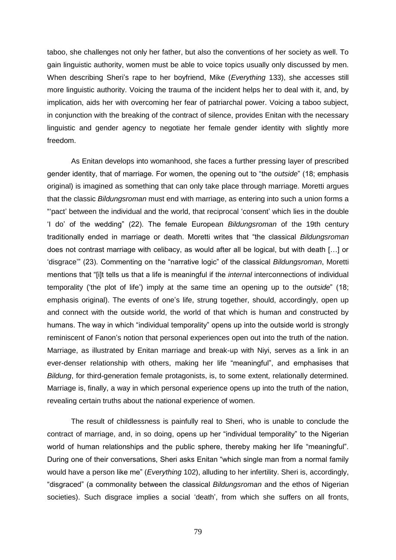taboo, she challenges not only her father, but also the conventions of her society as well. To gain linguistic authority, women must be able to voice topics usually only discussed by men. When describing Sheri's rape to her boyfriend, Mike (*Everything* 133), she accesses still more linguistic authority. Voicing the trauma of the incident helps her to deal with it, and, by implication, aids her with overcoming her fear of patriarchal power. Voicing a taboo subject, in conjunction with the breaking of the contract of silence, provides Enitan with the necessary linguistic and gender agency to negotiate her female gender identity with slightly more freedom.

As Enitan develops into womanhood, she faces a further pressing layer of prescribed gender identity, that of marriage. For women, the opening out to "the *outside*" (18; emphasis original) is imagined as something that can only take place through marriage. Moretti argues that the classic *Bildungsroman* must end with marriage, as entering into such a union forms a ―‗pact' between the individual and the world, that reciprocal ‗consent' which lies in the double ‗I do' of the wedding‖ (22). The female European *Bildungsroman* of the 19th century traditionally ended in marriage or death. Moretti writes that "the classical *Bildungsroman* does not contrast marriage with celibacy, as would after all be logical, but with death […] or 'disgrace" (23). Commenting on the "narrative logic" of the classical *Bildungsroman*, Moretti mentions that "[i]t tells us that a life is meaningful if the *internal* interconnections of individual temporality ('the plot of life') imply at the same time an opening up to the *outside*" (18; emphasis original). The events of one's life, strung together, should, accordingly, open up and connect with the outside world, the world of that which is human and constructed by humans. The way in which "individual temporality" opens up into the outside world is strongly reminiscent of Fanon's notion that personal experiences open out into the truth of the nation. Marriage, as illustrated by Enitan marriage and break-up with Niyi, serves as a link in an ever-denser relationship with others, making her life "meaningful", and emphasises that *Bildung*, for third-generation female protagonists, is, to some extent, relationally determined. Marriage is, finally, a way in which personal experience opens up into the truth of the nation, revealing certain truths about the national experience of women.

The result of childlessness is painfully real to Sheri, who is unable to conclude the contract of marriage, and, in so doing, opens up her "individual temporality" to the Nigerian world of human relationships and the public sphere, thereby making her life "meaningful". During one of their conversations, Sheri asks Enitan "which single man from a normal family would have a person like me" (*Everything* 102), alluding to her infertility. Sheri is, accordingly, ―disgraced‖ (a commonality between the classical *Bildungsroman* and the ethos of Nigerian societies). Such disgrace implies a social 'death', from which she suffers on all fronts,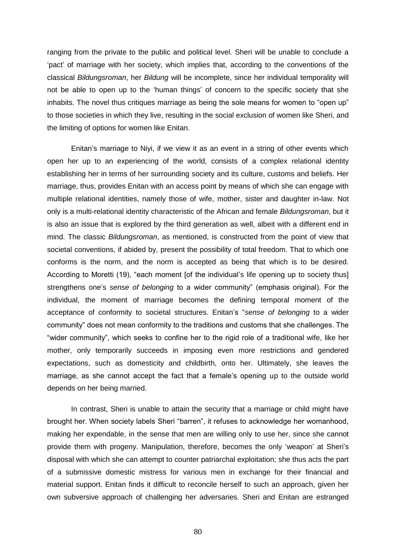ranging from the private to the public and political level. Sheri will be unable to conclude a ‗pact' of marriage with her society, which implies that, according to the conventions of the classical *Bildungsroman*, her *Bildung* will be incomplete, since her individual temporality will not be able to open up to the 'human things' of concern to the specific society that she inhabits. The novel thus critiques marriage as being the sole means for women to "open up" to those societies in which they live, resulting in the social exclusion of women like Sheri, and the limiting of options for women like Enitan.

Enitan's marriage to Niyi, if we view it as an event in a string of other events which open her up to an experiencing of the world, consists of a complex relational identity establishing her in terms of her surrounding society and its culture, customs and beliefs. Her marriage, thus, provides Enitan with an access point by means of which she can engage with multiple relational identities, namely those of wife, mother, sister and daughter in-law. Not only is a multi-relational identity characteristic of the African and female *Bildungsroman*, but it is also an issue that is explored by the third generation as well, albeit with a different end in mind. The classic *Bildungsroman*, as mentioned, is constructed from the point of view that societal conventions, if abided by, present the possibility of total freedom. That to which one conforms is the norm, and the norm is accepted as being that which is to be desired. According to Moretti (19), "each moment [of the individual's life opening up to society thus] strengthens one's *sense of belonging* to a wider community" (emphasis original). For the individual, the moment of marriage becomes the defining temporal moment of the acceptance of conformity to societal structures. Enitan's ―*sense of belonging* to a wider community‖ does not mean conformity to the traditions and customs that she challenges. The "wider community", which seeks to confine her to the rigid role of a traditional wife, like her mother, only temporarily succeeds in imposing even more restrictions and gendered expectations, such as domesticity and childbirth, onto her. Ultimately, she leaves the marriage, as she cannot accept the fact that a female's opening up to the outside world depends on her being married.

In contrast, Sheri is unable to attain the security that a marriage or child might have brought her. When society labels Sheri "barren", it refuses to acknowledge her womanhood, making her expendable, in the sense that men are willing only to use her, since she cannot provide them with progeny. Manipulation, therefore, becomes the only 'weapon' at Sheri's disposal with which she can attempt to counter patriarchal exploitation; she thus acts the part of a submissive domestic mistress for various men in exchange for their financial and material support. Enitan finds it difficult to reconcile herself to such an approach, given her own subversive approach of challenging her adversaries. Sheri and Enitan are estranged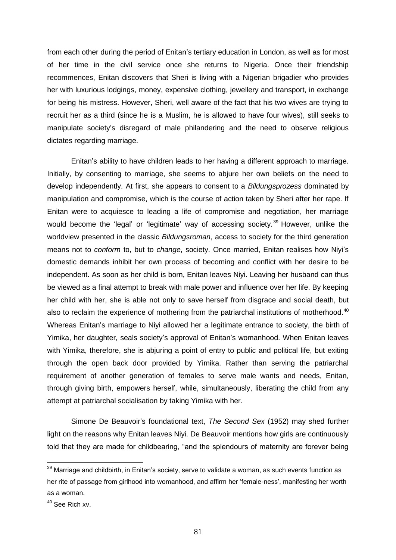from each other during the period of Enitan's tertiary education in London, as well as for most of her time in the civil service once she returns to Nigeria. Once their friendship recommences, Enitan discovers that Sheri is living with a Nigerian brigadier who provides her with luxurious lodgings, money, expensive clothing, jewellery and transport, in exchange for being his mistress. However, Sheri, well aware of the fact that his two wives are trying to recruit her as a third (since he is a Muslim, he is allowed to have four wives), still seeks to manipulate society's disregard of male philandering and the need to observe religious dictates regarding marriage.

Enitan's ability to have children leads to her having a different approach to marriage. Initially, by consenting to marriage, she seems to abjure her own beliefs on the need to develop independently. At first, she appears to consent to a *Bildungsprozess* dominated by manipulation and compromise, which is the course of action taken by Sheri after her rape. If Enitan were to acquiesce to leading a life of compromise and negotiation, her marriage would become the 'legal' or 'legitimate' way of accessing society.<sup>39</sup> However, unlike the worldview presented in the classic *Bildungsroman*, access to society for the third generation means not to *conform* to, but to *change*, society. Once married, Enitan realises how Niyi's domestic demands inhibit her own process of becoming and conflict with her desire to be independent. As soon as her child is born, Enitan leaves Niyi. Leaving her husband can thus be viewed as a final attempt to break with male power and influence over her life. By keeping her child with her, she is able not only to save herself from disgrace and social death, but also to reclaim the experience of mothering from the patriarchal institutions of motherhood.<sup>40</sup> Whereas Enitan's marriage to Niyi allowed her a legitimate entrance to society, the birth of Yimika, her daughter, seals society's approval of Enitan's womanhood. When Enitan leaves with Yimika, therefore, she is abjuring a point of entry to public and political life, but exiting through the open back door provided by Yimika. Rather than serving the patriarchal requirement of another generation of females to serve male wants and needs, Enitan, through giving birth, empowers herself, while, simultaneously, liberating the child from any attempt at patriarchal socialisation by taking Yimika with her.

Simone De Beauvoir's foundational text, *The Second Sex* (1952) may shed further light on the reasons why Enitan leaves Niyi. De Beauvoir mentions how girls are continuously told that they are made for childbearing, "and the splendours of maternity are forever being

 $39$  Marriage and childbirth, in Enitan's society, serve to validate a woman, as such events function as her rite of passage from girlhood into womanhood, and affirm her 'female-ness', manifesting her worth as a woman.

<sup>40</sup> See Rich xv.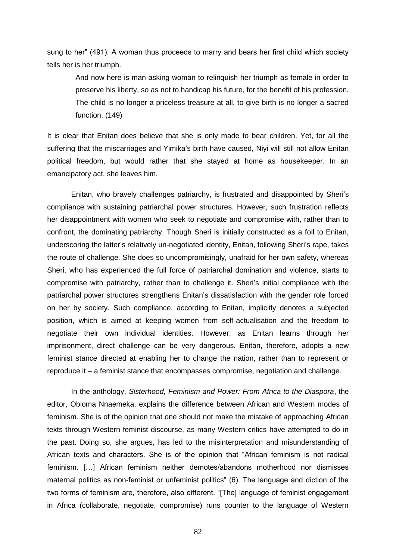sung to her" (491). A woman thus proceeds to marry and bears her first child which society tells her is her triumph.

And now here is man asking woman to relinquish her triumph as female in order to preserve his liberty, so as not to handicap his future, for the benefit of his profession. The child is no longer a priceless treasure at all, to give birth is no longer a sacred function. (149)

It is clear that Enitan does believe that she is only made to bear children. Yet, for all the suffering that the miscarriages and Yimika's birth have caused, Niyi will still not allow Enitan political freedom, but would rather that she stayed at home as housekeeper. In an emancipatory act, she leaves him.

Enitan, who bravely challenges patriarchy, is frustrated and disappointed by Sheri's compliance with sustaining patriarchal power structures. However, such frustration reflects her disappointment with women who seek to negotiate and compromise with, rather than to confront, the dominating patriarchy. Though Sheri is initially constructed as a foil to Enitan, underscoring the latter's relatively un-negotiated identity, Enitan, following Sheri's rape, takes the route of challenge. She does so uncompromisingly, unafraid for her own safety, whereas Sheri, who has experienced the full force of patriarchal domination and violence, starts to compromise with patriarchy, rather than to challenge it. Sheri's initial compliance with the patriarchal power structures strengthens Enitan's dissatisfaction with the gender role forced on her by society. Such compliance, according to Enitan, implicitly denotes a subjected position, which is aimed at keeping women from self-actualisation and the freedom to negotiate their own individual identities. However, as Enitan learns through her imprisonment, direct challenge can be very dangerous. Enitan, therefore, adopts a new feminist stance directed at enabling her to change the nation, rather than to represent or reproduce it – a feminist stance that encompasses compromise, negotiation and challenge.

In the anthology, *Sisterhood, Feminism and Power: From Africa to the Diaspora*, the editor, Obioma Nnaemeka, explains the difference between African and Western modes of feminism. She is of the opinion that one should not make the mistake of approaching African texts through Western feminist discourse, as many Western critics have attempted to do in the past. Doing so, she argues, has led to the misinterpretation and misunderstanding of African texts and characters. She is of the opinion that "African feminism is not radical feminism. […] African feminism neither demotes/abandons motherhood nor dismisses maternal politics as non-feminist or unfeminist politics" (6). The language and diction of the two forms of feminism are, therefore, also different. "[The] language of feminist engagement in Africa (collaborate, negotiate, compromise) runs counter to the language of Western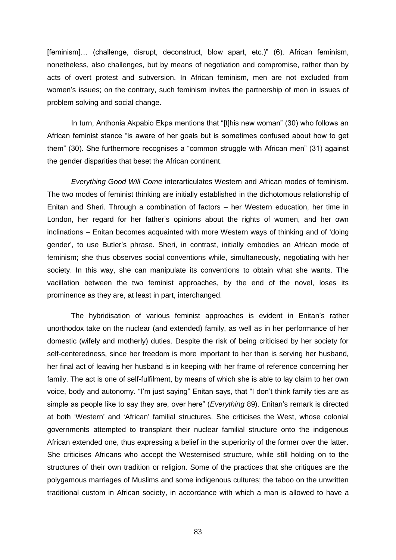[feminism]... (challenge, disrupt, deconstruct, blow apart, etc.)" (6). African feminism, nonetheless, also challenges, but by means of negotiation and compromise, rather than by acts of overt protest and subversion. In African feminism, men are not excluded from women's issues; on the contrary, such feminism invites the partnership of men in issues of problem solving and social change.

In turn, Anthonia Akpabio Ekpa mentions that "[t]his new woman" (30) who follows an African feminist stance "is aware of her goals but is sometimes confused about how to get them" (30). She furthermore recognises a "common struggle with African men" (31) against the gender disparities that beset the African continent.

*Everything Good Will Come* interarticulates Western and African modes of feminism. The two modes of feminist thinking are initially established in the dichotomous relationship of Enitan and Sheri. Through a combination of factors – her Western education, her time in London, her regard for her father's opinions about the rights of women, and her own inclinations – Enitan becomes acquainted with more Western ways of thinking and of 'doing gender', to use Butler's phrase. Sheri, in contrast, initially embodies an African mode of feminism; she thus observes social conventions while, simultaneously, negotiating with her society. In this way, she can manipulate its conventions to obtain what she wants. The vacillation between the two feminist approaches, by the end of the novel, loses its prominence as they are, at least in part, interchanged.

The hybridisation of various feminist approaches is evident in Enitan's rather unorthodox take on the nuclear (and extended) family, as well as in her performance of her domestic (wifely and motherly) duties. Despite the risk of being criticised by her society for self-centeredness, since her freedom is more important to her than is serving her husband, her final act of leaving her husband is in keeping with her frame of reference concerning her family. The act is one of self-fulfilment, by means of which she is able to lay claim to her own voice, body and autonomy. "I'm just saying" Enitan says, that "I don't think family ties are as simple as people like to say they are, over here" (*Everything* 89). Enitan's remark is directed at both ‗Western' and ‗African' familial structures. She criticises the West, whose colonial governments attempted to transplant their nuclear familial structure onto the indigenous African extended one, thus expressing a belief in the superiority of the former over the latter. She criticises Africans who accept the Westernised structure, while still holding on to the structures of their own tradition or religion. Some of the practices that she critiques are the polygamous marriages of Muslims and some indigenous cultures; the taboo on the unwritten traditional custom in African society, in accordance with which a man is allowed to have a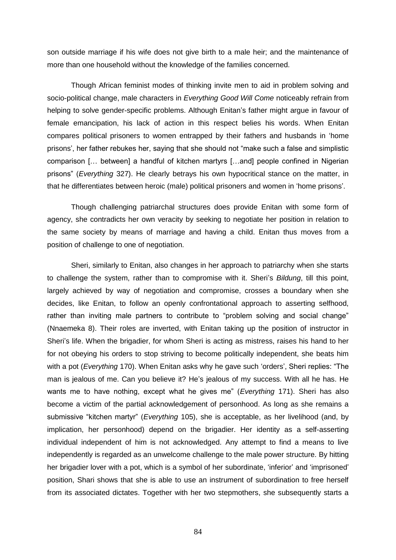son outside marriage if his wife does not give birth to a male heir; and the maintenance of more than one household without the knowledge of the families concerned.

Though African feminist modes of thinking invite men to aid in problem solving and socio-political change, male characters in *Everything Good Will Come* noticeably refrain from helping to solve gender-specific problems. Although Enitan's father might argue in favour of female emancipation, his lack of action in this respect belies his words. When Enitan compares political prisoners to women entrapped by their fathers and husbands in ‗home prisons', her father rebukes her, saying that she should not "make such a false and simplistic comparison [… between] a handful of kitchen martyrs […and] people confined in Nigerian prisons‖ (*Everything* 327). He clearly betrays his own hypocritical stance on the matter, in that he differentiates between heroic (male) political prisoners and women in 'home prisons'.

Though challenging patriarchal structures does provide Enitan with some form of agency, she contradicts her own veracity by seeking to negotiate her position in relation to the same society by means of marriage and having a child. Enitan thus moves from a position of challenge to one of negotiation.

Sheri, similarly to Enitan, also changes in her approach to patriarchy when she starts to challenge the system, rather than to compromise with it. Sheri's *Bildung*, till this point, largely achieved by way of negotiation and compromise, crosses a boundary when she decides, like Enitan, to follow an openly confrontational approach to asserting selfhood, rather than inviting male partners to contribute to "problem solving and social change" (Nnaemeka 8). Their roles are inverted, with Enitan taking up the position of instructor in Sheri's life. When the brigadier, for whom Sheri is acting as mistress, raises his hand to her for not obeying his orders to stop striving to become politically independent, she beats him with a pot (*Everything* 170). When Enitan asks why he gave such 'orders', Sheri replies: "The man is jealous of me. Can you believe it? He's jealous of my success. With all he has. He wants me to have nothing, except what he gives me" (*Everything* 171). Sheri has also become a victim of the partial acknowledgement of personhood. As long as she remains a submissive "kitchen martyr" (*Everything* 105), she is acceptable, as her livelihood (and, by implication, her personhood) depend on the brigadier. Her identity as a self-asserting individual independent of him is not acknowledged. Any attempt to find a means to live independently is regarded as an unwelcome challenge to the male power structure. By hitting her brigadier lover with a pot, which is a symbol of her subordinate, 'inferior' and 'imprisoned' position, Shari shows that she is able to use an instrument of subordination to free herself from its associated dictates. Together with her two stepmothers, she subsequently starts a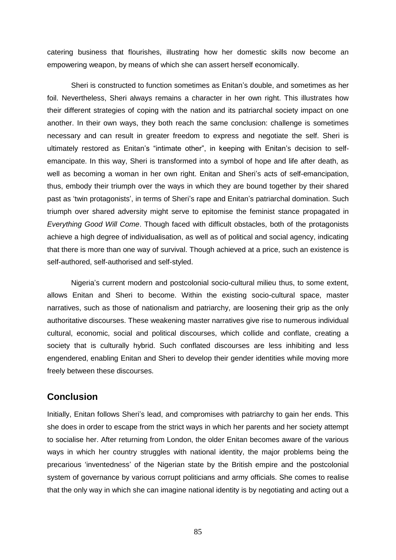catering business that flourishes, illustrating how her domestic skills now become an empowering weapon, by means of which she can assert herself economically.

Sheri is constructed to function sometimes as Enitan's double, and sometimes as her foil. Nevertheless, Sheri always remains a character in her own right. This illustrates how their different strategies of coping with the nation and its patriarchal society impact on one another. In their own ways, they both reach the same conclusion: challenge is sometimes necessary and can result in greater freedom to express and negotiate the self. Sheri is ultimately restored as Enitan's "intimate other", in keeping with Enitan's decision to selfemancipate. In this way, Sheri is transformed into a symbol of hope and life after death, as well as becoming a woman in her own right. Enitan and Sheri's acts of self-emancipation, thus, embody their triumph over the ways in which they are bound together by their shared past as ‗twin protagonists', in terms of Sheri's rape and Enitan's patriarchal domination. Such triumph over shared adversity might serve to epitomise the feminist stance propagated in *Everything Good Will Come*. Though faced with difficult obstacles, both of the protagonists achieve a high degree of individualisation, as well as of political and social agency, indicating that there is more than one way of survival. Though achieved at a price, such an existence is self-authored, self-authorised and self-styled.

Nigeria's current modern and postcolonial socio-cultural milieu thus, to some extent, allows Enitan and Sheri to become. Within the existing socio-cultural space, master narratives, such as those of nationalism and patriarchy, are loosening their grip as the only authoritative discourses. These weakening master narratives give rise to numerous individual cultural, economic, social and political discourses, which collide and conflate, creating a society that is culturally hybrid. Such conflated discourses are less inhibiting and less engendered, enabling Enitan and Sheri to develop their gender identities while moving more freely between these discourses.

## **Conclusion**

Initially, Enitan follows Sheri's lead, and compromises with patriarchy to gain her ends. This she does in order to escape from the strict ways in which her parents and her society attempt to socialise her. After returning from London, the older Enitan becomes aware of the various ways in which her country struggles with national identity, the major problems being the precarious ‗inventedness' of the Nigerian state by the British empire and the postcolonial system of governance by various corrupt politicians and army officials. She comes to realise that the only way in which she can imagine national identity is by negotiating and acting out a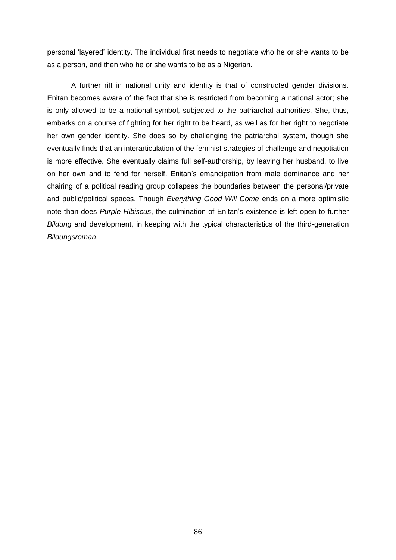personal 'layered' identity. The individual first needs to negotiate who he or she wants to be as a person, and then who he or she wants to be as a Nigerian.

A further rift in national unity and identity is that of constructed gender divisions. Enitan becomes aware of the fact that she is restricted from becoming a national actor; she is only allowed to be a national symbol, subjected to the patriarchal authorities. She, thus, embarks on a course of fighting for her right to be heard, as well as for her right to negotiate her own gender identity. She does so by challenging the patriarchal system, though she eventually finds that an interarticulation of the feminist strategies of challenge and negotiation is more effective. She eventually claims full self-authorship, by leaving her husband, to live on her own and to fend for herself. Enitan's emancipation from male dominance and her chairing of a political reading group collapses the boundaries between the personal/private and public/political spaces. Though *Everything Good Will Come* ends on a more optimistic note than does *Purple Hibiscus*, the culmination of Enitan's existence is left open to further *Bildung* and development, in keeping with the typical characteristics of the third-generation *Bildungsroman*.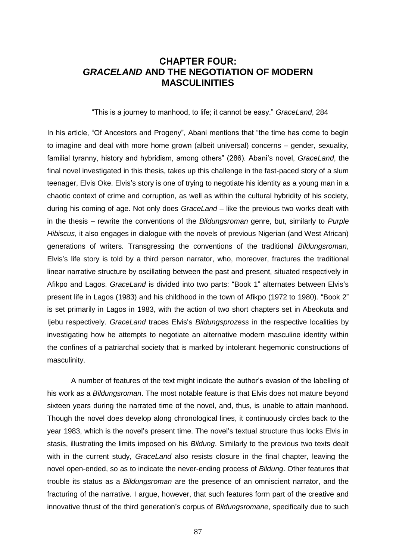## **CHAPTER FOUR:** *GRACELAND* **AND THE NEGOTIATION OF MODERN MASCULINITIES**

―This is a journey to manhood, to life; it cannot be easy.‖ *GraceLand*, 284

In his article, "Of Ancestors and Progeny", Abani mentions that "the time has come to begin to imagine and deal with more home grown (albeit universal) concerns – gender, sexuality, familial tyranny, history and hybridism, among others" (286). Abani's novel, *GraceLand*, the final novel investigated in this thesis, takes up this challenge in the fast-paced story of a slum teenager, Elvis Oke. Elvis's story is one of trying to negotiate his identity as a young man in a chaotic context of crime and corruption, as well as within the cultural hybridity of his society, during his coming of age. Not only does *GraceLand* – like the previous two works dealt with in the thesis – rewrite the conventions of the *Bildungsroman* genre, but, similarly to *Purple Hibiscus*, it also engages in dialogue with the novels of previous Nigerian (and West African) generations of writers. Transgressing the conventions of the traditional *Bildungsroman*, Elvis's life story is told by a third person narrator, who, moreover, fractures the traditional linear narrative structure by oscillating between the past and present, situated respectively in Afikpo and Lagos. *GraceLand* is divided into two parts: "Book 1" alternates between Elvis's present life in Lagos (1983) and his childhood in the town of Afikpo (1972 to 1980). "Book 2" is set primarily in Lagos in 1983, with the action of two short chapters set in Abeokuta and Ijebu respectively. *GraceLand* traces Elvis's *Bildungsprozess* in the respective localities by investigating how he attempts to negotiate an alternative modern masculine identity within the confines of a patriarchal society that is marked by intolerant hegemonic constructions of masculinity.

A number of features of the text might indicate the author's evasion of the labelling of his work as a *Bildungsroman*. The most notable feature is that Elvis does not mature beyond sixteen years during the narrated time of the novel, and, thus, is unable to attain manhood. Though the novel does develop along chronological lines, it continuously circles back to the year 1983, which is the novel's present time. The novel's textual structure thus locks Elvis in stasis, illustrating the limits imposed on his *Bildung*. Similarly to the previous two texts dealt with in the current study, *GraceLand* also resists closure in the final chapter, leaving the novel open-ended, so as to indicate the never-ending process of *Bildung*. Other features that trouble its status as a *Bildungsroman* are the presence of an omniscient narrator, and the fracturing of the narrative. I argue, however, that such features form part of the creative and innovative thrust of the third generation's corpus of *Bildungsromane*, specifically due to such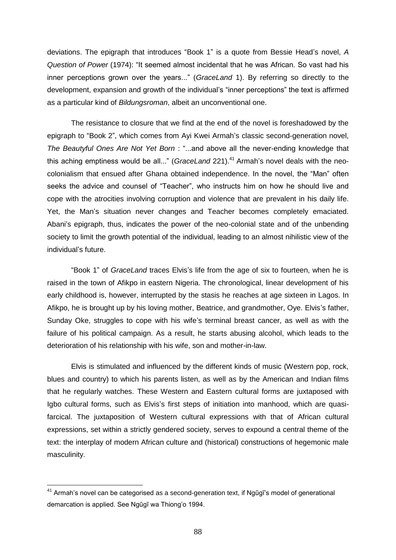deviations. The epigraph that introduces "Book 1" is a quote from Bessie Head's novel, A *Question of Power* (1974): "It seemed almost incidental that he was African. So vast had his inner perceptions grown over the years..." (*GraceLand* 1). By referring so directly to the development, expansion and growth of the individual's "inner perceptions" the text is affirmed as a particular kind of *Bildungsroman*, albeit an unconventional one.

The resistance to closure that we find at the end of the novel is foreshadowed by the epigraph to "Book 2", which comes from Ayi Kwei Armah's classic second-generation novel, *The Beautyful Ones Are Not Yet Born* : "...and above all the never-ending knowledge that this aching emptiness would be all..." (*GraceLand* 221).<sup>41</sup> Armah's novel deals with the neocolonialism that ensued after Ghana obtained independence. In the novel, the "Man" often seeks the advice and counsel of "Teacher", who instructs him on how he should live and cope with the atrocities involving corruption and violence that are prevalent in his daily life. Yet, the Man's situation never changes and Teacher becomes completely emaciated. Abani's epigraph, thus, indicates the power of the neo-colonial state and of the unbending society to limit the growth potential of the individual, leading to an almost nihilistic view of the individual's future.

―Book 1‖ of *GraceLand* traces Elvis's life from the age of six to fourteen, when he is raised in the town of Afikpo in eastern Nigeria. The chronological, linear development of his early childhood is, however, interrupted by the stasis he reaches at age sixteen in Lagos. In Afikpo, he is brought up by his loving mother, Beatrice, and grandmother, Oye. Elvis's father, Sunday Oke, struggles to cope with his wife's terminal breast cancer, as well as with the failure of his political campaign. As a result, he starts abusing alcohol, which leads to the deterioration of his relationship with his wife, son and mother-in-law.

Elvis is stimulated and influenced by the different kinds of music (Western pop, rock, blues and country) to which his parents listen, as well as by the American and Indian films that he regularly watches. These Western and Eastern cultural forms are juxtaposed with Igbo cultural forms, such as Elvis's first steps of initiation into manhood, which are quasifarcical. The juxtaposition of Western cultural expressions with that of African cultural expressions, set within a strictly gendered society, serves to expound a central theme of the text: the interplay of modern African culture and (historical) constructions of hegemonic male masculinity.

 $41$  Armah's novel can be categorised as a second-generation text, if Ngũgi s model of generational demarcation is applied. See Ngũgĩ wa Thiong'o 1994.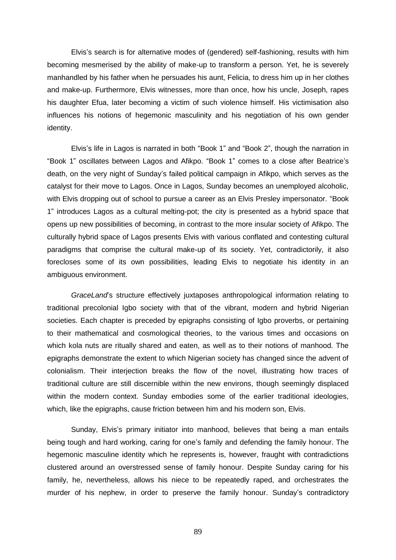Elvis's search is for alternative modes of (gendered) self-fashioning, results with him becoming mesmerised by the ability of make-up to transform a person. Yet, he is severely manhandled by his father when he persuades his aunt, Felicia, to dress him up in her clothes and make-up. Furthermore, Elvis witnesses, more than once, how his uncle, Joseph, rapes his daughter Efua, later becoming a victim of such violence himself. His victimisation also influences his notions of hegemonic masculinity and his negotiation of his own gender identity.

Elvis's life in Lagos is narrated in both "Book 1" and "Book 2", though the narration in ―Book 1‖ oscillates between Lagos and Afikpo. ―Book 1‖ comes to a close after Beatrice's death, on the very night of Sunday's failed political campaign in Afikpo, which serves as the catalyst for their move to Lagos. Once in Lagos, Sunday becomes an unemployed alcoholic, with Elvis dropping out of school to pursue a career as an Elvis Presley impersonator. "Book 1" introduces Lagos as a cultural melting-pot; the city is presented as a hybrid space that opens up new possibilities of becoming, in contrast to the more insular society of Afikpo. The culturally hybrid space of Lagos presents Elvis with various conflated and contesting cultural paradigms that comprise the cultural make-up of its society. Yet, contradictorily, it also forecloses some of its own possibilities, leading Elvis to negotiate his identity in an ambiguous environment.

*GraceLand*'s structure effectively juxtaposes anthropological information relating to traditional precolonial Igbo society with that of the vibrant, modern and hybrid Nigerian societies. Each chapter is preceded by epigraphs consisting of Igbo proverbs, or pertaining to their mathematical and cosmological theories, to the various times and occasions on which kola nuts are ritually shared and eaten, as well as to their notions of manhood. The epigraphs demonstrate the extent to which Nigerian society has changed since the advent of colonialism. Their interjection breaks the flow of the novel, illustrating how traces of traditional culture are still discernible within the new environs, though seemingly displaced within the modern context. Sunday embodies some of the earlier traditional ideologies, which, like the epigraphs, cause friction between him and his modern son, Elvis.

Sunday, Elvis's primary initiator into manhood, believes that being a man entails being tough and hard working, caring for one's family and defending the family honour. The hegemonic masculine identity which he represents is, however, fraught with contradictions clustered around an overstressed sense of family honour. Despite Sunday caring for his family, he, nevertheless, allows his niece to be repeatedly raped, and orchestrates the murder of his nephew, in order to preserve the family honour. Sunday's contradictory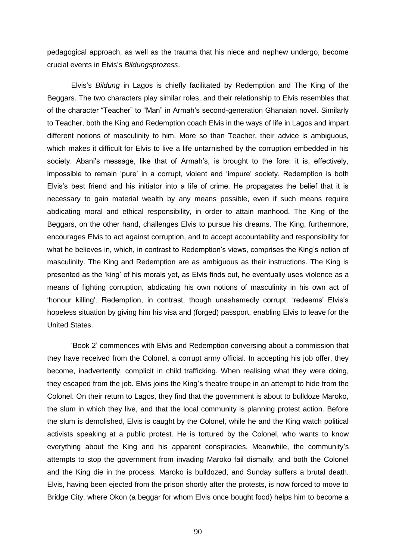pedagogical approach, as well as the trauma that his niece and nephew undergo, become crucial events in Elvis's *Bildungsprozess*.

Elvis's *Bildung* in Lagos is chiefly facilitated by Redemption and The King of the Beggars. The two characters play similar roles, and their relationship to Elvis resembles that of the character "Teacher" to "Man" in Armah's second-generation Ghanaian novel. Similarly to Teacher, both the King and Redemption coach Elvis in the ways of life in Lagos and impart different notions of masculinity to him. More so than Teacher, their advice is ambiguous, which makes it difficult for Elvis to live a life untarnished by the corruption embedded in his society. Abani's message, like that of Armah's, is brought to the fore: it is, effectively, impossible to remain 'pure' in a corrupt, violent and 'impure' society. Redemption is both Elvis's best friend and his initiator into a life of crime. He propagates the belief that it is necessary to gain material wealth by any means possible, even if such means require abdicating moral and ethical responsibility, in order to attain manhood. The King of the Beggars, on the other hand, challenges Elvis to pursue his dreams. The King, furthermore, encourages Elvis to act against corruption, and to accept accountability and responsibility for what he believes in, which, in contrast to Redemption's views, comprises the King's notion of masculinity. The King and Redemption are as ambiguous as their instructions. The King is presented as the 'king' of his morals yet, as Elvis finds out, he eventually uses violence as a means of fighting corruption, abdicating his own notions of masculinity in his own act of ‗honour killing'. Redemption, in contrast, though unashamedly corrupt, ‗redeems' Elvis's hopeless situation by giving him his visa and (forged) passport, enabling Elvis to leave for the United States.

‗Book 2' commences with Elvis and Redemption conversing about a commission that they have received from the Colonel, a corrupt army official. In accepting his job offer, they become, inadvertently, complicit in child trafficking. When realising what they were doing, they escaped from the job. Elvis joins the King's theatre troupe in an attempt to hide from the Colonel. On their return to Lagos, they find that the government is about to bulldoze Maroko, the slum in which they live, and that the local community is planning protest action. Before the slum is demolished, Elvis is caught by the Colonel, while he and the King watch political activists speaking at a public protest. He is tortured by the Colonel, who wants to know everything about the King and his apparent conspiracies. Meanwhile, the community's attempts to stop the government from invading Maroko fail dismally, and both the Colonel and the King die in the process. Maroko is bulldozed, and Sunday suffers a brutal death. Elvis, having been ejected from the prison shortly after the protests, is now forced to move to Bridge City, where Okon (a beggar for whom Elvis once bought food) helps him to become a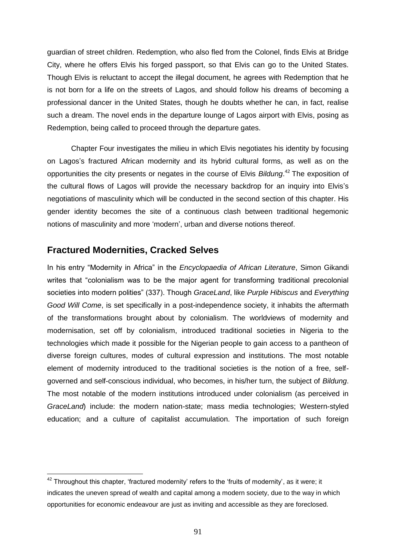guardian of street children. Redemption, who also fled from the Colonel, finds Elvis at Bridge City, where he offers Elvis his forged passport, so that Elvis can go to the United States. Though Elvis is reluctant to accept the illegal document, he agrees with Redemption that he is not born for a life on the streets of Lagos, and should follow his dreams of becoming a professional dancer in the United States, though he doubts whether he can, in fact, realise such a dream. The novel ends in the departure lounge of Lagos airport with Elvis, posing as Redemption, being called to proceed through the departure gates.

Chapter Four investigates the milieu in which Elvis negotiates his identity by focusing on Lagos's fractured African modernity and its hybrid cultural forms, as well as on the opportunities the city presents or negates in the course of Elvis *Bildung*. <sup>42</sup> The exposition of the cultural flows of Lagos will provide the necessary backdrop for an inquiry into Elvis's negotiations of masculinity which will be conducted in the second section of this chapter. His gender identity becomes the site of a continuous clash between traditional hegemonic notions of masculinity and more 'modern', urban and diverse notions thereof.

# **Fractured Modernities, Cracked Selves**

 $\overline{a}$ 

In his entry "Modernity in Africa" in the *Encyclopaedia of African Literature*, Simon Gikandi writes that "colonialism was to be the major agent for transforming traditional precolonial societies into modern polities‖ (337). Though *GraceLand*, like *Purple Hibiscus* and *Everything Good Will Come*, is set specifically in a post-independence society, it inhabits the aftermath of the transformations brought about by colonialism. The worldviews of modernity and modernisation, set off by colonialism, introduced traditional societies in Nigeria to the technologies which made it possible for the Nigerian people to gain access to a pantheon of diverse foreign cultures, modes of cultural expression and institutions. The most notable element of modernity introduced to the traditional societies is the notion of a free, selfgoverned and self-conscious individual, who becomes, in his/her turn, the subject of *Bildung*. The most notable of the modern institutions introduced under colonialism (as perceived in *GraceLand*) include: the modern nation-state; mass media technologies; Western-styled education: and a culture of capitalist accumulation. The importation of such foreign

 $42$  Throughout this chapter, 'fractured modernity' refers to the 'fruits of modernity', as it were; it indicates the uneven spread of wealth and capital among a modern society, due to the way in which opportunities for economic endeavour are just as inviting and accessible as they are foreclosed.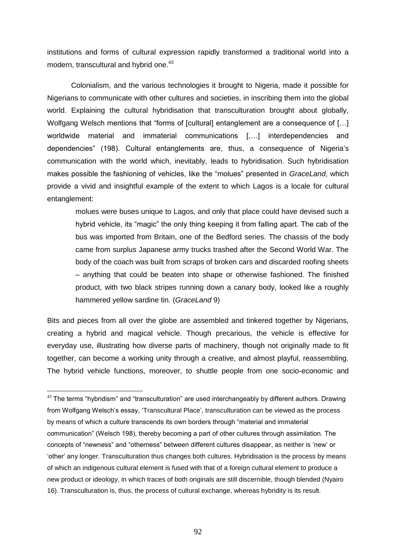institutions and forms of cultural expression rapidly transformed a traditional world into a modern, transcultural and hybrid one.<sup>43</sup>

Colonialism, and the various technologies it brought to Nigeria, made it possible for Nigerians to communicate with other cultures and societies, in inscribing them into the global world. Explaining the cultural hybridisation that transculturation brought about globally, Wolfgang Welsch mentions that "forms of [cultural] entanglement are a consequence of [...] worldwide material and immaterial communications [,…] interdependencies and dependencies‖ (198). Cultural entanglements are, thus, a consequence of Nigeria's communication with the world which, inevitably, leads to hybridisation. Such hybridisation makes possible the fashioning of vehicles, like the "molues" presented in *GraceLand*, which provide a vivid and insightful example of the extent to which Lagos is a locale for cultural entanglement:

molues were buses unique to Lagos, and only that place could have devised such a hybrid vehicle, its "magic" the only thing keeping it from falling apart. The cab of the bus was imported from Britain, one of the Bedford series. The chassis of the body came from surplus Japanese army trucks trashed after the Second World War. The body of the coach was built from scraps of broken cars and discarded roofing sheets – anything that could be beaten into shape or otherwise fashioned. The finished product, with two black stripes running down a canary body, looked like a roughly hammered yellow sardine tin. (*GraceLand* 9)

Bits and pieces from all over the globe are assembled and tinkered together by Nigerians, creating a hybrid and magical vehicle. Though precarious, the vehicle is effective for everyday use, illustrating how diverse parts of machinery, though not originally made to fit together, can become a working unity through a creative, and almost playful, reassembling. The hybrid vehicle functions, moreover, to shuttle people from one socio-economic and

 $43$  The terms "hybridism" and "transculturation" are used interchangeably by different authors. Drawing from Wolfgang Welsch's essay, ‗Transcultural Place', transculturation can be viewed as the process by means of which a culture transcends its own borders through "material and immaterial communication‖ (Welsch 198), thereby becoming a part of other cultures through assimilation. The concepts of "newness" and "otherness" between different cultures disappear, as neither is 'new' or 'other' any longer. Transculturation thus changes both cultures. Hybridisation is the process by means of which an indigenous cultural element is fused with that of a foreign cultural element to produce a new product or ideology, in which traces of both originals are still discernible, though blended (Nyairo 16). Transculturation is, thus, the process of cultural exchange, whereas hybridity is its result.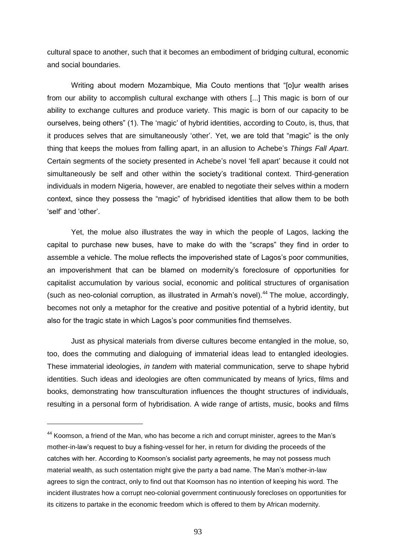cultural space to another, such that it becomes an embodiment of bridging cultural, economic and social boundaries.

Writing about modern Mozambique, Mia Couto mentions that "[o]ur wealth arises from our ability to accomplish cultural exchange with others [...] This magic is born of our ability to exchange cultures and produce variety. This magic is born of our capacity to be ourselves, being others" (1). The 'magic' of hybrid identities, according to Couto, is, thus, that it produces selves that are simultaneously 'other'. Yet, we are told that "magic" is the only thing that keeps the molues from falling apart, in an allusion to Achebe's *Things Fall Apart*. Certain segments of the society presented in Achebe's novel 'fell apart' because it could not simultaneously be self and other within the society's traditional context. Third-generation individuals in modern Nigeria, however, are enabled to negotiate their selves within a modern context, since they possess the "magic" of hybridised identities that allow them to be both ‗self' and ‗other'.

Yet, the molue also illustrates the way in which the people of Lagos, lacking the capital to purchase new buses, have to make do with the "scraps" they find in order to assemble a vehicle. The molue reflects the impoverished state of Lagos's poor communities, an impoverishment that can be blamed on modernity's foreclosure of opportunities for capitalist accumulation by various social, economic and political structures of organisation (such as neo-colonial corruption, as illustrated in Armah's novel).<sup>44</sup> The molue, accordingly, becomes not only a metaphor for the creative and positive potential of a hybrid identity, but also for the tragic state in which Lagos's poor communities find themselves.

Just as physical materials from diverse cultures become entangled in the molue, so, too, does the commuting and dialoguing of immaterial ideas lead to entangled ideologies. These immaterial ideologies, *in tandem* with material communication, serve to shape hybrid identities. Such ideas and ideologies are often communicated by means of lyrics, films and books, demonstrating how transculturation influences the thought structures of individuals, resulting in a personal form of hybridisation. A wide range of artists, music, books and films

<sup>44</sup> Koomson, a friend of the Man, who has become a rich and corrupt minister, agrees to the Man's mother-in-law's request to buy a fishing-vessel for her, in return for dividing the proceeds of the catches with her. According to Koomson's socialist party agreements, he may not possess much material wealth, as such ostentation might give the party a bad name. The Man's mother-in-law agrees to sign the contract, only to find out that Koomson has no intention of keeping his word. The incident illustrates how a corrupt neo-colonial government continuously forecloses on opportunities for its citizens to partake in the economic freedom which is offered to them by African modernity.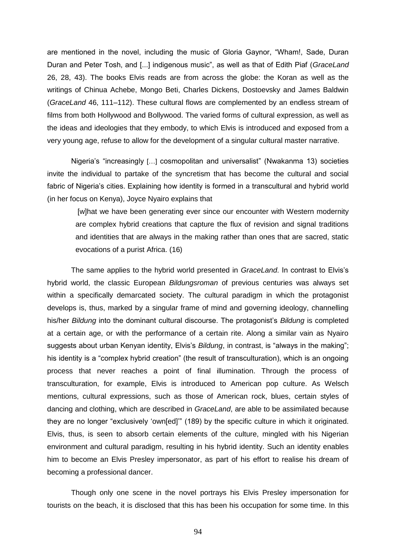are mentioned in the novel, including the music of Gloria Gaynor, "Wham!, Sade, Duran Duran and Peter Tosh, and [...] indigenous music<sup>"</sup>, as well as that of Edith Piaf (*GraceLand* 26, 28, 43). The books Elvis reads are from across the globe: the Koran as well as the writings of Chinua Achebe, Mongo Beti, Charles Dickens, Dostoevsky and James Baldwin (*GraceLand* 46, 111–112). These cultural flows are complemented by an endless stream of films from both Hollywood and Bollywood. The varied forms of cultural expression, as well as the ideas and ideologies that they embody, to which Elvis is introduced and exposed from a very young age, refuse to allow for the development of a singular cultural master narrative.

Nigeria's "increasingly [...] cosmopolitan and universalist" (Nwakanma 13) societies invite the individual to partake of the syncretism that has become the cultural and social fabric of Nigeria's cities. Explaining how identity is formed in a transcultural and hybrid world (in her focus on Kenya), Joyce Nyairo explains that

[w]hat we have been generating ever since our encounter with Western modernity are complex hybrid creations that capture the flux of revision and signal traditions and identities that are always in the making rather than ones that are sacred, static evocations of a purist Africa. (16)

The same applies to the hybrid world presented in *GraceLand*. In contrast to Elvis's hybrid world, the classic European *Bildungsroman* of previous centuries was always set within a specifically demarcated society. The cultural paradigm in which the protagonist develops is, thus, marked by a singular frame of mind and governing ideology, channelling his/her *Bildung* into the dominant cultural discourse. The protagonist's *Bildung* is completed at a certain age, or with the performance of a certain rite. Along a similar vain as Nyairo suggests about urban Kenyan identity, Elvis's *Bildung*, in contrast, is "always in the making"; his identity is a "complex hybrid creation" (the result of transculturation), which is an ongoing process that never reaches a point of final illumination. Through the process of transculturation, for example, Elvis is introduced to American pop culture. As Welsch mentions, cultural expressions, such as those of American rock, blues, certain styles of dancing and clothing, which are described in *GraceLand*, are able to be assimilated because they are no longer "exclusively 'own[ed]" (189) by the specific culture in which it originated. Elvis, thus, is seen to absorb certain elements of the culture, mingled with his Nigerian environment and cultural paradigm, resulting in his hybrid identity. Such an identity enables him to become an Elvis Presley impersonator, as part of his effort to realise his dream of becoming a professional dancer.

Though only one scene in the novel portrays his Elvis Presley impersonation for tourists on the beach, it is disclosed that this has been his occupation for some time. In this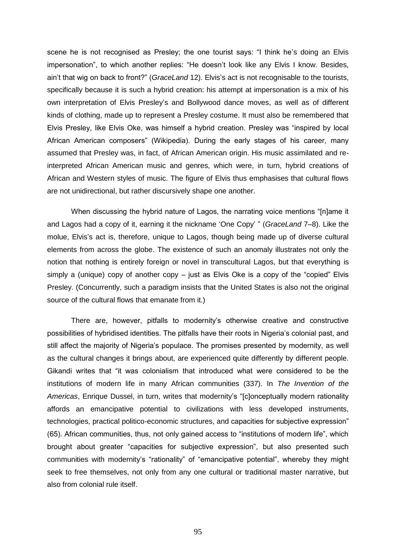scene he is not recognised as Presley; the one tourist says: "I think he's doing an Elvis impersonation", to which another replies: "He doesn't look like any Elvis I know. Besides, ain't that wig on back to front?‖ (*GraceLand* 12). Elvis's act is not recognisable to the tourists, specifically because it is such a hybrid creation: his attempt at impersonation is a mix of his own interpretation of Elvis Presley's and Bollywood dance moves, as well as of different kinds of clothing, made up to represent a Presley costume. It must also be remembered that Elvis Presley, like Elvis Oke, was himself a hybrid creation. Presley was "inspired by local African American composers" (Wikipedia). During the early stages of his career, many assumed that Presley was, in fact, of African American origin. His music assimilated and reinterpreted African American music and genres, which were, in turn, hybrid creations of African and Western styles of music. The figure of Elvis thus emphasises that cultural flows are not unidirectional, but rather discursively shape one another.

When discussing the hybrid nature of Lagos, the narrating voice mentions "[n]ame it and Lagos had a copy of it, earning it the nickname 'One Copy' " (*GraceLand* 7–8). Like the molue, Elvis's act is, therefore, unique to Lagos, though being made up of diverse cultural elements from across the globe. The existence of such an anomaly illustrates not only the notion that nothing is entirely foreign or novel in transcultural Lagos, but that everything is simply a (unique) copy of another copy – just as Elvis Oke is a copy of the "copied" Elvis Presley. (Concurrently, such a paradigm insists that the United States is also not the original source of the cultural flows that emanate from it.)

There are, however, pitfalls to modernity's otherwise creative and constructive possibilities of hybridised identities. The pitfalls have their roots in Nigeria's colonial past, and still affect the majority of Nigeria's populace. The promises presented by modernity, as well as the cultural changes it brings about, are experienced quite differently by different people. Gikandi writes that "it was colonialism that introduced what were considered to be the institutions of modern life in many African communities (337). In *The Invention of the*  Americas, Enrique Dussel, in turn, writes that modernity's "[c]onceptually modern rationality affords an emancipative potential to civilizations with less developed instruments, technologies, practical politico-economic structures, and capacities for subjective expression" (65). African communities, thus, not only gained access to "institutions of modern life", which brought about greater "capacities for subjective expression", but also presented such communities with modernity's "rationality" of "emancipative potential", whereby they might seek to free themselves, not only from any one cultural or traditional master narrative, but also from colonial rule itself.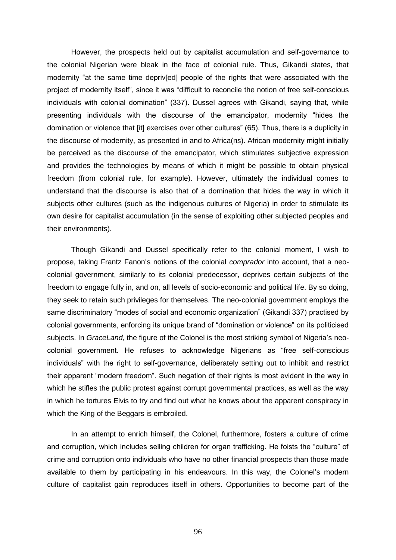However, the prospects held out by capitalist accumulation and self-governance to the colonial Nigerian were bleak in the face of colonial rule. Thus, Gikandi states, that modernity "at the same time depriv[ed] people of the rights that were associated with the project of modernity itself", since it was "difficult to reconcile the notion of free self-conscious individuals with colonial domination" (337). Dussel agrees with Gikandi, saying that, while presenting individuals with the discourse of the emancipator, modernity "hides the domination or violence that [it] exercises over other cultures" (65). Thus, there is a duplicity in the discourse of modernity, as presented in and to Africa(ns). African modernity might initially be perceived as the discourse of the emancipator, which stimulates subjective expression and provides the technologies by means of which it might be possible to obtain physical freedom (from colonial rule, for example). However, ultimately the individual comes to understand that the discourse is also that of a domination that hides the way in which it subjects other cultures (such as the indigenous cultures of Nigeria) in order to stimulate its own desire for capitalist accumulation (in the sense of exploiting other subjected peoples and their environments).

Though Gikandi and Dussel specifically refer to the colonial moment, I wish to propose, taking Frantz Fanon's notions of the colonial *comprador* into account, that a neocolonial government, similarly to its colonial predecessor, deprives certain subjects of the freedom to engage fully in, and on, all levels of socio-economic and political life. By so doing, they seek to retain such privileges for themselves. The neo-colonial government employs the same discriminatory "modes of social and economic organization" (Gikandi 337) practised by colonial governments, enforcing its unique brand of "domination or violence" on its politicised subjects. In *GraceLand*, the figure of the Colonel is the most striking symbol of Nigeria's neocolonial government. He refuses to acknowledge Nigerians as "free self-conscious individuals" with the right to self-governance, deliberately setting out to inhibit and restrict their apparent "modern freedom". Such negation of their rights is most evident in the way in which he stifles the public protest against corrupt governmental practices, as well as the way in which he tortures Elvis to try and find out what he knows about the apparent conspiracy in which the King of the Beggars is embroiled.

In an attempt to enrich himself, the Colonel, furthermore, fosters a culture of crime and corruption, which includes selling children for organ trafficking. He foists the "culture" of crime and corruption onto individuals who have no other financial prospects than those made available to them by participating in his endeavours. In this way, the Colonel's modern culture of capitalist gain reproduces itself in others. Opportunities to become part of the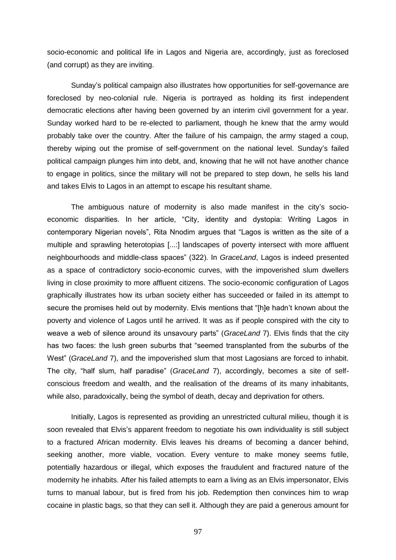socio-economic and political life in Lagos and Nigeria are, accordingly, just as foreclosed (and corrupt) as they are inviting.

Sunday's political campaign also illustrates how opportunities for self-governance are foreclosed by neo-colonial rule. Nigeria is portrayed as holding its first independent democratic elections after having been governed by an interim civil government for a year. Sunday worked hard to be re-elected to parliament, though he knew that the army would probably take over the country. After the failure of his campaign, the army staged a coup, thereby wiping out the promise of self-government on the national level. Sunday's failed political campaign plunges him into debt, and, knowing that he will not have another chance to engage in politics, since the military will not be prepared to step down, he sells his land and takes Elvis to Lagos in an attempt to escape his resultant shame.

The ambiguous nature of modernity is also made manifest in the city's socioeconomic disparities. In her article, "City, identity and dystopia: Writing Lagos in contemporary Nigerian novels", Rita Nnodim argues that "Lagos is written as the site of a multiple and sprawling heterotopias [...:] landscapes of poverty intersect with more affluent neighbourhoods and middle-class spaces‖ (322). In *GraceLand*, Lagos is indeed presented as a space of contradictory socio-economic curves, with the impoverished slum dwellers living in close proximity to more affluent citizens. The socio-economic configuration of Lagos graphically illustrates how its urban society either has succeeded or failed in its attempt to secure the promises held out by modernity. Elvis mentions that "[h]e hadn't known about the poverty and violence of Lagos until he arrived. It was as if people conspired with the city to weave a web of silence around its unsavoury parts" (*GraceLand 7*). Elvis finds that the city has two faces: the lush green suburbs that "seemed transplanted from the suburbs of the West" (*GraceLand* 7), and the impoverished slum that most Lagosians are forced to inhabit. The city, "half slum, half paradise" (*GraceLand 7*), accordingly, becomes a site of selfconscious freedom and wealth, and the realisation of the dreams of its many inhabitants, while also, paradoxically, being the symbol of death, decay and deprivation for others.

Initially, Lagos is represented as providing an unrestricted cultural milieu, though it is soon revealed that Elvis's apparent freedom to negotiate his own individuality is still subject to a fractured African modernity. Elvis leaves his dreams of becoming a dancer behind, seeking another, more viable, vocation. Every venture to make money seems futile, potentially hazardous or illegal, which exposes the fraudulent and fractured nature of the modernity he inhabits. After his failed attempts to earn a living as an Elvis impersonator, Elvis turns to manual labour, but is fired from his job. Redemption then convinces him to wrap cocaine in plastic bags, so that they can sell it. Although they are paid a generous amount for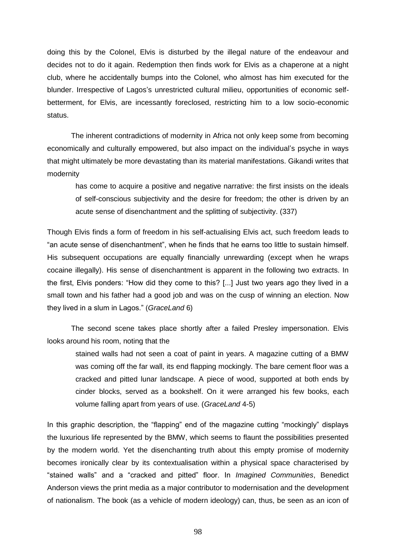doing this by the Colonel, Elvis is disturbed by the illegal nature of the endeavour and decides not to do it again. Redemption then finds work for Elvis as a chaperone at a night club, where he accidentally bumps into the Colonel, who almost has him executed for the blunder. Irrespective of Lagos's unrestricted cultural milieu, opportunities of economic selfbetterment, for Elvis, are incessantly foreclosed, restricting him to a low socio-economic status.

The inherent contradictions of modernity in Africa not only keep some from becoming economically and culturally empowered, but also impact on the individual's psyche in ways that might ultimately be more devastating than its material manifestations. Gikandi writes that modernity

has come to acquire a positive and negative narrative: the first insists on the ideals of self-conscious subjectivity and the desire for freedom; the other is driven by an acute sense of disenchantment and the splitting of subjectivity. (337)

Though Elvis finds a form of freedom in his self-actualising Elvis act, such freedom leads to "an acute sense of disenchantment", when he finds that he earns too little to sustain himself. His subsequent occupations are equally financially unrewarding (except when he wraps cocaine illegally). His sense of disenchantment is apparent in the following two extracts. In the first, Elvis ponders: "How did they come to this? [...] Just two years ago they lived in a small town and his father had a good job and was on the cusp of winning an election. Now they lived in a slum in Lagos.‖ (*GraceLand* 6)

The second scene takes place shortly after a failed Presley impersonation. Elvis looks around his room, noting that the

stained walls had not seen a coat of paint in years. A magazine cutting of a BMW was coming off the far wall, its end flapping mockingly. The bare cement floor was a cracked and pitted lunar landscape. A piece of wood, supported at both ends by cinder blocks, served as a bookshelf. On it were arranged his few books, each volume falling apart from years of use. (*GraceLand* 4-5)

In this graphic description, the "flapping" end of the magazine cutting "mockingly" displays the luxurious life represented by the BMW, which seems to flaunt the possibilities presented by the modern world. Yet the disenchanting truth about this empty promise of modernity becomes ironically clear by its contextualisation within a physical space characterised by ―stained walls‖ and a ―cracked and pitted‖ floor. In *Imagined Communities*, Benedict Anderson views the print media as a major contributor to modernisation and the development of nationalism. The book (as a vehicle of modern ideology) can, thus, be seen as an icon of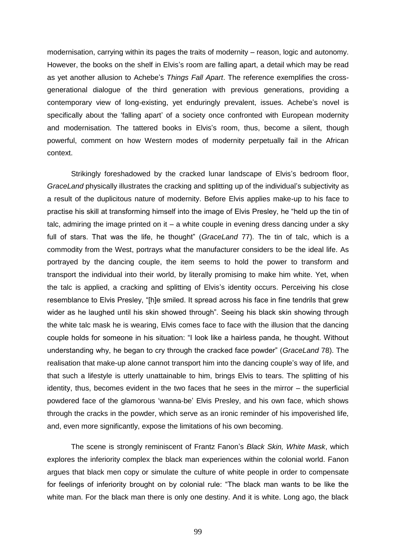modernisation, carrying within its pages the traits of modernity – reason, logic and autonomy. However, the books on the shelf in Elvis's room are falling apart, a detail which may be read as yet another allusion to Achebe's *Things Fall Apart*. The reference exemplifies the crossgenerational dialogue of the third generation with previous generations, providing a contemporary view of long-existing, yet enduringly prevalent, issues. Achebe's novel is specifically about the 'falling apart' of a society once confronted with European modernity and modernisation. The tattered books in Elvis's room, thus, become a silent, though powerful, comment on how Western modes of modernity perpetually fail in the African context.

Strikingly foreshadowed by the cracked lunar landscape of Elvis's bedroom floor, *GraceLand* physically illustrates the cracking and splitting up of the individual's subjectivity as a result of the duplicitous nature of modernity. Before Elvis applies make-up to his face to practise his skill at transforming himself into the image of Elvis Presley, he "held up the tin of talc, admiring the image printed on it  $-$  a white couple in evening dress dancing under a sky full of stars. That was the life, he thought" (*GraceLand 77*). The tin of talc, which is a commodity from the West, portrays what the manufacturer considers to be the ideal life. As portrayed by the dancing couple, the item seems to hold the power to transform and transport the individual into their world, by literally promising to make him white. Yet, when the talc is applied, a cracking and splitting of Elvis's identity occurs. Perceiving his close resemblance to Elvis Presley, "[h]e smiled. It spread across his face in fine tendrils that grew wider as he laughed until his skin showed through". Seeing his black skin showing through the white talc mask he is wearing, Elvis comes face to face with the illusion that the dancing couple holds for someone in his situation: "I look like a hairless panda, he thought. Without understanding why, he began to cry through the cracked face powder‖ (*GraceLand* 78). The realisation that make-up alone cannot transport him into the dancing couple's way of life, and that such a lifestyle is utterly unattainable to him, brings Elvis to tears. The splitting of his identity, thus, becomes evident in the two faces that he sees in the mirror – the superficial powdered face of the glamorous 'wanna-be' Elvis Presley, and his own face, which shows through the cracks in the powder, which serve as an ironic reminder of his impoverished life, and, even more significantly, expose the limitations of his own becoming.

The scene is strongly reminiscent of Frantz Fanon's *Black Skin, White Mask*, which explores the inferiority complex the black man experiences within the colonial world. Fanon argues that black men copy or simulate the culture of white people in order to compensate for feelings of inferiority brought on by colonial rule: "The black man wants to be like the white man. For the black man there is only one destiny. And it is white. Long ago, the black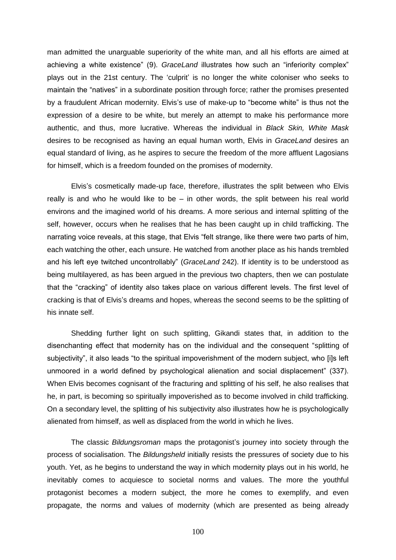man admitted the unarguable superiority of the white man, and all his efforts are aimed at achieving a white existence" (9). *GraceLand* illustrates how such an "inferiority complex" plays out in the 21st century. The 'culprit' is no longer the white coloniser who seeks to maintain the "natives" in a subordinate position through force; rather the promises presented by a fraudulent African modernity. Elvis's use of make-up to "become white" is thus not the expression of a desire to be white, but merely an attempt to make his performance more authentic, and thus, more lucrative. Whereas the individual in *Black Skin, White Mask* desires to be recognised as having an equal human worth, Elvis in *GraceLand* desires an equal standard of living, as he aspires to secure the freedom of the more affluent Lagosians for himself, which is a freedom founded on the promises of modernity.

Elvis's cosmetically made-up face, therefore, illustrates the split between who Elvis really is and who he would like to be  $-$  in other words, the split between his real world environs and the imagined world of his dreams. A more serious and internal splitting of the self, however, occurs when he realises that he has been caught up in child trafficking. The narrating voice reveals, at this stage, that Elvis "felt strange, like there were two parts of him, each watching the other, each unsure. He watched from another place as his hands trembled and his left eye twitched uncontrollably" (*GraceLand* 242). If identity is to be understood as being multilayered, as has been argued in the previous two chapters, then we can postulate that the "cracking" of identity also takes place on various different levels. The first level of cracking is that of Elvis's dreams and hopes, whereas the second seems to be the splitting of his innate self.

Shedding further light on such splitting, Gikandi states that, in addition to the disenchanting effect that modernity has on the individual and the consequent "splitting of subjectivity", it also leads "to the spiritual impoverishment of the modern subject, who [i]s left unmoored in a world defined by psychological alienation and social displacement" (337). When Elvis becomes cognisant of the fracturing and splitting of his self, he also realises that he, in part, is becoming so spiritually impoverished as to become involved in child trafficking. On a secondary level, the splitting of his subjectivity also illustrates how he is psychologically alienated from himself, as well as displaced from the world in which he lives.

The classic *Bildungsroman* maps the protagonist's journey into society through the process of socialisation. The *Bildungsheld* initially resists the pressures of society due to his youth. Yet, as he begins to understand the way in which modernity plays out in his world, he inevitably comes to acquiesce to societal norms and values. The more the youthful protagonist becomes a modern subject, the more he comes to exemplify, and even propagate, the norms and values of modernity (which are presented as being already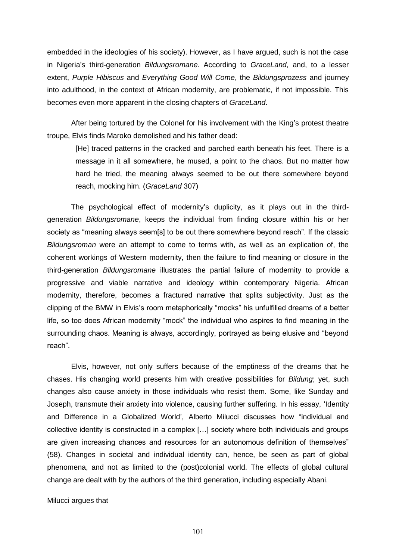embedded in the ideologies of his society). However, as I have argued, such is not the case in Nigeria's third-generation *Bildungsromane*. According to *GraceLand*, and, to a lesser extent, *Purple Hibiscus* and *Everything Good Will Come*, the *Bildungsprozess* and journey into adulthood, in the context of African modernity, are problematic, if not impossible. This becomes even more apparent in the closing chapters of *GraceLand*.

After being tortured by the Colonel for his involvement with the King's protest theatre troupe, Elvis finds Maroko demolished and his father dead:

[He] traced patterns in the cracked and parched earth beneath his feet. There is a message in it all somewhere, he mused, a point to the chaos. But no matter how hard he tried, the meaning always seemed to be out there somewhere beyond reach, mocking him. (*GraceLand* 307)

The psychological effect of modernity's duplicity, as it plays out in the thirdgeneration *Bildungsromane*, keeps the individual from finding closure within his or her society as "meaning always seem[s] to be out there somewhere beyond reach". If the classic *Bildungsroman* were an attempt to come to terms with, as well as an explication of, the coherent workings of Western modernity, then the failure to find meaning or closure in the third-generation *Bildungsromane* illustrates the partial failure of modernity to provide a progressive and viable narrative and ideology within contemporary Nigeria. African modernity, therefore, becomes a fractured narrative that splits subjectivity. Just as the clipping of the BMW in Elvis's room metaphorically "mocks" his unfulfilled dreams of a better life, so too does African modernity "mock" the individual who aspires to find meaning in the surrounding chaos. Meaning is always, accordingly, portrayed as being elusive and "beyond reach".

Elvis, however, not only suffers because of the emptiness of the dreams that he chases. His changing world presents him with creative possibilities for *Bildung*; yet, such changes also cause anxiety in those individuals who resist them. Some, like Sunday and Joseph, transmute their anxiety into violence, causing further suffering. In his essay, 'Identity and Difference in a Globalized World', Alberto Milucci discusses how "individual and collective identity is constructed in a complex […] society where both individuals and groups are given increasing chances and resources for an autonomous definition of themselves" (58). Changes in societal and individual identity can, hence, be seen as part of global phenomena, and not as limited to the (post)colonial world. The effects of global cultural change are dealt with by the authors of the third generation, including especially Abani.

Milucci argues that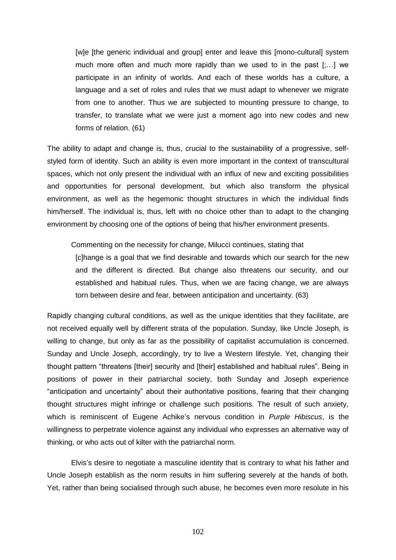[w]e [the generic individual and group] enter and leave this [mono-cultural] system much more often and much more rapidly than we used to in the past [;…] we participate in an infinity of worlds. And each of these worlds has a culture, a language and a set of roles and rules that we must adapt to whenever we migrate from one to another. Thus we are subjected to mounting pressure to change, to transfer, to translate what we were just a moment ago into new codes and new forms of relation. (61)

The ability to adapt and change is, thus, crucial to the sustainability of a progressive, selfstyled form of identity. Such an ability is even more important in the context of transcultural spaces, which not only present the individual with an influx of new and exciting possibilities and opportunities for personal development, but which also transform the physical environment, as well as the hegemonic thought structures in which the individual finds him/herself. The individual is, thus, left with no choice other than to adapt to the changing environment by choosing one of the options of being that his/her environment presents.

Commenting on the necessity for change, Milucci continues, stating that

[c]hange is a goal that we find desirable and towards which our search for the new and the different is directed. But change also threatens our security, and our established and habitual rules. Thus, when we are facing change, we are always torn between desire and fear, between anticipation and uncertainty. (63)

Rapidly changing cultural conditions, as well as the unique identities that they facilitate, are not received equally well by different strata of the population. Sunday, like Uncle Joseph, is willing to change, but only as far as the possibility of capitalist accumulation is concerned. Sunday and Uncle Joseph, accordingly, try to live a Western lifestyle. Yet, changing their thought pattern "threatens [their] security and [their] established and habitual rules". Being in positions of power in their patriarchal society, both Sunday and Joseph experience ―anticipation and uncertainty‖ about their authoritative positions, fearing that their changing thought structures might infringe or challenge such positions. The result of such anxiety, which is reminiscent of Eugene Achike's nervous condition in *Purple Hibiscus*, is the willingness to perpetrate violence against any individual who expresses an alternative way of thinking, or who acts out of kilter with the patriarchal norm.

Elvis's desire to negotiate a masculine identity that is contrary to what his father and Uncle Joseph establish as the norm results in him suffering severely at the hands of both. Yet, rather than being socialised through such abuse, he becomes even more resolute in his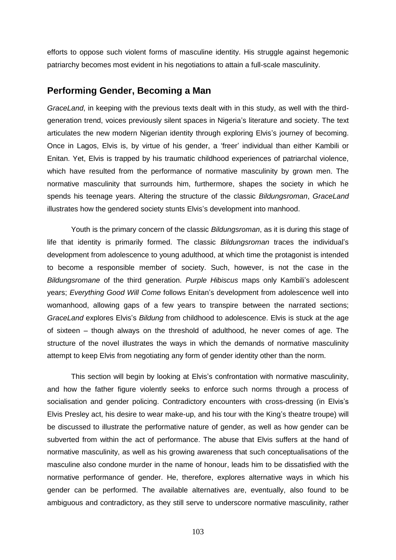efforts to oppose such violent forms of masculine identity. His struggle against hegemonic patriarchy becomes most evident in his negotiations to attain a full-scale masculinity.

## **Performing Gender, Becoming a Man**

*GraceLand*, in keeping with the previous texts dealt with in this study, as well with the thirdgeneration trend, voices previously silent spaces in Nigeria's literature and society. The text articulates the new modern Nigerian identity through exploring Elvis's journey of becoming. Once in Lagos, Elvis is, by virtue of his gender, a ‗freer' individual than either Kambili or Enitan. Yet, Elvis is trapped by his traumatic childhood experiences of patriarchal violence, which have resulted from the performance of normative masculinity by grown men. The normative masculinity that surrounds him, furthermore, shapes the society in which he spends his teenage years. Altering the structure of the classic *Bildungsroman*, *GraceLand* illustrates how the gendered society stunts Elvis's development into manhood.

Youth is the primary concern of the classic *Bildungsroman*, as it is during this stage of life that identity is primarily formed. The classic *Bildungsroman* traces the individual's development from adolescence to young adulthood, at which time the protagonist is intended to become a responsible member of society. Such, however, is not the case in the *Bildungsromane* of the third generation. *Purple Hibiscus* maps only Kambili's adolescent years; *Everything Good Will Come* follows Enitan's development from adolescence well into womanhood, allowing gaps of a few years to transpire between the narrated sections; *GraceLand* explores Elvis's *Bildung* from childhood to adolescence. Elvis is stuck at the age of sixteen – though always on the threshold of adulthood, he never comes of age. The structure of the novel illustrates the ways in which the demands of normative masculinity attempt to keep Elvis from negotiating any form of gender identity other than the norm.

This section will begin by looking at Elvis's confrontation with normative masculinity, and how the father figure violently seeks to enforce such norms through a process of socialisation and gender policing. Contradictory encounters with cross-dressing (in Elvis's Elvis Presley act, his desire to wear make-up, and his tour with the King's theatre troupe) will be discussed to illustrate the performative nature of gender, as well as how gender can be subverted from within the act of performance. The abuse that Elvis suffers at the hand of normative masculinity, as well as his growing awareness that such conceptualisations of the masculine also condone murder in the name of honour, leads him to be dissatisfied with the normative performance of gender. He, therefore, explores alternative ways in which his gender can be performed. The available alternatives are, eventually, also found to be ambiguous and contradictory, as they still serve to underscore normative masculinity, rather

103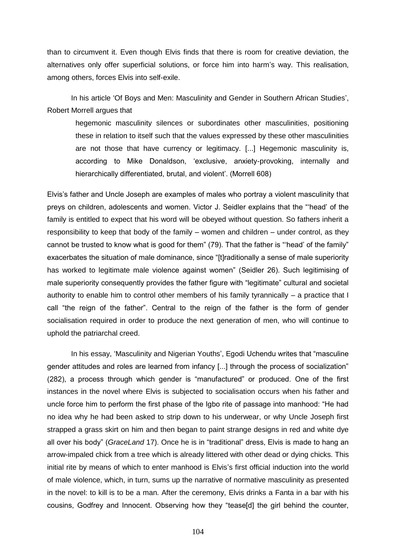than to circumvent it. Even though Elvis finds that there is room for creative deviation, the alternatives only offer superficial solutions, or force him into harm's way. This realisation, among others, forces Elvis into self-exile.

In his article 'Of Boys and Men: Masculinity and Gender in Southern African Studies', Robert Morrell argues that

hegemonic masculinity silences or subordinates other masculinities, positioning these in relation to itself such that the values expressed by these other masculinities are not those that have currency or legitimacy. [...] Hegemonic masculinity is, according to Mike Donaldson, 'exclusive, anxiety-provoking, internally and hierarchically differentiated, brutal, and violent'. (Morrell 608)

Elvis's father and Uncle Joseph are examples of males who portray a violent masculinity that preys on children, adolescents and women. Victor J. Seidler explains that the "head' of the family is entitled to expect that his word will be obeyed without question. So fathers inherit a responsibility to keep that body of the family – women and children – under control, as they cannot be trusted to know what is good for them" (79). That the father is "head' of the family" exacerbates the situation of male dominance, since "[t]raditionally a sense of male superiority has worked to legitimate male violence against women" (Seidler 26). Such legitimising of male superiority consequently provides the father figure with "legitimate" cultural and societal authority to enable him to control other members of his family tyrannically – a practice that I call "the reign of the father". Central to the reign of the father is the form of gender socialisation required in order to produce the next generation of men, who will continue to uphold the patriarchal creed.

In his essay, 'Masculinity and Nigerian Youths', Egodi Uchendu writes that "masculine" gender attitudes and roles are learned from infancy [...] through the process of socialization" (282), a process through which gender is "manufactured" or produced. One of the first instances in the novel where Elvis is subjected to socialisation occurs when his father and uncle force him to perform the first phase of the Igbo rite of passage into manhood: "He had no idea why he had been asked to strip down to his underwear, or why Uncle Joseph first strapped a grass skirt on him and then began to paint strange designs in red and white dye all over his body" (*GraceLand* 17). Once he is in "traditional" dress, Elvis is made to hang an arrow-impaled chick from a tree which is already littered with other dead or dying chicks. This initial rite by means of which to enter manhood is Elvis's first official induction into the world of male violence, which, in turn, sums up the narrative of normative masculinity as presented in the novel: to kill is to be a man. After the ceremony, Elvis drinks a Fanta in a bar with his cousins, Godfrey and Innocent. Observing how they "tease[d] the girl behind the counter,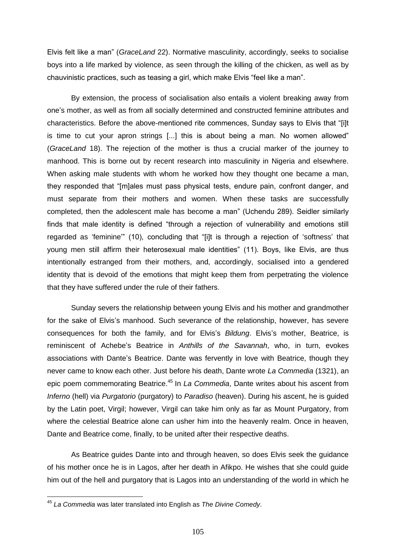Elvis felt like a man‖ (*GraceLand* 22). Normative masculinity, accordingly, seeks to socialise boys into a life marked by violence, as seen through the killing of the chicken, as well as by chauvinistic practices, such as teasing a girl, which make Elvis "feel like a man".

By extension, the process of socialisation also entails a violent breaking away from one's mother, as well as from all socially determined and constructed feminine attributes and characteristics. Before the above-mentioned rite commences, Sunday says to Elvis that "[i]t is time to cut your apron strings  $[...]$  this is about being a man. No women allowed" (*GraceLand* 18). The rejection of the mother is thus a crucial marker of the journey to manhood. This is borne out by recent research into masculinity in Nigeria and elsewhere. When asking male students with whom he worked how they thought one became a man, they responded that "[m]ales must pass physical tests, endure pain, confront danger, and must separate from their mothers and women. When these tasks are successfully completed, then the adolescent male has become a man" (Uchendu 289). Seidler similarly finds that male identity is defined "through a rejection of vulnerability and emotions still regarded as 'feminine'" (10), concluding that "[i]t is through a rejection of 'softness' that young men still affirm their heterosexual male identities" (11). Boys, like Elvis, are thus intentionally estranged from their mothers, and, accordingly, socialised into a gendered identity that is devoid of the emotions that might keep them from perpetrating the violence that they have suffered under the rule of their fathers.

Sunday severs the relationship between young Elvis and his mother and grandmother for the sake of Elvis's manhood. Such severance of the relationship, however, has severe consequences for both the family, and for Elvis's *Bildung*. Elvis's mother, Beatrice, is reminiscent of Achebe's Beatrice in *Anthills of the Savannah*, who, in turn, evokes associations with Dante's Beatrice. Dante was fervently in love with Beatrice, though they never came to know each other. Just before his death, Dante wrote *La Commedia* (1321), an epic poem commemorating Beatrice.<sup>45</sup> In *La Commedia*, Dante writes about his ascent from *Inferno* (hell) via *Purgatorio* (purgatory) to *Paradiso* (heaven). During his ascent, he is guided by the Latin poet, Virgil; however, Virgil can take him only as far as Mount Purgatory, from where the celestial Beatrice alone can usher him into the heavenly realm. Once in heaven, Dante and Beatrice come, finally, to be united after their respective deaths.

As Beatrice guides Dante into and through heaven, so does Elvis seek the guidance of his mother once he is in Lagos, after her death in Afikpo. He wishes that she could guide him out of the hell and purgatory that is Lagos into an understanding of the world in which he

 $\overline{a}$ 

<sup>45</sup> *La Commedia* was later translated into English as *The Divine Comedy*.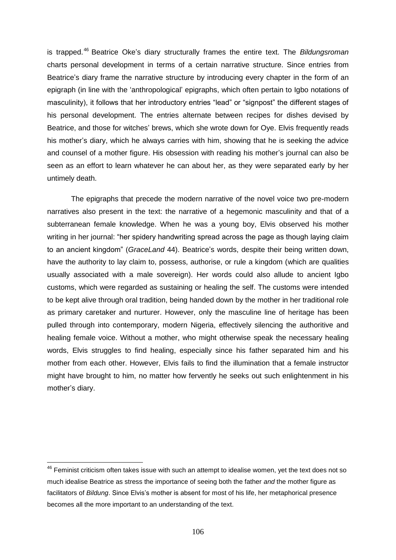is trapped.<sup>46</sup> Beatrice Oke's diary structurally frames the entire text. The *Bildungsroman* charts personal development in terms of a certain narrative structure. Since entries from Beatrice's diary frame the narrative structure by introducing every chapter in the form of an epigraph (in line with the 'anthropological' epigraphs, which often pertain to Igbo notations of masculinity), it follows that her introductory entries "lead" or "signpost" the different stages of his personal development. The entries alternate between recipes for dishes devised by Beatrice, and those for witches' brews, which she wrote down for Oye. Elvis frequently reads his mother's diary, which he always carries with him, showing that he is seeking the advice and counsel of a mother figure. His obsession with reading his mother's journal can also be seen as an effort to learn whatever he can about her, as they were separated early by her untimely death.

The epigraphs that precede the modern narrative of the novel voice two pre-modern narratives also present in the text: the narrative of a hegemonic masculinity and that of a subterranean female knowledge. When he was a young boy, Elvis observed his mother writing in her journal: "her spidery handwriting spread across the page as though laying claim to an ancient kingdom‖ (*GraceLand* 44). Beatrice's words, despite their being written down, have the authority to lay claim to, possess, authorise, or rule a kingdom (which are qualities usually associated with a male sovereign). Her words could also allude to ancient Igbo customs, which were regarded as sustaining or healing the self. The customs were intended to be kept alive through oral tradition, being handed down by the mother in her traditional role as primary caretaker and nurturer. However, only the masculine line of heritage has been pulled through into contemporary, modern Nigeria, effectively silencing the authoritive and healing female voice. Without a mother, who might otherwise speak the necessary healing words, Elvis struggles to find healing, especially since his father separated him and his mother from each other. However, Elvis fails to find the illumination that a female instructor might have brought to him, no matter how fervently he seeks out such enlightenment in his mother's diary.

 $\overline{a}$ 

 $46$  Feminist criticism often takes issue with such an attempt to idealise women, yet the text does not so much idealise Beatrice as stress the importance of seeing both the father *and* the mother figure as facilitators of *Bildung*. Since Elvis's mother is absent for most of his life, her metaphorical presence becomes all the more important to an understanding of the text.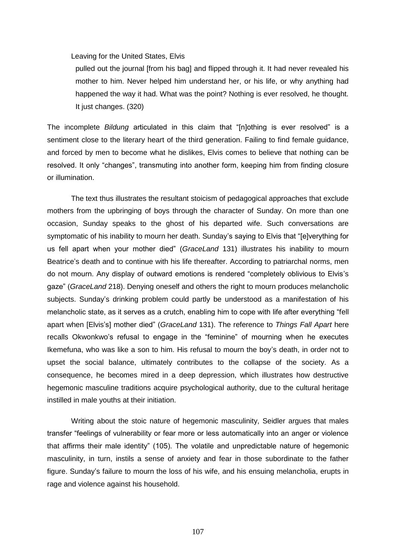Leaving for the United States, Elvis

pulled out the journal [from his bag] and flipped through it. It had never revealed his mother to him. Never helped him understand her, or his life, or why anything had happened the way it had. What was the point? Nothing is ever resolved, he thought. It just changes. (320)

The incomplete *Bildung* articulated in this claim that "[n]othing is ever resolved" is a sentiment close to the literary heart of the third generation. Failing to find female guidance, and forced by men to become what he dislikes, Elvis comes to believe that nothing can be resolved. It only "changes", transmuting into another form, keeping him from finding closure or illumination.

The text thus illustrates the resultant stoicism of pedagogical approaches that exclude mothers from the upbringing of boys through the character of Sunday. On more than one occasion, Sunday speaks to the ghost of his departed wife. Such conversations are symptomatic of his inability to mourn her death. Sunday's saying to Elvis that "[e]verything for us fell apart when your mother died" (*GraceLand* 131) illustrates his inability to mourn Beatrice's death and to continue with his life thereafter. According to patriarchal norms, men do not mourn. Any display of outward emotions is rendered "completely oblivious to Elvis's gaze" (GraceLand 218). Denying oneself and others the right to mourn produces melancholic subjects. Sunday's drinking problem could partly be understood as a manifestation of his melancholic state, as it serves as a crutch, enabling him to cope with life after everything "fell apart when [Elvis's] mother died‖ (*GraceLand* 131). The reference to *Things Fall Apart* here recalls Okwonkwo's refusal to engage in the "feminine" of mourning when he executes Ikemefuna, who was like a son to him. His refusal to mourn the boy's death, in order not to upset the social balance, ultimately contributes to the collapse of the society. As a consequence, he becomes mired in a deep depression, which illustrates how destructive hegemonic masculine traditions acquire psychological authority, due to the cultural heritage instilled in male youths at their initiation.

Writing about the stoic nature of hegemonic masculinity, Seidler argues that males transfer "feelings of vulnerability or fear more or less automatically into an anger or violence that affirms their male identity" (105). The volatile and unpredictable nature of hegemonic masculinity, in turn, instils a sense of anxiety and fear in those subordinate to the father figure. Sunday's failure to mourn the loss of his wife, and his ensuing melancholia, erupts in rage and violence against his household.

107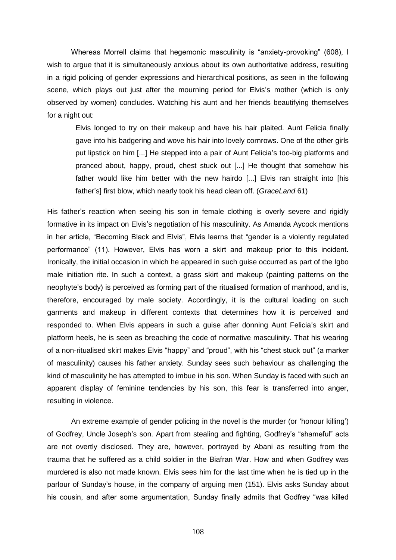Whereas Morrell claims that hegemonic masculinity is "anxiety-provoking" (608), I wish to argue that it is simultaneously anxious about its own authoritative address, resulting in a rigid policing of gender expressions and hierarchical positions, as seen in the following scene, which plays out just after the mourning period for Elvis's mother (which is only observed by women) concludes. Watching his aunt and her friends beautifying themselves for a night out:

Elvis longed to try on their makeup and have his hair plaited. Aunt Felicia finally gave into his badgering and wove his hair into lovely cornrows. One of the other girls put lipstick on him [...] He stepped into a pair of Aunt Felicia's too-big platforms and pranced about, happy, proud, chest stuck out [...] He thought that somehow his father would like him better with the new hairdo [...] Elvis ran straight into [his father's] first blow, which nearly took his head clean off. (*GraceLand* 61)

His father's reaction when seeing his son in female clothing is overly severe and rigidly formative in its impact on Elvis's negotiation of his masculinity. As Amanda Aycock mentions in her article, "Becoming Black and Elvis", Elvis learns that "gender is a violently regulated performance‖ (11). However, Elvis has worn a skirt and makeup prior to this incident. Ironically, the initial occasion in which he appeared in such guise occurred as part of the Igbo male initiation rite. In such a context, a grass skirt and makeup (painting patterns on the neophyte's body) is perceived as forming part of the ritualised formation of manhood, and is, therefore, encouraged by male society. Accordingly, it is the cultural loading on such garments and makeup in different contexts that determines how it is perceived and responded to. When Elvis appears in such a guise after donning Aunt Felicia's skirt and platform heels, he is seen as breaching the code of normative masculinity. That his wearing of a non-ritualised skirt makes Elvis "happy" and "proud", with his "chest stuck out" (a marker of masculinity) causes his father anxiety. Sunday sees such behaviour as challenging the kind of masculinity he has attempted to imbue in his son. When Sunday is faced with such an apparent display of feminine tendencies by his son, this fear is transferred into anger, resulting in violence.

An extreme example of gender policing in the novel is the murder (or 'honour killing') of Godfrey, Uncle Joseph's son. Apart from stealing and fighting, Godfrey's "shameful" acts are not overtly disclosed. They are, however, portrayed by Abani as resulting from the trauma that he suffered as a child soldier in the Biafran War. How and when Godfrey was murdered is also not made known. Elvis sees him for the last time when he is tied up in the parlour of Sunday's house, in the company of arguing men (151). Elvis asks Sunday about his cousin, and after some argumentation, Sunday finally admits that Godfrey "was killed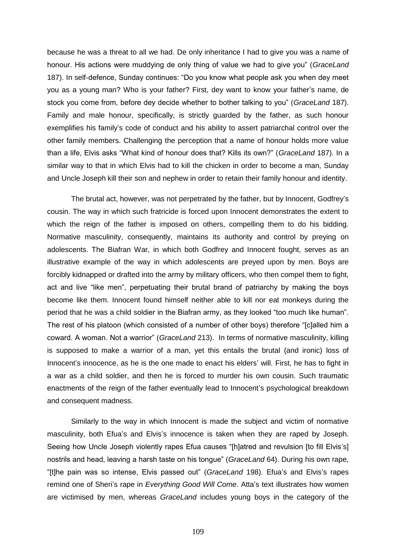because he was a threat to all we had. De only inheritance I had to give you was a name of honour. His actions were muddying de only thing of value we had to give you‖ (*GraceLand* 187). In self-defence, Sunday continues: "Do you know what people ask you when dey meet you as a young man? Who is your father? First, dey want to know your father's name, de stock you come from, before dey decide whether to bother talking to you" (*GraceLand* 187). Family and male honour, specifically, is strictly guarded by the father, as such honour exemplifies his family's code of conduct and his ability to assert patriarchal control over the other family members. Challenging the perception that a name of honour holds more value than a life, Elvis asks "What kind of honour does that? Kills its own?" (GraceLand 187). In a similar way to that in which Elvis had to kill the chicken in order to become a man, Sunday and Uncle Joseph kill their son and nephew in order to retain their family honour and identity.

The brutal act, however, was not perpetrated by the father, but by Innocent, Godfrey's cousin. The way in which such fratricide is forced upon Innocent demonstrates the extent to which the reign of the father is imposed on others, compelling them to do his bidding. Normative masculinity, consequently, maintains its authority and control by preying on adolescents. The Biafran War, in which both Godfrey and Innocent fought, serves as an illustrative example of the way in which adolescents are preyed upon by men. Boys are forcibly kidnapped or drafted into the army by military officers, who then compel them to fight, act and live "like men", perpetuating their brutal brand of patriarchy by making the boys become like them. Innocent found himself neither able to kill nor eat monkeys during the period that he was a child soldier in the Biafran army, as they looked "too much like human". The rest of his platoon (which consisted of a number of other boys) therefore "[c]alled him a coward. A woman. Not a warrior" (*GraceLand* 213). In terms of normative masculinity, killing is supposed to make a warrior of a man, yet this entails the brutal (and ironic) loss of Innocent's innocence, as he is the one made to enact his elders' will. First, he has to fight in a war as a child soldier, and then he is forced to murder his own cousin. Such traumatic enactments of the reign of the father eventually lead to Innocent's psychological breakdown and consequent madness.

Similarly to the way in which Innocent is made the subject and victim of normative masculinity, both Efua's and Elvis's innocence is taken when they are raped by Joseph. Seeing how Uncle Joseph violently rapes Efua causes "[h]atred and revulsion [to fill Elvis's] nostrils and head, leaving a harsh taste on his tongue‖ (*GraceLand* 64). During his own rape, ―[t]he pain was so intense, Elvis passed out‖ (*GraceLand* 198). Efua's and Elvis's rapes remind one of Sheri's rape in *Everything Good Will Come*. Atta's text illustrates how women are victimised by men, whereas *GraceLand* includes young boys in the category of the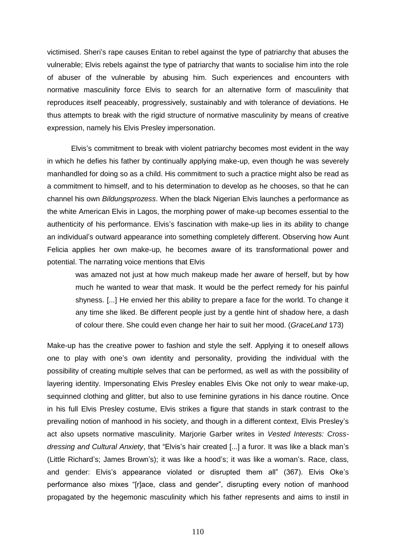victimised. Sheri's rape causes Enitan to rebel against the type of patriarchy that abuses the vulnerable; Elvis rebels against the type of patriarchy that wants to socialise him into the role of abuser of the vulnerable by abusing him. Such experiences and encounters with normative masculinity force Elvis to search for an alternative form of masculinity that reproduces itself peaceably, progressively, sustainably and with tolerance of deviations. He thus attempts to break with the rigid structure of normative masculinity by means of creative expression, namely his Elvis Presley impersonation.

Elvis's commitment to break with violent patriarchy becomes most evident in the way in which he defies his father by continually applying make-up, even though he was severely manhandled for doing so as a child. His commitment to such a practice might also be read as a commitment to himself, and to his determination to develop as he chooses, so that he can channel his own *Bildungsprozess*. When the black Nigerian Elvis launches a performance as the white American Elvis in Lagos, the morphing power of make-up becomes essential to the authenticity of his performance. Elvis's fascination with make-up lies in its ability to change an individual's outward appearance into something completely different. Observing how Aunt Felicia applies her own make-up, he becomes aware of its transformational power and potential. The narrating voice mentions that Elvis

was amazed not just at how much makeup made her aware of herself, but by how much he wanted to wear that mask. It would be the perfect remedy for his painful shyness. [...] He envied her this ability to prepare a face for the world. To change it any time she liked. Be different people just by a gentle hint of shadow here, a dash of colour there. She could even change her hair to suit her mood. (*GraceLand* 173)

Make-up has the creative power to fashion and style the self. Applying it to oneself allows one to play with one's own identity and personality, providing the individual with the possibility of creating multiple selves that can be performed, as well as with the possibility of layering identity. Impersonating Elvis Presley enables Elvis Oke not only to wear make-up, sequinned clothing and glitter, but also to use feminine gyrations in his dance routine. Once in his full Elvis Presley costume, Elvis strikes a figure that stands in stark contrast to the prevailing notion of manhood in his society, and though in a different context, Elvis Presley's act also upsets normative masculinity. Marjorie Garber writes in *Vested Interests: Crossdressing and Cultural Anxiety*, that "Elvis's hair created [...] a furor. It was like a black man's (Little Richard's; James Brown's); it was like a hood's; it was like a woman's. Race, class, and gender: Elvis's appearance violated or disrupted them all" (367). Elvis Oke's performance also mixes "[r]ace, class and gender", disrupting every notion of manhood propagated by the hegemonic masculinity which his father represents and aims to instil in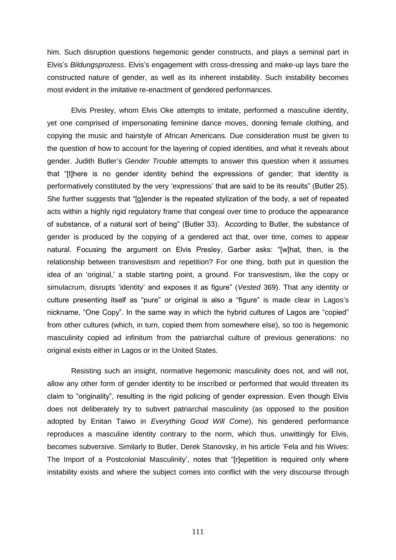him. Such disruption questions hegemonic gender constructs, and plays a seminal part in Elvis's *Bildungsprozess*. Elvis's engagement with cross-dressing and make-up lays bare the constructed nature of gender, as well as its inherent instability. Such instability becomes most evident in the imitative re-enactment of gendered performances.

Elvis Presley, whom Elvis Oke attempts to imitate, performed a masculine identity, yet one comprised of impersonating feminine dance moves, donning female clothing, and copying the music and hairstyle of African Americans. Due consideration must be given to the question of how to account for the layering of copied identities, and what it reveals about gender. Judith Butler's *Gender Trouble* attempts to answer this question when it assumes that "[t]here is no gender identity behind the expressions of gender; that identity is performatively constituted by the very 'expressions' that are said to be its results" (Butler 25). She further suggests that "[g]ender is the repeated stylization of the body, a set of repeated acts within a highly rigid regulatory frame that congeal over time to produce the appearance of substance, of a natural sort of being" (Butler 33). According to Butler, the substance of gender is produced by the copying of a gendered act that, over time, comes to appear natural. Focusing the argument on Elvis Presley, Garber asks: "[w]hat, then, is the relationship between transvestism and repetition? For one thing, both put in question the idea of an 'original,' a stable starting point, a ground. For transvestism, like the copy or simulacrum, disrupts 'identity' and exposes it as figure" (*Vested* 369). That any identity or culture presenting itself as "pure" or original is also a "figure" is made clear in Lagos's nickname, "One Copy". In the same way in which the hybrid cultures of Lagos are "copied" from other cultures (which, in turn, copied them from somewhere else), so too is hegemonic masculinity copied ad infinitum from the patriarchal culture of previous generations: no original exists either in Lagos or in the United States.

Resisting such an insight, normative hegemonic masculinity does not, and will not, allow any other form of gender identity to be inscribed or performed that would threaten its claim to "originality", resulting in the rigid policing of gender expression. Even though Elvis does not deliberately try to subvert patriarchal masculinity (as opposed to the position adopted by Enitan Taiwo in *Everything Good Will Come*), his gendered performance reproduces a masculine identity contrary to the norm, which thus, unwittingly for Elvis, becomes subversive. Similarly to Butler, Derek Stanovsky, in his article 'Fela and his Wives: The Import of a Postcolonial Masculinity', notes that "[r]epetition is required only where instability exists and where the subject comes into conflict with the very discourse through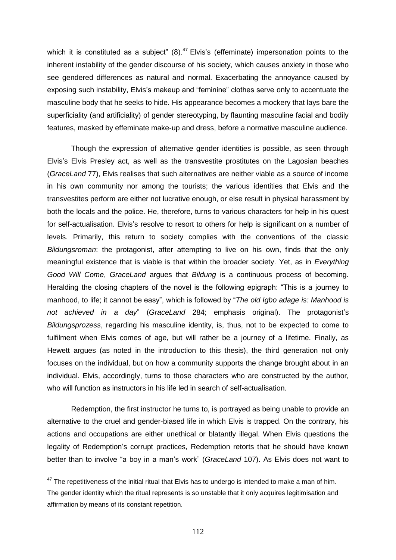which it is constituted as a subject"  $(8)$ .<sup>47</sup> Elvis's (effeminate) impersonation points to the inherent instability of the gender discourse of his society, which causes anxiety in those who see gendered differences as natural and normal. Exacerbating the annoyance caused by exposing such instability, Elvis's makeup and "feminine" clothes serve only to accentuate the masculine body that he seeks to hide. His appearance becomes a mockery that lays bare the superficiality (and artificiality) of gender stereotyping, by flaunting masculine facial and bodily features, masked by effeminate make-up and dress, before a normative masculine audience.

Though the expression of alternative gender identities is possible, as seen through Elvis's Elvis Presley act, as well as the transvestite prostitutes on the Lagosian beaches (*GraceLand* 77), Elvis realises that such alternatives are neither viable as a source of income in his own community nor among the tourists; the various identities that Elvis and the transvestites perform are either not lucrative enough, or else result in physical harassment by both the locals and the police. He, therefore, turns to various characters for help in his quest for self-actualisation. Elvis's resolve to resort to others for help is significant on a number of levels. Primarily, this return to society complies with the conventions of the classic *Bildungsroman*: the protagonist, after attempting to live on his own, finds that the only meaningful existence that is viable is that within the broader society. Yet, as in *Everything Good Will Come*, *GraceLand* argues that *Bildung* is a continuous process of becoming. Heralding the closing chapters of the novel is the following epigraph: "This is a journey to manhood, to life; it cannot be easy", which is followed by "*The old Igbo adage is: Manhood is not achieved in a day*‖ (*GraceLand* 284; emphasis original). The protagonist's *Bildungsprozess*, regarding his masculine identity, is, thus, not to be expected to come to fulfilment when Elvis comes of age, but will rather be a journey of a lifetime. Finally, as Hewett argues (as noted in the introduction to this thesis), the third generation not only focuses on the individual, but on how a community supports the change brought about in an individual. Elvis, accordingly, turns to those characters who are constructed by the author, who will function as instructors in his life led in search of self-actualisation.

Redemption, the first instructor he turns to, is portrayed as being unable to provide an alternative to the cruel and gender-biased life in which Elvis is trapped. On the contrary, his actions and occupations are either unethical or blatantly illegal. When Elvis questions the legality of Redemption's corrupt practices, Redemption retorts that he should have known better than to involve "a boy in a man's work" (*GraceLand* 107). As Elvis does not want to

 $\overline{a}$ 

 $47$  The repetitiveness of the initial ritual that Elvis has to undergo is intended to make a man of him. The gender identity which the ritual represents is so unstable that it only acquires legitimisation and affirmation by means of its constant repetition.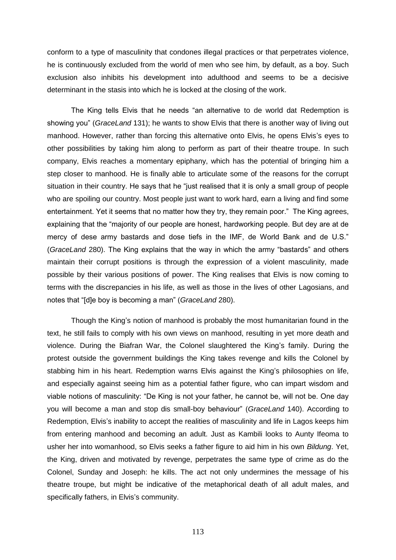conform to a type of masculinity that condones illegal practices or that perpetrates violence, he is continuously excluded from the world of men who see him, by default, as a boy. Such exclusion also inhibits his development into adulthood and seems to be a decisive determinant in the stasis into which he is locked at the closing of the work.

The King tells Elvis that he needs "an alternative to de world dat Redemption is showing you" (*GraceLand* 131); he wants to show Elvis that there is another way of living out manhood. However, rather than forcing this alternative onto Elvis, he opens Elvis's eyes to other possibilities by taking him along to perform as part of their theatre troupe. In such company, Elvis reaches a momentary epiphany, which has the potential of bringing him a step closer to manhood. He is finally able to articulate some of the reasons for the corrupt situation in their country. He says that he "just realised that it is only a small group of people who are spoiling our country. Most people just want to work hard, earn a living and find some entertainment. Yet it seems that no matter how they try, they remain poor." The King agrees, explaining that the "majority of our people are honest, hardworking people. But dey are at de mercy of dese army bastards and dose tiefs in the IMF, de World Bank and de U.S." (*GraceLand* 280). The King explains that the way in which the army "bastards" and others maintain their corrupt positions is through the expression of a violent masculinity, made possible by their various positions of power. The King realises that Elvis is now coming to terms with the discrepancies in his life, as well as those in the lives of other Lagosians, and notes that "[d]e boy is becoming a man" (*GraceLand* 280).

Though the King's notion of manhood is probably the most humanitarian found in the text, he still fails to comply with his own views on manhood, resulting in yet more death and violence. During the Biafran War, the Colonel slaughtered the King's family. During the protest outside the government buildings the King takes revenge and kills the Colonel by stabbing him in his heart. Redemption warns Elvis against the King's philosophies on life, and especially against seeing him as a potential father figure, who can impart wisdom and viable notions of masculinity: "De King is not your father, he cannot be, will not be. One day you will become a man and stop dis small-boy behaviour‖ (*GraceLand* 140). According to Redemption, Elvis's inability to accept the realities of masculinity and life in Lagos keeps him from entering manhood and becoming an adult. Just as Kambili looks to Aunty Ifeoma to usher her into womanhood, so Elvis seeks a father figure to aid him in his own *Bildung*. Yet, the King, driven and motivated by revenge, perpetrates the same type of crime as do the Colonel, Sunday and Joseph: he kills. The act not only undermines the message of his theatre troupe, but might be indicative of the metaphorical death of all adult males, and specifically fathers, in Elvis's community.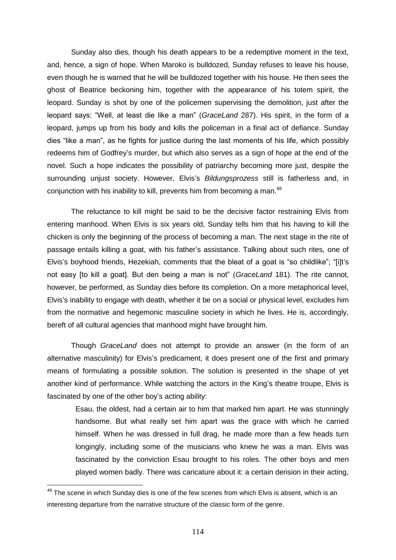Sunday also dies, though his death appears to be a redemptive moment in the text, and, hence, a sign of hope. When Maroko is bulldozed, Sunday refuses to leave his house, even though he is warned that he will be bulldozed together with his house. He then sees the ghost of Beatrice beckoning him, together with the appearance of his totem spirit, the leopard. Sunday is shot by one of the policemen supervising the demolition, just after the leopard says: "Well, at least die like a man" (*GraceLand* 287). His spirit, in the form of a leopard, jumps up from his body and kills the policeman in a final act of defiance. Sunday dies "like a man", as he fights for justice during the last moments of his life, which possibly redeems him of Godfrey's murder, but which also serves as a sign of hope at the end of the novel. Such a hope indicates the possibility of patriarchy becoming more just, despite the surrounding unjust society. However, Elvis's *Bildungsprozess* still is fatherless and, in conjunction with his inability to kill, prevents him from becoming a man.<sup>48</sup>

The reluctance to kill might be said to be the decisive factor restraining Elvis from entering manhood. When Elvis is six years old, Sunday tells him that his having to kill the chicken is only the beginning of the process of becoming a man. The next stage in the rite of passage entails killing a goat, with his father's assistance. Talking about such rites, one of Elvis's boyhood friends, Hezekiah, comments that the bleat of a goat is "so childlike"; "[i]t's not easy [to kill a goat]. But den being a man is not‖ (*GraceLand* 181). The rite cannot, however, be performed, as Sunday dies before its completion. On a more metaphorical level, Elvis's inability to engage with death, whether it be on a social or physical level, excludes him from the normative and hegemonic masculine society in which he lives. He is, accordingly, bereft of all cultural agencies that manhood might have brought him.

Though *GraceLand* does not attempt to provide an answer (in the form of an alternative masculinity) for Elvis's predicament, it does present one of the first and primary means of formulating a possible solution. The solution is presented in the shape of yet another kind of performance. While watching the actors in the King's theatre troupe, Elvis is fascinated by one of the other boy's acting ability:

Esau, the oldest, had a certain air to him that marked him apart. He was stunningly handsome. But what really set him apart was the grace with which he carried himself. When he was dressed in full drag, he made more than a few heads turn longingly, including some of the musicians who knew he was a man. Elvis was fascinated by the conviction Esau brought to his roles. The other boys and men played women badly. There was caricature about it: a certain derision in their acting,

 $\overline{a}$ 

 $^{48}$  The scene in which Sunday dies is one of the few scenes from which Elvis is absent, which is an interesting departure from the narrative structure of the classic form of the genre.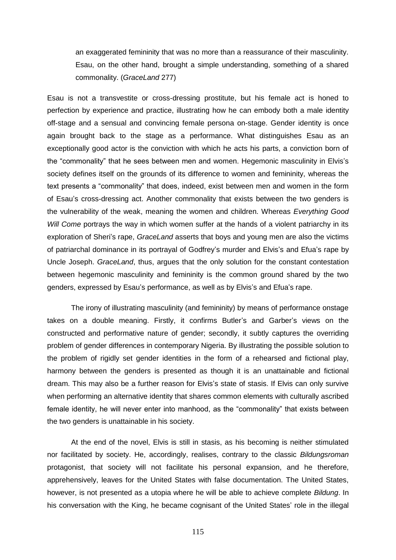an exaggerated femininity that was no more than a reassurance of their masculinity. Esau, on the other hand, brought a simple understanding, something of a shared commonality. (*GraceLand* 277)

Esau is not a transvestite or cross-dressing prostitute, but his female act is honed to perfection by experience and practice, illustrating how he can embody both a male identity off-stage and a sensual and convincing female persona on-stage. Gender identity is once again brought back to the stage as a performance. What distinguishes Esau as an exceptionally good actor is the conviction with which he acts his parts, a conviction born of the "commonality" that he sees between men and women. Hegemonic masculinity in Elvis's society defines itself on the grounds of its difference to women and femininity, whereas the text presents a "commonality" that does, indeed, exist between men and women in the form of Esau's cross-dressing act. Another commonality that exists between the two genders is the vulnerability of the weak, meaning the women and children. Whereas *Everything Good Will Come* portrays the way in which women suffer at the hands of a violent patriarchy in its exploration of Sheri's rape, *GraceLand* asserts that boys and young men are also the victims of patriarchal dominance in its portrayal of Godfrey's murder and Elvis's and Efua's rape by Uncle Joseph. *GraceLand*, thus, argues that the only solution for the constant contestation between hegemonic masculinity and femininity is the common ground shared by the two genders, expressed by Esau's performance, as well as by Elvis's and Efua's rape.

The irony of illustrating masculinity (and femininity) by means of performance onstage takes on a double meaning. Firstly, it confirms Butler's and Garber's views on the constructed and performative nature of gender; secondly, it subtly captures the overriding problem of gender differences in contemporary Nigeria. By illustrating the possible solution to the problem of rigidly set gender identities in the form of a rehearsed and fictional play, harmony between the genders is presented as though it is an unattainable and fictional dream. This may also be a further reason for Elvis's state of stasis. If Elvis can only survive when performing an alternative identity that shares common elements with culturally ascribed female identity, he will never enter into manhood, as the "commonality" that exists between the two genders is unattainable in his society.

At the end of the novel, Elvis is still in stasis, as his becoming is neither stimulated nor facilitated by society. He, accordingly, realises, contrary to the classic *Bildungsroman*  protagonist, that society will not facilitate his personal expansion, and he therefore, apprehensively, leaves for the United States with false documentation. The United States, however, is not presented as a utopia where he will be able to achieve complete *Bildung*. In his conversation with the King, he became cognisant of the United States' role in the illegal

115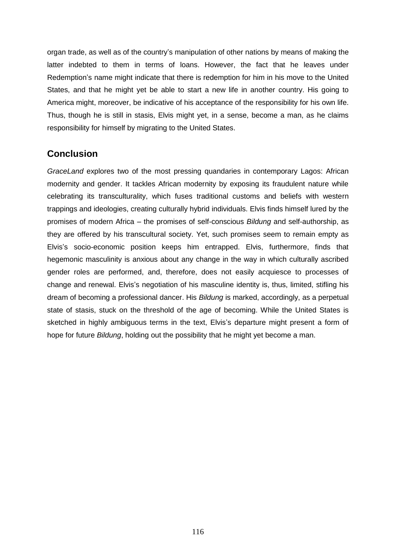organ trade, as well as of the country's manipulation of other nations by means of making the latter indebted to them in terms of loans. However, the fact that he leaves under Redemption's name might indicate that there is redemption for him in his move to the United States, and that he might yet be able to start a new life in another country. His going to America might, moreover, be indicative of his acceptance of the responsibility for his own life. Thus, though he is still in stasis, Elvis might yet, in a sense, become a man, as he claims responsibility for himself by migrating to the United States.

## **Conclusion**

*GraceLand* explores two of the most pressing quandaries in contemporary Lagos: African modernity and gender. It tackles African modernity by exposing its fraudulent nature while celebrating its transculturality, which fuses traditional customs and beliefs with western trappings and ideologies, creating culturally hybrid individuals. Elvis finds himself lured by the promises of modern Africa – the promises of self-conscious *Bildung* and self-authorship, as they are offered by his transcultural society. Yet, such promises seem to remain empty as Elvis's socio-economic position keeps him entrapped. Elvis, furthermore, finds that hegemonic masculinity is anxious about any change in the way in which culturally ascribed gender roles are performed, and, therefore, does not easily acquiesce to processes of change and renewal. Elvis's negotiation of his masculine identity is, thus, limited, stifling his dream of becoming a professional dancer. His *Bildung* is marked, accordingly, as a perpetual state of stasis, stuck on the threshold of the age of becoming. While the United States is sketched in highly ambiguous terms in the text, Elvis's departure might present a form of hope for future *Bildung*, holding out the possibility that he might yet become a man.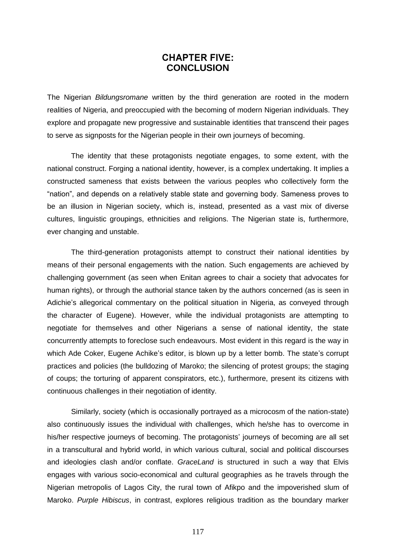## **CHAPTER FIVE: CONCLUSION**

The Nigerian *Bildungsromane* written by the third generation are rooted in the modern realities of Nigeria, and preoccupied with the becoming of modern Nigerian individuals. They explore and propagate new progressive and sustainable identities that transcend their pages to serve as signposts for the Nigerian people in their own journeys of becoming.

The identity that these protagonists negotiate engages, to some extent, with the national construct. Forging a national identity, however, is a complex undertaking. It implies a constructed sameness that exists between the various peoples who collectively form the ―nation‖, and depends on a relatively stable state and governing body. Sameness proves to be an illusion in Nigerian society, which is, instead, presented as a vast mix of diverse cultures, linguistic groupings, ethnicities and religions. The Nigerian state is, furthermore, ever changing and unstable.

The third-generation protagonists attempt to construct their national identities by means of their personal engagements with the nation. Such engagements are achieved by challenging government (as seen when Enitan agrees to chair a society that advocates for human rights), or through the authorial stance taken by the authors concerned (as is seen in Adichie's allegorical commentary on the political situation in Nigeria, as conveyed through the character of Eugene). However, while the individual protagonists are attempting to negotiate for themselves and other Nigerians a sense of national identity, the state concurrently attempts to foreclose such endeavours. Most evident in this regard is the way in which Ade Coker, Eugene Achike's editor, is blown up by a letter bomb. The state's corrupt practices and policies (the bulldozing of Maroko; the silencing of protest groups; the staging of coups; the torturing of apparent conspirators, etc.), furthermore, present its citizens with continuous challenges in their negotiation of identity.

Similarly, society (which is occasionally portrayed as a microcosm of the nation-state) also continuously issues the individual with challenges, which he/she has to overcome in his/her respective journeys of becoming. The protagonists' journeys of becoming are all set in a transcultural and hybrid world, in which various cultural, social and political discourses and ideologies clash and/or conflate. *GraceLand* is structured in such a way that Elvis engages with various socio-economical and cultural geographies as he travels through the Nigerian metropolis of Lagos City, the rural town of Afikpo and the impoverished slum of Maroko. *Purple Hibiscus*, in contrast, explores religious tradition as the boundary marker

117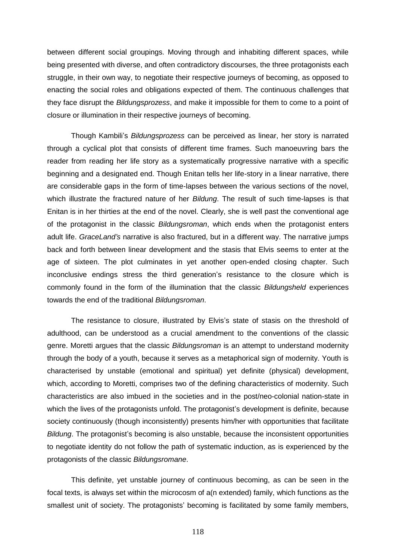between different social groupings. Moving through and inhabiting different spaces, while being presented with diverse, and often contradictory discourses, the three protagonists each struggle, in their own way, to negotiate their respective journeys of becoming, as opposed to enacting the social roles and obligations expected of them. The continuous challenges that they face disrupt the *Bildungsprozess*, and make it impossible for them to come to a point of closure or illumination in their respective journeys of becoming.

Though Kambili's *Bildungsprozess* can be perceived as linear, her story is narrated through a cyclical plot that consists of different time frames. Such manoeuvring bars the reader from reading her life story as a systematically progressive narrative with a specific beginning and a designated end. Though Enitan tells her life-story in a linear narrative, there are considerable gaps in the form of time-lapses between the various sections of the novel, which illustrate the fractured nature of her *Bildung*. The result of such time-lapses is that Enitan is in her thirties at the end of the novel. Clearly, she is well past the conventional age of the protagonist in the classic *Bildungsroman*, which ends when the protagonist enters adult life. *GraceLand's* narrative is also fractured, but in a different way. The narrative jumps back and forth between linear development and the stasis that Elvis seems to enter at the age of sixteen. The plot culminates in yet another open-ended closing chapter. Such inconclusive endings stress the third generation's resistance to the closure which is commonly found in the form of the illumination that the classic *Bildungsheld* experiences towards the end of the traditional *Bildungsroman*.

The resistance to closure, illustrated by Elvis's state of stasis on the threshold of adulthood, can be understood as a crucial amendment to the conventions of the classic genre. Moretti argues that the classic *Bildungsroman* is an attempt to understand modernity through the body of a youth, because it serves as a metaphorical sign of modernity. Youth is characterised by unstable (emotional and spiritual) yet definite (physical) development, which, according to Moretti, comprises two of the defining characteristics of modernity. Such characteristics are also imbued in the societies and in the post/neo-colonial nation-state in which the lives of the protagonists unfold. The protagonist's development is definite, because society continuously (though inconsistently) presents him/her with opportunities that facilitate *Bildung*. The protagonist's becoming is also unstable, because the inconsistent opportunities to negotiate identity do not follow the path of systematic induction, as is experienced by the protagonists of the classic *Bildungsromane*.

This definite, yet unstable journey of continuous becoming, as can be seen in the focal texts, is always set within the microcosm of a(n extended) family, which functions as the smallest unit of society. The protagonists' becoming is facilitated by some family members,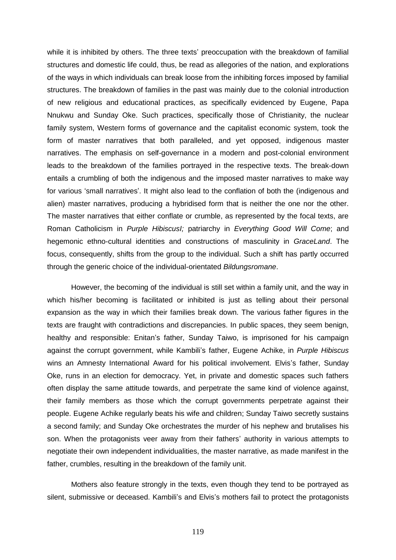while it is inhibited by others. The three texts' preoccupation with the breakdown of familial structures and domestic life could, thus, be read as allegories of the nation, and explorations of the ways in which individuals can break loose from the inhibiting forces imposed by familial structures. The breakdown of families in the past was mainly due to the colonial introduction of new religious and educational practices, as specifically evidenced by Eugene, Papa Nnukwu and Sunday Oke. Such practices, specifically those of Christianity, the nuclear family system, Western forms of governance and the capitalist economic system, took the form of master narratives that both paralleled, and yet opposed, indigenous master narratives. The emphasis on self-governance in a modern and post-colonial environment leads to the breakdown of the families portrayed in the respective texts. The break-down entails a crumbling of both the indigenous and the imposed master narratives to make way for various 'small narratives'. It might also lead to the conflation of both the (indigenous and alien) master narratives, producing a hybridised form that is neither the one nor the other. The master narratives that either conflate or crumble, as represented by the focal texts, are Roman Catholicism in *Purple HibiscusI;* patriarchy in *Everything Good Will Come*; and hegemonic ethno-cultural identities and constructions of masculinity in *GraceLand*. The focus, consequently, shifts from the group to the individual. Such a shift has partly occurred through the generic choice of the individual-orientated *Bildungsromane*.

However, the becoming of the individual is still set within a family unit, and the way in which his/her becoming is facilitated or inhibited is just as telling about their personal expansion as the way in which their families break down. The various father figures in the texts are fraught with contradictions and discrepancies. In public spaces, they seem benign, healthy and responsible: Enitan's father, Sunday Taiwo, is imprisoned for his campaign against the corrupt government, while Kambili's father, Eugene Achike, in *Purple Hibiscus* wins an Amnesty International Award for his political involvement. Elvis's father, Sunday Oke, runs in an election for democracy. Yet, in private and domestic spaces such fathers often display the same attitude towards, and perpetrate the same kind of violence against, their family members as those which the corrupt governments perpetrate against their people. Eugene Achike regularly beats his wife and children; Sunday Taiwo secretly sustains a second family; and Sunday Oke orchestrates the murder of his nephew and brutalises his son. When the protagonists veer away from their fathers' authority in various attempts to negotiate their own independent individualities, the master narrative, as made manifest in the father, crumbles, resulting in the breakdown of the family unit.

Mothers also feature strongly in the texts, even though they tend to be portrayed as silent, submissive or deceased. Kambili's and Elvis's mothers fail to protect the protagonists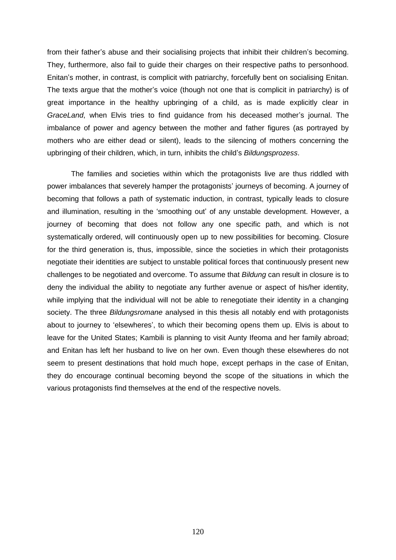from their father's abuse and their socialising projects that inhibit their children's becoming. They, furthermore, also fail to guide their charges on their respective paths to personhood. Enitan's mother, in contrast, is complicit with patriarchy, forcefully bent on socialising Enitan. The texts argue that the mother's voice (though not one that is complicit in patriarchy) is of great importance in the healthy upbringing of a child, as is made explicitly clear in *GraceLand*, when Elvis tries to find guidance from his deceased mother's journal. The imbalance of power and agency between the mother and father figures (as portrayed by mothers who are either dead or silent), leads to the silencing of mothers concerning the upbringing of their children, which, in turn, inhibits the child's *Bildungsprozess*.

The families and societies within which the protagonists live are thus riddled with power imbalances that severely hamper the protagonists' journeys of becoming. A journey of becoming that follows a path of systematic induction, in contrast, typically leads to closure and illumination, resulting in the 'smoothing out' of any unstable development. However, a journey of becoming that does not follow any one specific path, and which is not systematically ordered, will continuously open up to new possibilities for becoming. Closure for the third generation is, thus, impossible, since the societies in which their protagonists negotiate their identities are subject to unstable political forces that continuously present new challenges to be negotiated and overcome. To assume that *Bildung* can result in closure is to deny the individual the ability to negotiate any further avenue or aspect of his/her identity, while implying that the individual will not be able to renegotiate their identity in a changing society. The three *Bildungsromane* analysed in this thesis all notably end with protagonists about to journey to 'elsewheres', to which their becoming opens them up. Elvis is about to leave for the United States; Kambili is planning to visit Aunty Ifeoma and her family abroad; and Enitan has left her husband to live on her own. Even though these elsewheres do not seem to present destinations that hold much hope, except perhaps in the case of Enitan, they do encourage continual becoming beyond the scope of the situations in which the various protagonists find themselves at the end of the respective novels.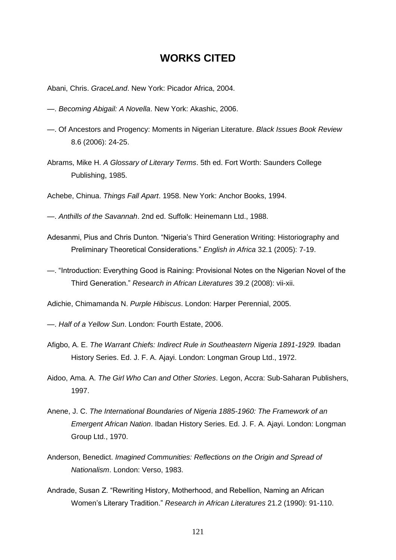## **WORKS CITED**

- Abani, Chris. *GraceLand*. New York: Picador Africa, 2004.
- —. *Becoming Abigail: A Novella*. New York: Akashic, 2006.
- —. Of Ancestors and Progency: Moments in Nigerian Literature. *Black Issues Book Review* 8.6 (2006): 24-25.
- Abrams, Mike H. *A Glossary of Literary Terms*. 5th ed. Fort Worth: Saunders College Publishing, 1985.
- Achebe, Chinua. *Things Fall Apart*. 1958. New York: Anchor Books, 1994.
- —. *Anthills of the Savannah*. 2nd ed. Suffolk: Heinemann Ltd., 1988.
- Adesanmi, Pius and Chris Dunton. "Nigeria's Third Generation Writing: Historiography and Preliminary Theoretical Considerations.‖ *English in Africa* 32.1 (2005): 7-19.
- —. ―Introduction: Everything Good is Raining: Provisional Notes on the Nigerian Novel of the Third Generation.‖ *Research in African Literatures* 39.2 (2008): vii-xii.
- Adichie, Chimamanda N. *Purple Hibiscus*. London: Harper Perennial, 2005.
- —. *Half of a Yellow Sun*. London: Fourth Estate, 2006.
- Afigbo, A. E. *The Warrant Chiefs: Indirect Rule in Southeastern Nigeria 1891-1929.* Ibadan History Series. Ed. J. F. A. Ajayi. London: Longman Group Ltd., 1972.
- Aidoo, Ama. A. *The Girl Who Can and Other Stories*. Legon, Accra: Sub-Saharan Publishers, 1997.
- Anene, J. C. *The International Boundaries of Nigeria 1885-1960: The Framework of an Emergent African Nation*. Ibadan History Series. Ed. J. F. A. Ajayi. London: Longman Group Ltd., 1970.
- Anderson, Benedict. *Imagined Communities: Reflections on the Origin and Spread of Nationalism*. London: Verso, 1983.
- Andrade, Susan Z. "Rewriting History, Motherhood, and Rebellion, Naming an African Women's Literary Tradition.‖ *Research in African Literatures* 21.2 (1990): 91-110.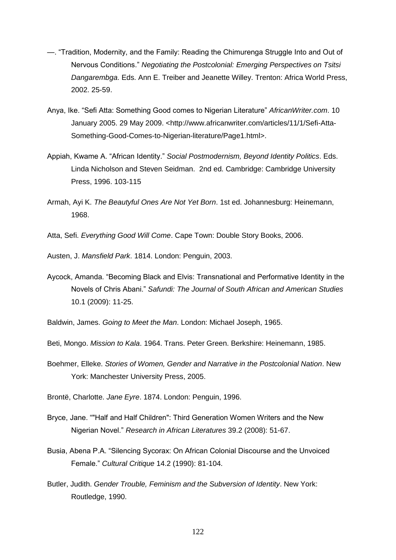- —. ―Tradition, Modernity, and the Family: Reading the Chimurenga Struggle Into and Out of Nervous Conditions.‖ *Negotiating the Postcolonial: Emerging Perspectives on Tsitsi Dangarembga*. Eds. Ann E. Treiber and Jeanette Willey. Trenton: Africa World Press, 2002. 25-59.
- Anya, Ike. "Sefi Atta: Something Good comes to Nigerian Literature" AfricanWriter.com. 10 January 2005. 29 May 2009. [<http://www.africanwriter.com/articles/11/1/Sefi-Atta-](http://www.africanwriter.com/articles/11/1/Sefi-Atta-Something-Good-Comes-to-Nigerian-literature/Page1.html)[Something-Good-Comes-to-Nigerian-literature/Page1.html>](http://www.africanwriter.com/articles/11/1/Sefi-Atta-Something-Good-Comes-to-Nigerian-literature/Page1.html).
- Appiah, Kwame A. "African Identity." Social Postmodernism, Beyond Identity Politics. Eds. Linda Nicholson and Steven Seidman. 2nd ed. Cambridge: Cambridge University Press, 1996. 103-115
- Armah, Ayi K. *The Beautyful Ones Are Not Yet Born*. 1st ed. Johannesburg: Heinemann, 1968.
- Atta, Sefi. *Everything Good Will Come*. Cape Town: Double Story Books, 2006.

Austen, J. *Mansfield Park*. 1814. London: Penguin, 2003.

Aycock, Amanda. "Becoming Black and Elvis: Transnational and Performative Identity in the Novels of Chris Abani.‖ *Safundi: The Journal of South African and American Studies* 10.1 (2009): 11-25.

Baldwin, James. *Going to Meet the Man*. London: Michael Joseph, 1965.

- Beti, Mongo. *Mission to Kala*. 1964. Trans. Peter Green. Berkshire: Heinemann, 1985.
- Boehmer, Elleke. *Stories of Women, Gender and Narrative in the Postcolonial Nation*. New York: Manchester University Press, 2005.

Brontë, Charlotte. *Jane Eyre*. 1874. London: Penguin, 1996.

- Bryce, Jane. ""Half and Half Children": Third Generation Women Writers and the New Nigerian Novel.‖ *Research in African Literatures* 39.2 (2008): 51-67.
- Busia, Abena P.A. "Silencing Sycorax: On African Colonial Discourse and the Unvoiced Female.‖ *Cultural Critique* 14.2 (1990): 81-104.
- Butler, Judith. *Gender Trouble, Feminism and the Subversion of Identity*. New York: Routledge, 1990.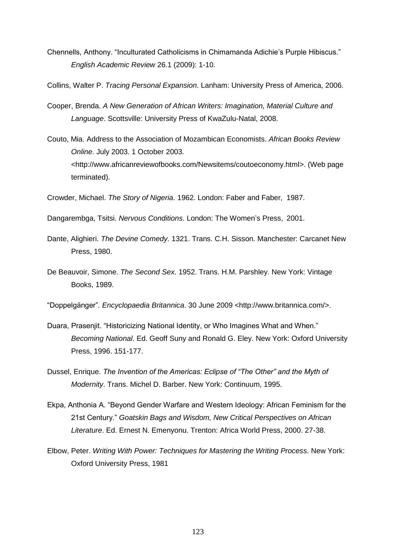Chennells, Anthony. "Inculturated Catholicisms in Chimamanda Adichie's Purple Hibiscus." *English Academic Review* 26.1 (2009): 1-10.

Collins, Walter P. *Tracing Personal Expansion*. Lanham: University Press of America, 2006.

- Cooper, Brenda. *A New Generation of African Writers: Imagination, Material Culture and Language*. Scottsville: University Press of KwaZulu-Natal, 2008.
- Couto, Mia. Address to the Association of Mozambican Economists. *African Books Review Online*. July 2003. 1 October 2003. [<http://www.africanreviewofbooks.com/Newsitems/coutoeconomy.html>](http://www.africanreviewofbooks.com/Newsitems/coutoeconomy.html). (Web page terminated).

Crowder, Michael. *The Story of Nigeria*. 1962. London: Faber and Faber, 1987.

- Dangarembga, Tsitsi. *Nervous Conditions*. London: The Women's Press, 2001.
- Dante, Alighieri. *The Devine Comedy.* 1321. Trans. C.H. Sisson. Manchester: Carcanet New Press, 1980.
- De Beauvoir, Simone. *The Second Sex*. 1952. Trans. H.M. Parshley. New York: Vintage Books, 1989.

―Doppelgänger‖. *Encyclopaedia Britannica*. 30 June 2009 [<http://www.britannica.com/>](http://www.britannica.com/).

- Duara, Prasenjit. "Historicizing National Identity, or Who Imagines What and When." *Becoming National*. Ed. Geoff Suny and Ronald G. Eley. New York: Oxford University Press, 1996. 151-177.
- Dussel, Enrique. *The Invention of the Americas: Eclipse of "The Other" and the Myth of Modernity*. Trans. Michel D. Barber. New York: Continuum, 1995.
- Ekpa, Anthonia A. ―Beyond Gender Warfare and Western Ideology: African Feminism for the 21st Century.‖ *Goatskin Bags and Wisdom, New Critical Perspectives on African Literature*. Ed. Ernest N. Emenyonu. Trenton: Africa World Press, 2000. 27-38.
- Elbow, Peter. *Writing With Power: Techniques for Mastering the Writing Process*. New York: Oxford University Press, 1981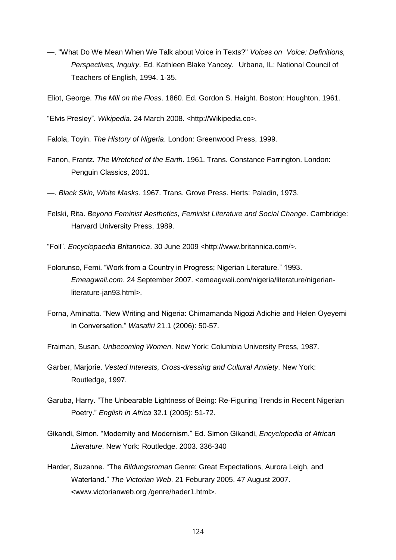- —. "What Do We Mean When We Talk about Voice in Texts?" *Voices on Voice: Definitions, Perspectives, Inquiry*. Ed. Kathleen Blake Yancey. Urbana, IL: National Council of Teachers of English, 1994. 1-35.
- Eliot, George. *The Mill on the Floss*. 1860. Ed. Gordon S. Haight. Boston: Houghton, 1961.

―Elvis Presley‖. *Wikipedia*. 24 March 2008. <http://Wikipedia.co>.

- Falola, Toyin. *The History of Nigeria*. London: Greenwood Press, 1999.
- Fanon, Frantz. *The Wretched of the Earth*. 1961. Trans. Constance Farrington. London: Penguin Classics, 2001.
- —. *Black Skin, White Masks*. 1967. Trans. Grove Press. Herts: Paladin, 1973.
- Felski, Rita. *Beyond Feminist Aesthetics, Feminist Literature and Social Change*. Cambridge: Harvard University Press, 1989.
- ―Foil‖. *Encyclopaedia Britannica*. 30 June 2009 <http://www.britannica.com/>.
- Folorunso, Femi. ―Work from a Country in Progress; Nigerian Literature*.*‖ 1993. *Emeagwali.com*. 24 September 2007. <emeagwali.com/nigeria/literature/nigerianliterature-jan93.html>.
- Forna, Aminatta. ―New Writing and Nigeria: Chimamanda Nigozi Adichie and Helen Oyeyemi in Conversation.‖ *Wasafiri* 21.1 (2006): 50-57.
- Fraiman, Susan. *Unbecoming Women*. New York: Columbia University Press, 1987.
- Garber, Marjorie. *Vested Interests, Cross-dressing and Cultural Anxiety*. New York: Routledge, 1997.
- Garuba, Harry. "The Unbearable Lightness of Being: Re-Figuring Trends in Recent Nigerian Poetry.‖ *English in Africa* 32.1 (2005): 51-72.
- Gikandi, Simon. "Modernity and Modernism." Ed. Simon Gikandi, *Encyclopedia of African Literature*. New York: Routledge. 2003. 336-340
- Harder, Suzanne. "The *Bildungsroman* Genre: Great Expectations, Aurora Leigh, and Waterland.‖ *The Victorian Web*. 21 Feburary 2005. 47 August 2007. <www.victorianweb.org */*genre/hader1.html>.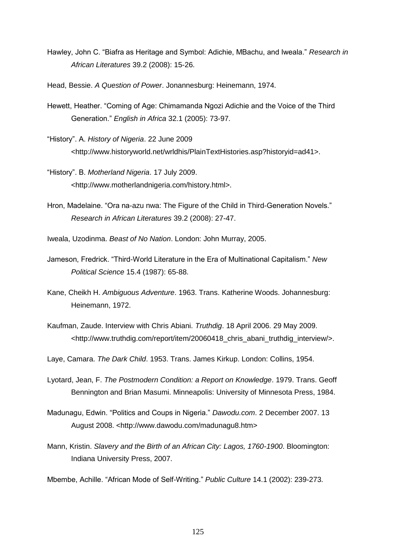- Hawley, John C. "Biafra as Heritage and Symbol: Adichie, MBachu, and Iweala." Research in *African Literatures* 39.2 (2008): 15-26.
- Head, Bessie. *A Question of Power*. Jonannesburg: Heinemann, 1974.
- Hewett, Heather. "Coming of Age: Chimamanda Ngozi Adichie and the Voice of the Third Generation.‖ *English in Africa* 32.1 (2005): 73-97.
- ―History‖. A. *History of Nigeria*. 22 June 2009 <http://www.historyworld.net/wrldhis/PlainTextHistories.asp?historyid=ad41>.
- ―History‖. B. *Motherland Nigeria*. 17 July 2009. <http://www.motherlandnigeria.com/history.html>.
- Hron, Madelaine. "Ora na-azu nwa: The Figure of the Child in Third-Generation Novels." *Research in African Literatures* 39.2 (2008): 27-47.
- Iweala, Uzodinma. *Beast of No Nation*. London: John Murray, 2005.
- Jameson, Fredrick. ―Third-World Literature in the Era of Multinational Capitalism.‖ *New Political Science* 15.4 (1987): 65-88.
- Kane, Cheikh H. *Ambiguous Adventure*. 1963. Trans. Katherine Woods. Johannesburg: Heinemann, 1972.
- Kaufman, Zaude. Interview with Chris Abiani. *Truthdig*. 18 April 2006. 29 May 2009. <http://www.truthdig.com/report/item/20060418\_chris\_abani\_truthdig\_interview/>.
- Laye, Camara. *The Dark Child*. 1953. Trans. James Kirkup. London: Collins, 1954.
- Lyotard, Jean, F. *The Postmodern Condition: a Report on Knowledge*. 1979. Trans. Geoff Bennington and Brian Masumi. Minneapolis: University of Minnesota Press, 1984.
- Madunagu, Edwin. "Politics and Coups in Nigeria." *Dawodu.com.* 2 December 2007. 13 August 2008. <http://www.dawodu.com/madunagu8.htm>
- Mann, Kristin. *Slavery and the Birth of an African City: Lagos, 1760-1900*. Bloomington: Indiana University Press, 2007.

Mbembe, Achille. ―African Mode of Self-Writing.‖ *Public Culture* 14.1 (2002): 239-273.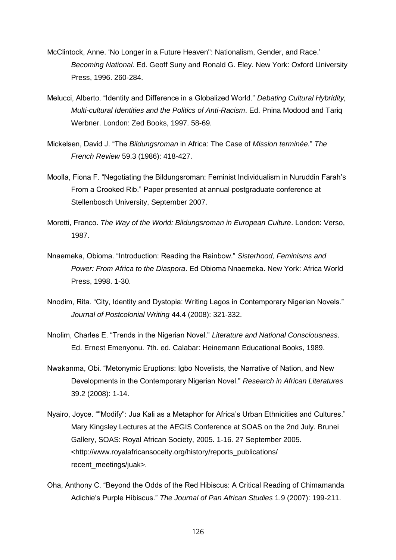- McClintock, Anne. 'No Longer in a Future Heaven": Nationalism, Gender, and Race.' *Becoming National*. Ed. Geoff Suny and Ronald G. Eley. New York: Oxford University Press, 1996. 260-284.
- Melucci, Alberto. "Identity and Difference in a Globalized World." Debating Cultural Hybridity, *Multi-cultural Identities and the Politics of Anti-Racism*. Ed. Pnina Modood and Tariq Werbner. London: Zed Books, 1997. 58-69.
- Mickelsen, David J. ―The *Bildungsroman* in Africa: The Case of *Mission terminée.*‖ *The French Review* 59.3 (1986): 418-427.
- Moolla, Fiona F. "Negotiating the Bildungsroman: Feminist Individualism in Nuruddin Farah's From a Crooked Rib." Paper presented at annual postgraduate conference at Stellenbosch University, September 2007.
- Moretti, Franco. *The Way of the World: Bildungsroman in European Culture*. London: Verso, 1987.
- Nnaemeka, Obioma. "Introduction: Reading the Rainbow." Sisterhood, Feminisms and *Power: From Africa to the Diaspora*. Ed Obioma Nnaemeka. New York: Africa World Press, 1998. 1-30.
- Nnodim, Rita. "City, Identity and Dystopia: Writing Lagos in Contemporary Nigerian Novels." *Journal of Postcolonial Writing* 44.4 (2008): 321-332.
- Nnolim, Charles E. ―Trends in the Nigerian Novel.‖ *Literature and National Consciousness*. Ed. Ernest Emenyonu. 7th. ed. Calabar: Heinemann Educational Books, 1989.
- Nwakanma, Obi. "Metonymic Eruptions: Igbo Novelists, the Narrative of Nation, and New Developments in the Contemporary Nigerian Novel.‖ *Research in African Literatures* 39.2 (2008): 1-14.
- Nyairo, Joyce. ""Modify": Jua Kali as a Metaphor for Africa's Urban Ethnicities and Cultures." Mary Kingsley Lectures at the AEGIS Conference at SOAS on the 2nd July. Brunei Gallery, SOAS: Royal African Society, 2005. 1-16. 27 September 2005. [<http://www.royalafricansoceity.org/history/reports\\_publications/](http://www.royalafricansoceity.org/history/reports_publications/%20recent_meetings/juak)  [recent\\_meetings/juak>](http://www.royalafricansoceity.org/history/reports_publications/%20recent_meetings/juak).
- Oha, Anthony C. ―Beyond the Odds of the Red Hibiscus: A Critical Reading of Chimamanda Adichie's Purple Hibiscus.‖ *The Journal of Pan African Studies* 1.9 (2007): 199-211.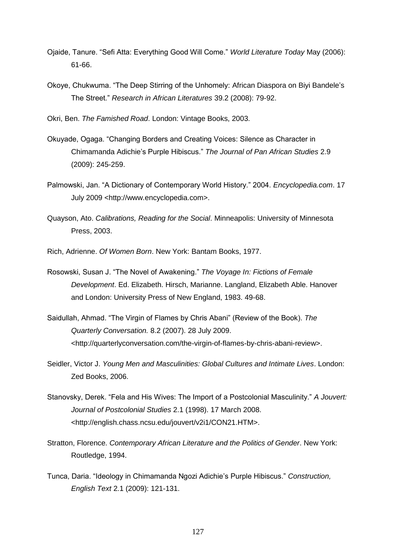- Ojaide, Tanure. ―Sefi Atta: Everything Good Will Come.‖ *World Literature Today* May (2006): 61-66.
- Okoye, Chukwuma. ―The Deep Stirring of the Unhomely: African Diaspora on Biyi Bandele's The Street.‖ *Research in African Literatures* 39.2 (2008): 79-92.
- Okri, Ben. *The Famished Road*. London: Vintage Books, 2003.
- Okuyade, Ogaga. "Changing Borders and Creating Voices: Silence as Character in Chimamanda Adichie's Purple Hibiscus.‖ *The Journal of Pan African Studies* 2.9 (2009): 245-259.
- Palmowski, Jan. "A Dictionary of Contemporary World History." 2004. *Encyclopedia.com.* 17 July 2009 <http://www.encyclopedia.com>.
- Quayson, Ato. *Calibrations, Reading for the Social*. Minneapolis: University of Minnesota Press, 2003.
- Rich, Adrienne. *Of Women Born*. New York: Bantam Books, 1977.
- Rosowski, Susan J. "The Novel of Awakening." The Voyage In: Fictions of Female *Development*. Ed. Elizabeth. Hirsch, Marianne. Langland, Elizabeth Able. Hanover and London: University Press of New England, 1983. 49-68.
- Saidullah, Ahmad. "The Virgin of Flames by Chris Abani" (Review of the Book). *The Quarterly Conversation.* 8.2 (2007). 28 July 2009. <http://quarterlyconversation.com/the-virgin-of-flames-by-chris-abani-review>.
- Seidler, Victor J. *Young Men and Masculinities: Global Cultures and Intimate Lives*. London: Zed Books, 2006.
- Stanovsky, Derek. "Fela and His Wives: The Import of a Postcolonial Masculinity." A Jouvert: *Journal of Postcolonial Studies* 2.1 (1998). 17 March 2008. [<http://english.chass.ncsu.edu/jouvert/v2i1/CON21.HTM>](http://english.chass.ncsu.edu/jouvert/v2i1/CON21.HTM).
- Stratton, Florence. *Contemporary African Literature and the Politics of Gender*. New York: Routledge, 1994.
- Tunca, Daria. "Ideology in Chimamanda Ngozi Adichie's Purple Hibiscus." Construction, *English Text* 2.1 (2009): 121-131.